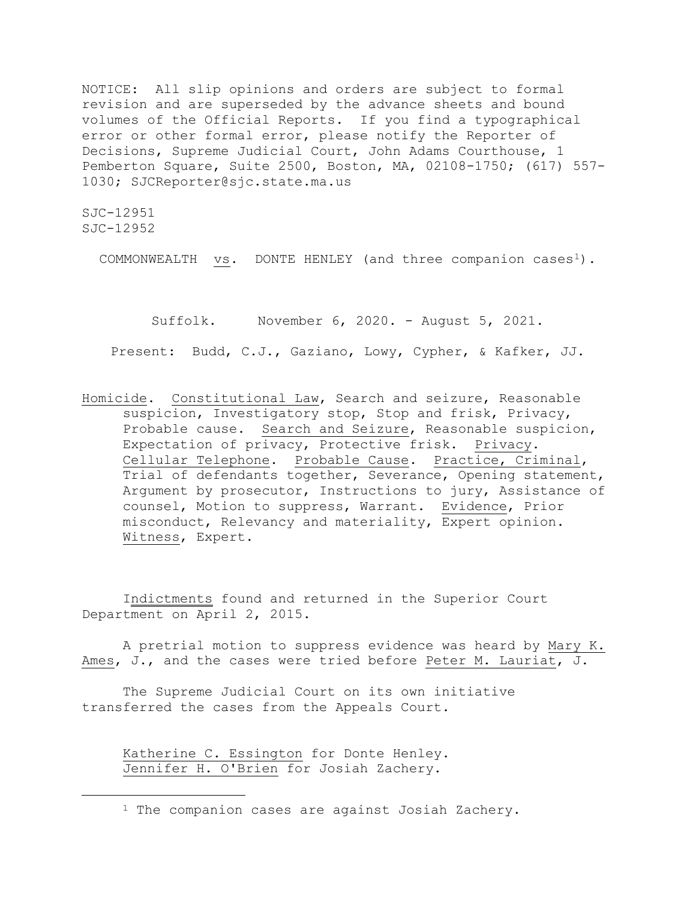NOTICE: All slip opinions and orders are subject to formal revision and are superseded by the advance sheets and bound volumes of the Official Reports. If you find a typographical error or other formal error, please notify the Reporter of Decisions, Supreme Judicial Court, John Adams Courthouse, 1 Pemberton Square, Suite 2500, Boston, MA, 02108-1750; (617) 557- 1030; SJCReporter@sjc.state.ma.us

SJC-12951 SJC-12952

COMMONWEALTH  $vs.$  DONTE HENLEY (and three companion cases<sup>[1](#page-0-0)</sup>).

Suffolk. November 6, 2020. - August 5, 2021. Present: Budd, C.J., Gaziano, Lowy, Cypher, & Kafker, JJ.

Homicide. Constitutional Law, Search and seizure, Reasonable suspicion, Investigatory stop, Stop and frisk, Privacy, Probable cause. Search and Seizure, Reasonable suspicion, Expectation of privacy, Protective frisk. Privacy. Cellular Telephone. Probable Cause. Practice, Criminal, Trial of defendants together, Severance, Opening statement, Argument by prosecutor, Instructions to jury, Assistance of counsel, Motion to suppress, Warrant. Evidence, Prior misconduct, Relevancy and materiality, Expert opinion. Witness, Expert.

Indictments found and returned in the Superior Court Department on April 2, 2015.

A pretrial motion to suppress evidence was heard by Mary K. Ames, J., and the cases were tried before Peter M. Lauriat, J.

The Supreme Judicial Court on its own initiative transferred the cases from the Appeals Court.

Katherine C. Essington for Donte Henley. Jennifer H. O'Brien for Josiah Zachery.

<span id="page-0-0"></span><sup>&</sup>lt;sup>1</sup> The companion cases are against Josiah Zachery.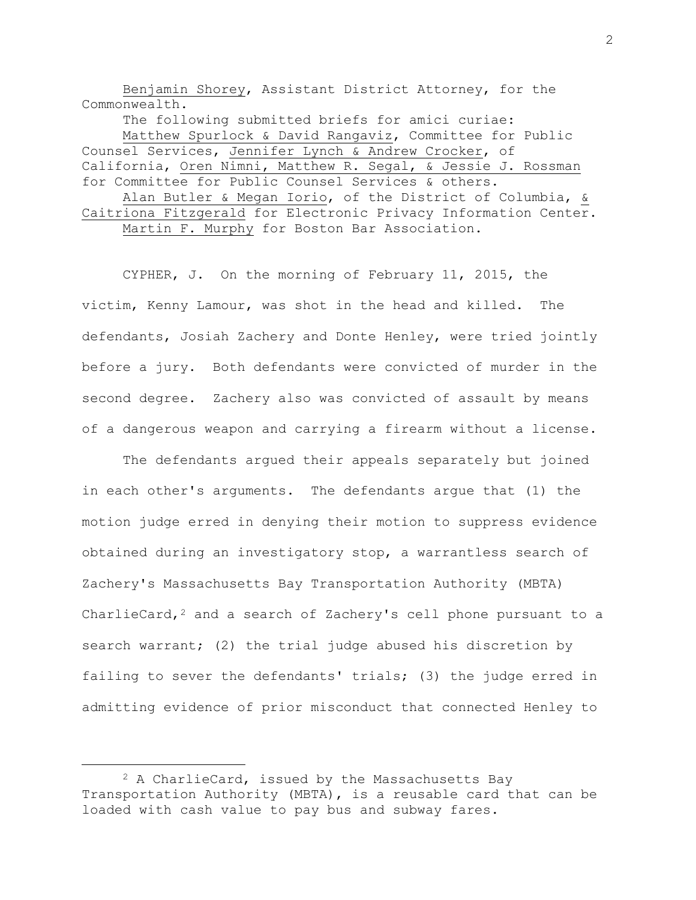Benjamin Shorey, Assistant District Attorney, for the Commonwealth. The following submitted briefs for amici curiae:

Martin F. Murphy for Boston Bar Association.

CYPHER, J. On the morning of February 11, 2015, the victim, Kenny Lamour, was shot in the head and killed. The defendants, Josiah Zachery and Donte Henley, were tried jointly before a jury. Both defendants were convicted of murder in the second degree. Zachery also was convicted of assault by means of a dangerous weapon and carrying a firearm without a license.

The defendants argued their appeals separately but joined in each other's arguments. The defendants argue that (1) the motion judge erred in denying their motion to suppress evidence obtained during an investigatory stop, a warrantless search of Zachery's Massachusetts Bay Transportation Authority (MBTA) CharlieCard,  $2$  and a search of Zachery's cell phone pursuant to a search warrant; (2) the trial judge abused his discretion by failing to sever the defendants' trials; (3) the judge erred in admitting evidence of prior misconduct that connected Henley to

<span id="page-1-0"></span><sup>2</sup> A CharlieCard, issued by the Massachusetts Bay Transportation Authority (MBTA), is a reusable card that can be loaded with cash value to pay bus and subway fares.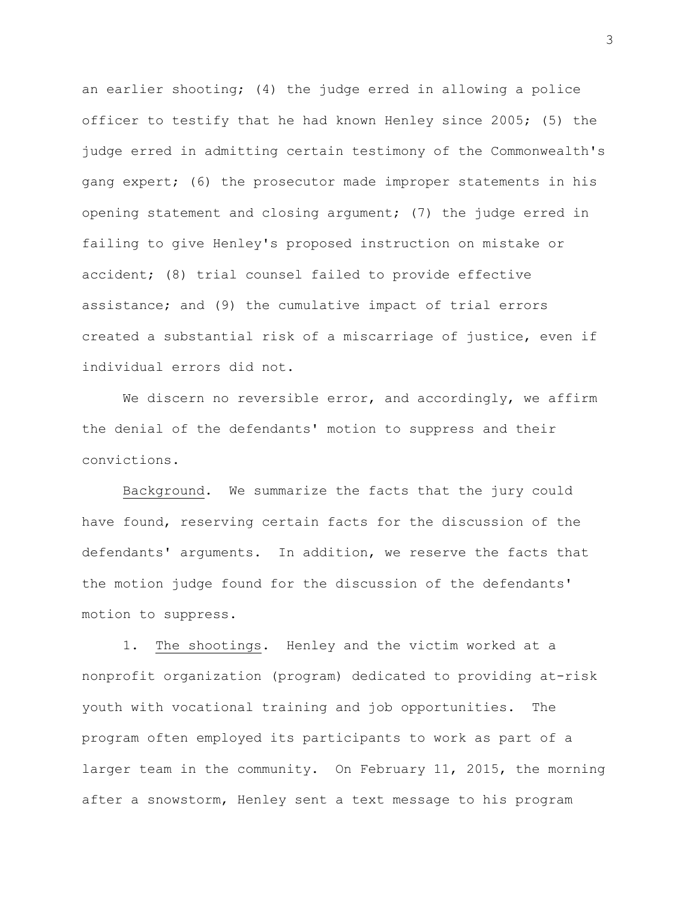an earlier shooting; (4) the judge erred in allowing a police officer to testify that he had known Henley since 2005; (5) the judge erred in admitting certain testimony of the Commonwealth's gang expert; (6) the prosecutor made improper statements in his opening statement and closing argument; (7) the judge erred in failing to give Henley's proposed instruction on mistake or accident; (8) trial counsel failed to provide effective assistance; and (9) the cumulative impact of trial errors created a substantial risk of a miscarriage of justice, even if individual errors did not.

We discern no reversible error, and accordingly, we affirm the denial of the defendants' motion to suppress and their convictions.

Background. We summarize the facts that the jury could have found, reserving certain facts for the discussion of the defendants' arguments. In addition, we reserve the facts that the motion judge found for the discussion of the defendants' motion to suppress.

1. The shootings. Henley and the victim worked at a nonprofit organization (program) dedicated to providing at-risk youth with vocational training and job opportunities. The program often employed its participants to work as part of a larger team in the community. On February 11, 2015, the morning after a snowstorm, Henley sent a text message to his program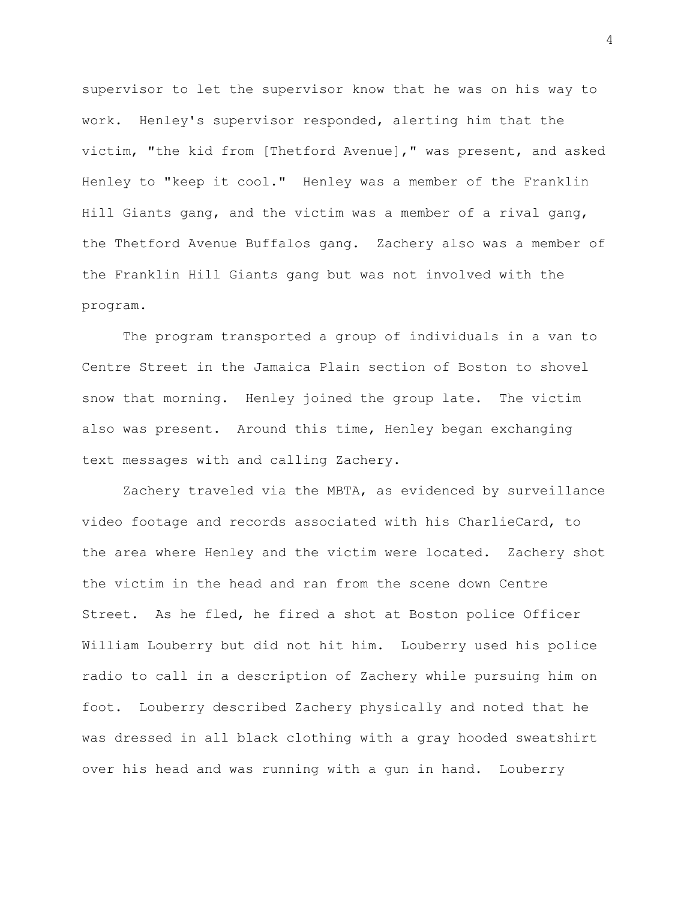supervisor to let the supervisor know that he was on his way to work. Henley's supervisor responded, alerting him that the victim, "the kid from [Thetford Avenue]," was present, and asked Henley to "keep it cool." Henley was a member of the Franklin Hill Giants gang, and the victim was a member of a rival gang, the Thetford Avenue Buffalos gang. Zachery also was a member of the Franklin Hill Giants gang but was not involved with the program.

The program transported a group of individuals in a van to Centre Street in the Jamaica Plain section of Boston to shovel snow that morning. Henley joined the group late. The victim also was present. Around this time, Henley began exchanging text messages with and calling Zachery.

Zachery traveled via the MBTA, as evidenced by surveillance video footage and records associated with his CharlieCard, to the area where Henley and the victim were located. Zachery shot the victim in the head and ran from the scene down Centre Street. As he fled, he fired a shot at Boston police Officer William Louberry but did not hit him. Louberry used his police radio to call in a description of Zachery while pursuing him on foot. Louberry described Zachery physically and noted that he was dressed in all black clothing with a gray hooded sweatshirt over his head and was running with a gun in hand. Louberry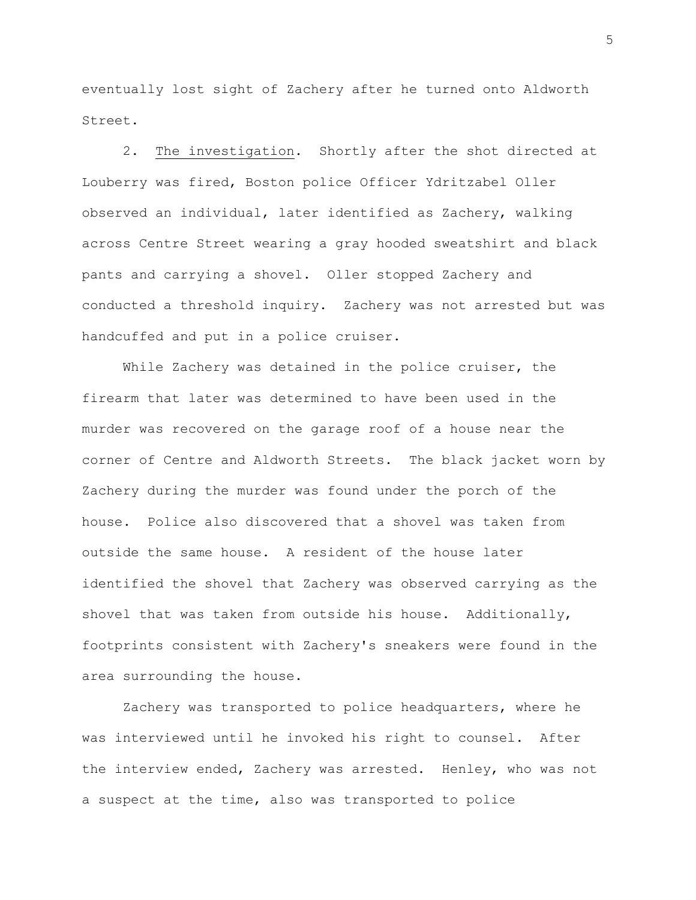eventually lost sight of Zachery after he turned onto Aldworth Street.

2. The investigation. Shortly after the shot directed at Louberry was fired, Boston police Officer Ydritzabel Oller observed an individual, later identified as Zachery, walking across Centre Street wearing a gray hooded sweatshirt and black pants and carrying a shovel. Oller stopped Zachery and conducted a threshold inquiry. Zachery was not arrested but was handcuffed and put in a police cruiser.

While Zachery was detained in the police cruiser, the firearm that later was determined to have been used in the murder was recovered on the garage roof of a house near the corner of Centre and Aldworth Streets. The black jacket worn by Zachery during the murder was found under the porch of the house. Police also discovered that a shovel was taken from outside the same house. A resident of the house later identified the shovel that Zachery was observed carrying as the shovel that was taken from outside his house. Additionally, footprints consistent with Zachery's sneakers were found in the area surrounding the house.

Zachery was transported to police headquarters, where he was interviewed until he invoked his right to counsel. After the interview ended, Zachery was arrested. Henley, who was not a suspect at the time, also was transported to police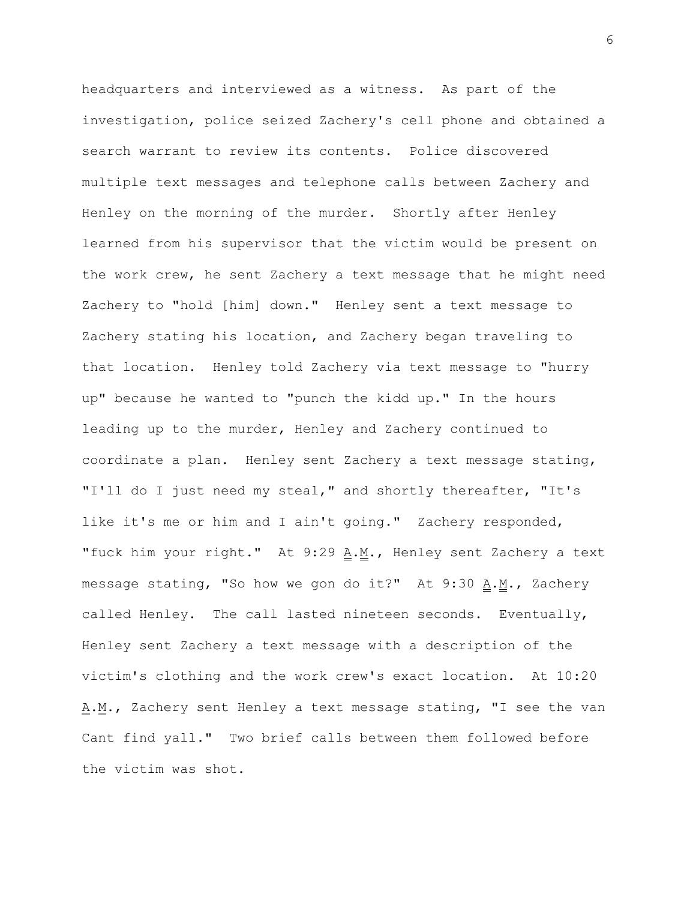headquarters and interviewed as a witness. As part of the investigation, police seized Zachery's cell phone and obtained a search warrant to review its contents. Police discovered multiple text messages and telephone calls between Zachery and Henley on the morning of the murder. Shortly after Henley learned from his supervisor that the victim would be present on the work crew, he sent Zachery a text message that he might need Zachery to "hold [him] down." Henley sent a text message to Zachery stating his location, and Zachery began traveling to that location. Henley told Zachery via text message to "hurry up" because he wanted to "punch the kidd up." In the hours leading up to the murder, Henley and Zachery continued to coordinate a plan. Henley sent Zachery a text message stating, "I'll do I just need my steal," and shortly thereafter, "It's like it's me or him and I ain't going." Zachery responded, "fuck him your right." At 9:29 A.M., Henley sent Zachery a text message stating, "So how we gon do it?" At 9:30 A.M., Zachery called Henley. The call lasted nineteen seconds. Eventually, Henley sent Zachery a text message with a description of the victim's clothing and the work crew's exact location. At 10:20 A.M., Zachery sent Henley a text message stating, "I see the van Cant find yall." Two brief calls between them followed before the victim was shot.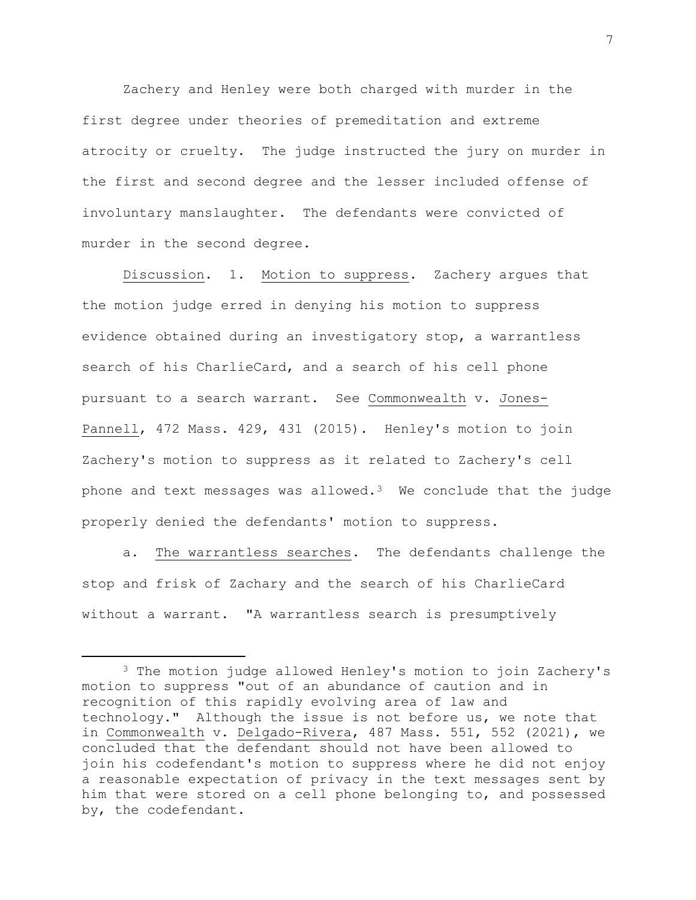Zachery and Henley were both charged with murder in the first degree under theories of premeditation and extreme atrocity or cruelty. The judge instructed the jury on murder in the first and second degree and the lesser included offense of involuntary manslaughter. The defendants were convicted of murder in the second degree.

Discussion. 1. Motion to suppress. Zachery argues that the motion judge erred in denying his motion to suppress evidence obtained during an investigatory stop, a warrantless search of his CharlieCard, and a search of his cell phone pursuant to a search warrant. See Commonwealth v. Jones-Pannell, 472 Mass. 429, 431 (2015). Henley's motion to join Zachery's motion to suppress as it related to Zachery's cell phone and text messages was allowed.<sup>3</sup> We conclude that the judge properly denied the defendants' motion to suppress.

a. The warrantless searches. The defendants challenge the stop and frisk of Zachary and the search of his CharlieCard without a warrant. "A warrantless search is presumptively

<span id="page-6-0"></span><sup>3</sup> The motion judge allowed Henley's motion to join Zachery's motion to suppress "out of an abundance of caution and in recognition of this rapidly evolving area of law and technology." Although the issue is not before us, we note that in Commonwealth v. Delgado-Rivera, 487 Mass. 551, 552 (2021), we concluded that the defendant should not have been allowed to join his codefendant's motion to suppress where he did not enjoy a reasonable expectation of privacy in the text messages sent by him that were stored on a cell phone belonging to, and possessed by, the codefendant.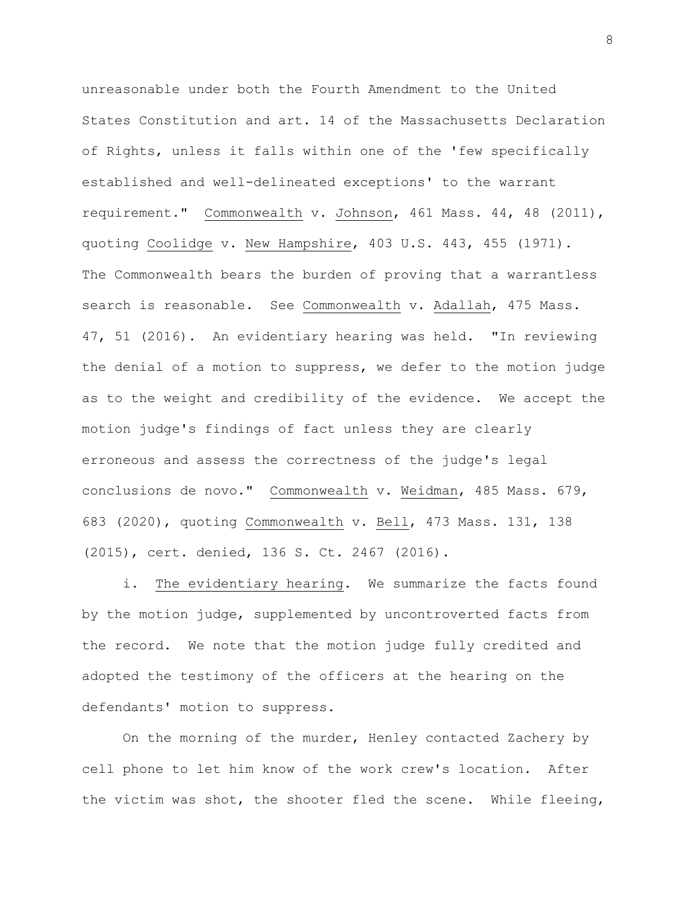unreasonable under both the Fourth Amendment to the United States Constitution and art. 14 of the Massachusetts Declaration of Rights, unless it falls within one of the 'few specifically established and well-delineated exceptions' to the warrant requirement." Commonwealth v. Johnson, 461 Mass. 44, 48 (2011), quoting Coolidge v. New Hampshire, 403 U.S. 443, 455 (1971). The Commonwealth bears the burden of proving that a warrantless search is reasonable. See Commonwealth v. Adallah, 475 Mass. 47, 51 (2016). An evidentiary hearing was held. "In reviewing the denial of a motion to suppress, we defer to the motion judge as to the weight and credibility of the evidence. We accept the motion judge's findings of fact unless they are clearly erroneous and assess the correctness of the judge's legal conclusions de novo." Commonwealth v. Weidman, 485 Mass. 679, 683 (2020), quoting Commonwealth v. Bell, 473 Mass. 131, 138 (2015), cert. denied, 136 S. Ct. 2467 (2016).

i. The evidentiary hearing. We summarize the facts found by the motion judge, supplemented by uncontroverted facts from the record. We note that the motion judge fully credited and adopted the testimony of the officers at the hearing on the defendants' motion to suppress.

On the morning of the murder, Henley contacted Zachery by cell phone to let him know of the work crew's location. After the victim was shot, the shooter fled the scene. While fleeing,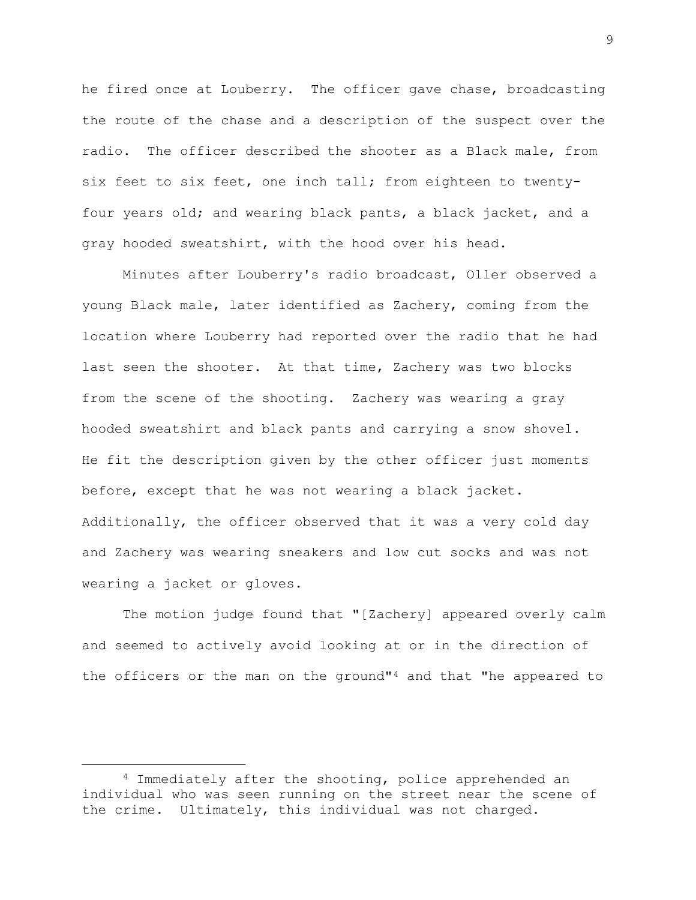he fired once at Louberry. The officer gave chase, broadcasting the route of the chase and a description of the suspect over the radio. The officer described the shooter as a Black male, from six feet to six feet, one inch tall; from eighteen to twentyfour years old; and wearing black pants, a black jacket, and a gray hooded sweatshirt, with the hood over his head.

Minutes after Louberry's radio broadcast, Oller observed a young Black male, later identified as Zachery, coming from the location where Louberry had reported over the radio that he had last seen the shooter. At that time, Zachery was two blocks from the scene of the shooting. Zachery was wearing a gray hooded sweatshirt and black pants and carrying a snow shovel. He fit the description given by the other officer just moments before, except that he was not wearing a black jacket. Additionally, the officer observed that it was a very cold day and Zachery was wearing sneakers and low cut socks and was not wearing a jacket or gloves.

The motion judge found that "[Zachery] appeared overly calm and seemed to actively avoid looking at or in the direction of the officers or the man on the ground"[4](#page-8-0) and that "he appeared to

<span id="page-8-0"></span><sup>4</sup> Immediately after the shooting, police apprehended an individual who was seen running on the street near the scene of the crime. Ultimately, this individual was not charged.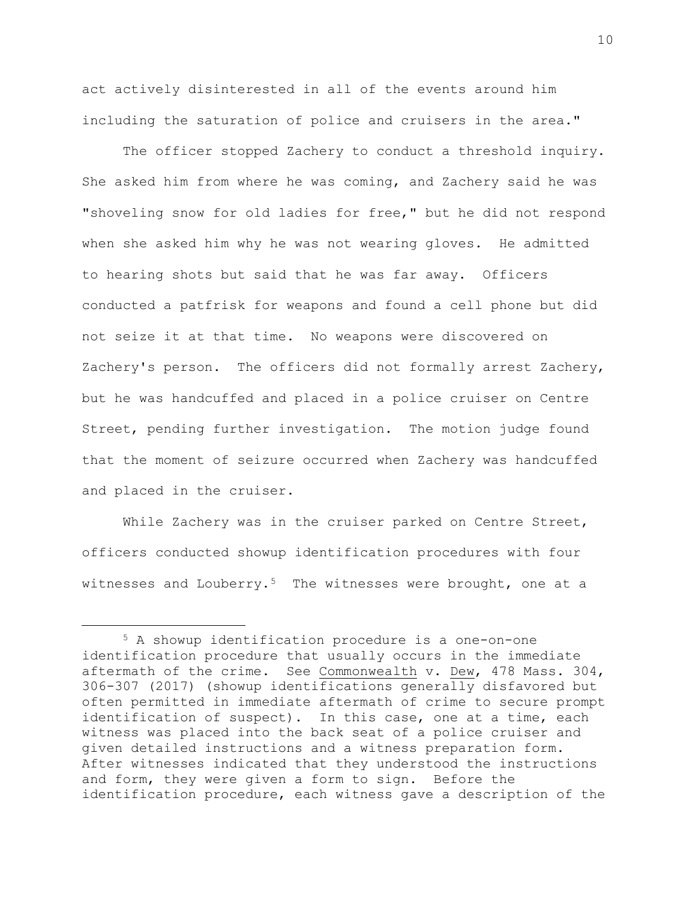act actively disinterested in all of the events around him including the saturation of police and cruisers in the area."

The officer stopped Zachery to conduct a threshold inquiry. She asked him from where he was coming, and Zachery said he was "shoveling snow for old ladies for free," but he did not respond when she asked him why he was not wearing gloves. He admitted to hearing shots but said that he was far away. Officers conducted a patfrisk for weapons and found a cell phone but did not seize it at that time. No weapons were discovered on Zachery's person. The officers did not formally arrest Zachery, but he was handcuffed and placed in a police cruiser on Centre Street, pending further investigation. The motion judge found that the moment of seizure occurred when Zachery was handcuffed and placed in the cruiser.

While Zachery was in the cruiser parked on Centre Street, officers conducted showup identification procedures with four witnesses and Louberry.<sup>[5](#page-9-0)</sup> The witnesses were brought, one at a

<span id="page-9-0"></span><sup>5</sup> A showup identification procedure is a one-on-one identification procedure that usually occurs in the immediate aftermath of the crime. See Commonwealth v. Dew, 478 Mass. 304, 306-307 (2017) (showup identifications generally disfavored but often permitted in immediate aftermath of crime to secure prompt identification of suspect). In this case, one at a time, each witness was placed into the back seat of a police cruiser and given detailed instructions and a witness preparation form. After witnesses indicated that they understood the instructions and form, they were given a form to sign. Before the identification procedure, each witness gave a description of the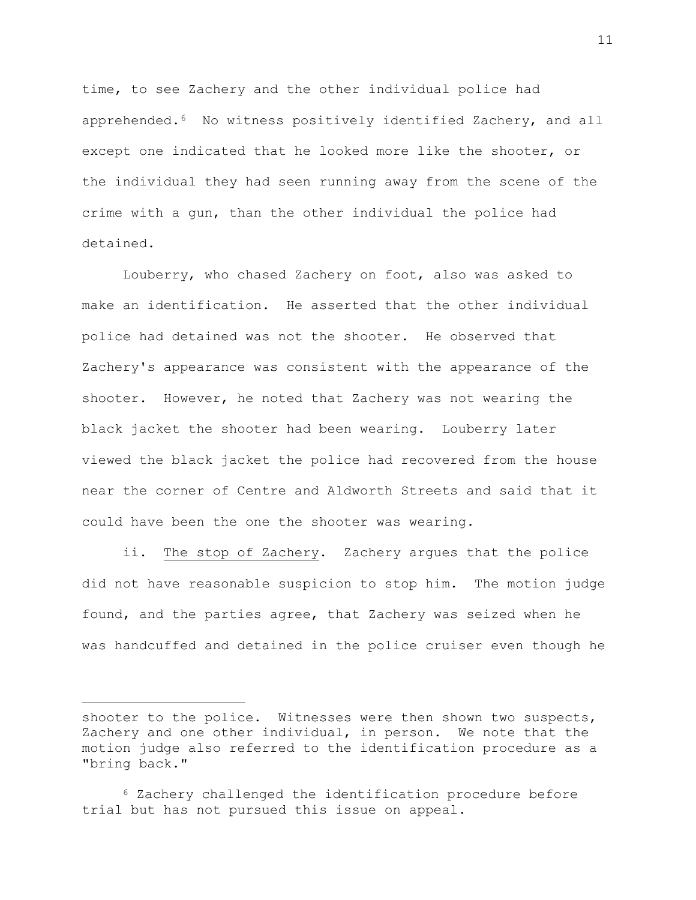time, to see Zachery and the other individual police had apprehended.<sup>6</sup> No witness positively identified Zachery, and all except one indicated that he looked more like the shooter, or the individual they had seen running away from the scene of the crime with a gun, than the other individual the police had detained.

Louberry, who chased Zachery on foot, also was asked to make an identification. He asserted that the other individual police had detained was not the shooter. He observed that Zachery's appearance was consistent with the appearance of the shooter. However, he noted that Zachery was not wearing the black jacket the shooter had been wearing. Louberry later viewed the black jacket the police had recovered from the house near the corner of Centre and Aldworth Streets and said that it could have been the one the shooter was wearing.

ii. The stop of Zachery. Zachery argues that the police did not have reasonable suspicion to stop him. The motion judge found, and the parties agree, that Zachery was seized when he was handcuffed and detained in the police cruiser even though he

shooter to the police. Witnesses were then shown two suspects, Zachery and one other individual, in person. We note that the motion judge also referred to the identification procedure as a "bring back."

<span id="page-10-0"></span><sup>6</sup> Zachery challenged the identification procedure before trial but has not pursued this issue on appeal.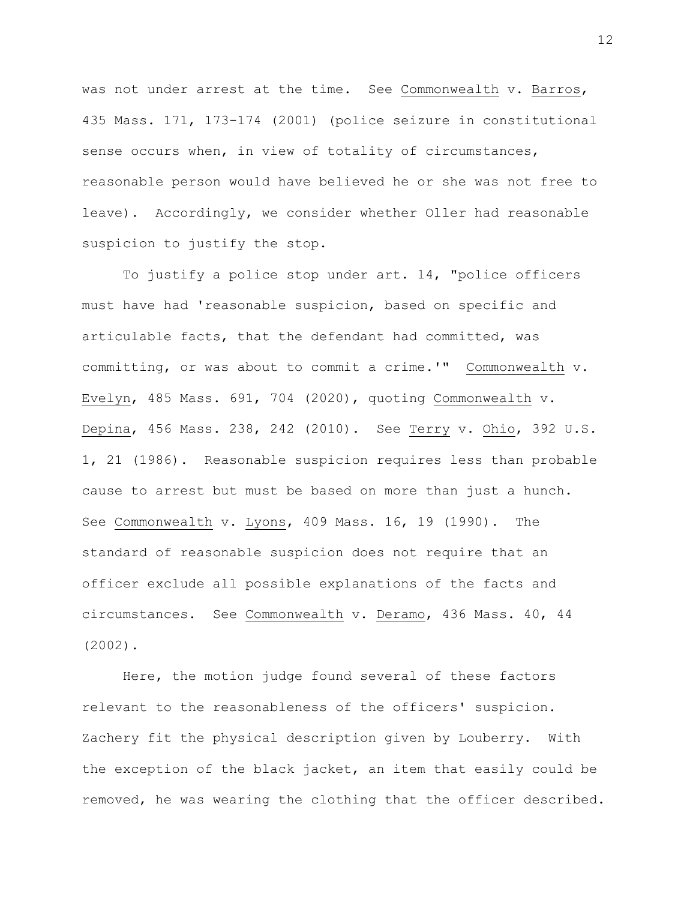was not under arrest at the time. See Commonwealth v. Barros, 435 Mass. 171, 173-174 (2001) (police seizure in constitutional sense occurs when, in view of totality of circumstances, reasonable person would have believed he or she was not free to leave). Accordingly, we consider whether Oller had reasonable suspicion to justify the stop.

To justify a police stop under art. 14, "police officers must have had 'reasonable suspicion, based on specific and articulable facts, that the defendant had committed, was committing, or was about to commit a crime.'" Commonwealth v. Evelyn, 485 Mass. 691, 704 (2020), quoting Commonwealth v. Depina, 456 Mass. 238, 242 (2010). See Terry v. Ohio, 392 U.S. 1, 21 (1986). Reasonable suspicion requires less than probable cause to arrest but must be based on more than just a hunch. See Commonwealth v. Lyons, 409 Mass. 16, 19 (1990). The standard of reasonable suspicion does not require that an officer exclude all possible explanations of the facts and circumstances. See Commonwealth v. Deramo, 436 Mass. 40, 44 (2002).

Here, the motion judge found several of these factors relevant to the reasonableness of the officers' suspicion. Zachery fit the physical description given by Louberry. With the exception of the black jacket, an item that easily could be removed, he was wearing the clothing that the officer described.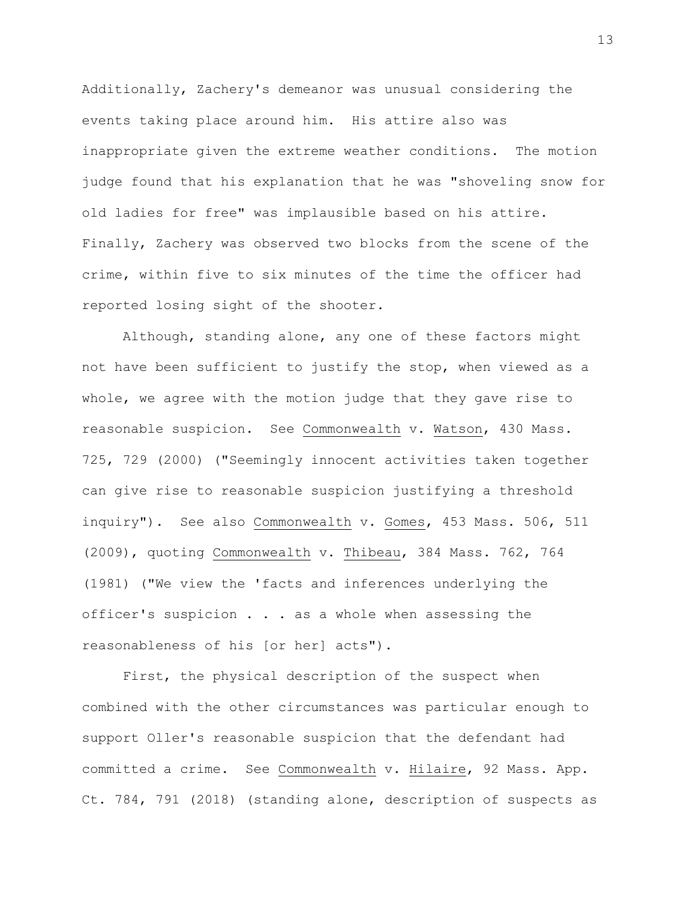Additionally, Zachery's demeanor was unusual considering the events taking place around him. His attire also was inappropriate given the extreme weather conditions. The motion judge found that his explanation that he was "shoveling snow for old ladies for free" was implausible based on his attire. Finally, Zachery was observed two blocks from the scene of the crime, within five to six minutes of the time the officer had reported losing sight of the shooter.

Although, standing alone, any one of these factors might not have been sufficient to justify the stop, when viewed as a whole, we agree with the motion judge that they gave rise to reasonable suspicion. See Commonwealth v. Watson, 430 Mass. 725, 729 (2000) ("Seemingly innocent activities taken together can give rise to reasonable suspicion justifying a threshold inquiry"). See also Commonwealth v. Gomes, 453 Mass. 506, 511 (2009), quoting Commonwealth v. Thibeau, 384 Mass. 762, 764 (1981) ("We view the 'facts and inferences underlying the officer's suspicion . . . as a whole when assessing the reasonableness of his [or her] acts").

First, the physical description of the suspect when combined with the other circumstances was particular enough to support Oller's reasonable suspicion that the defendant had committed a crime. See Commonwealth v. Hilaire, 92 Mass. App. Ct. 784, 791 (2018) (standing alone, description of suspects as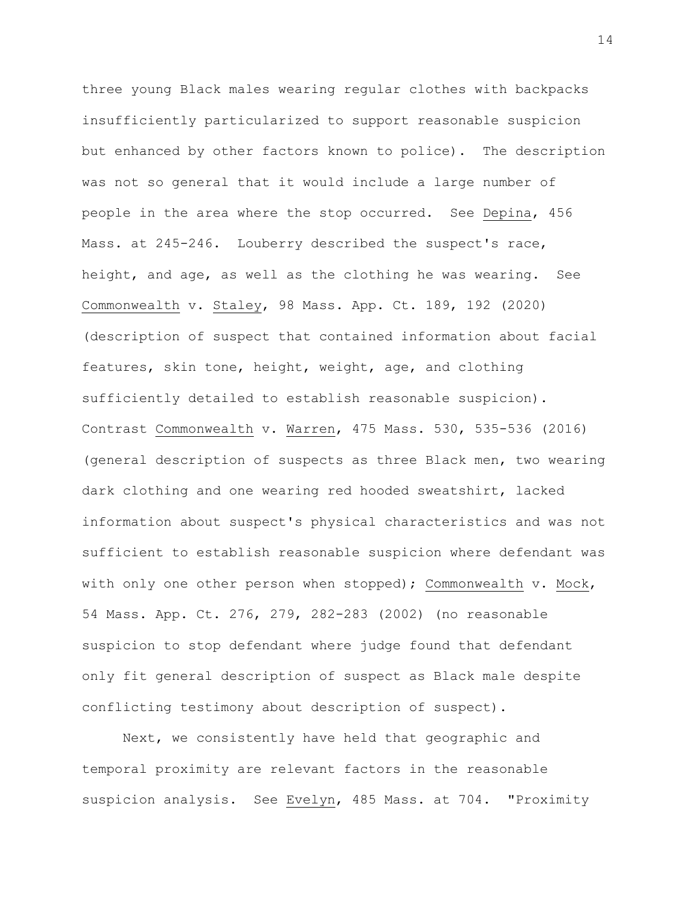three young Black males wearing regular clothes with backpacks insufficiently particularized to support reasonable suspicion but enhanced by other factors known to police). The description was not so general that it would include a large number of people in the area where the stop occurred. See Depina, 456 Mass. at 245-246. Louberry described the suspect's race, height, and age, as well as the clothing he was wearing. See Commonwealth v. Staley, 98 Mass. App. Ct. 189, 192 (2020) (description of suspect that contained information about facial features, skin tone, height, weight, age, and clothing sufficiently detailed to establish reasonable suspicion). Contrast Commonwealth v. Warren, 475 Mass. 530, 535-536 (2016) (general description of suspects as three Black men, two wearing dark clothing and one wearing red hooded sweatshirt, lacked information about suspect's physical characteristics and was not sufficient to establish reasonable suspicion where defendant was with only one other person when stopped); Commonwealth v. Mock, 54 Mass. App. Ct. 276, 279, 282-283 (2002) (no reasonable suspicion to stop defendant where judge found that defendant only fit general description of suspect as Black male despite conflicting testimony about description of suspect).

Next, we consistently have held that geographic and temporal proximity are relevant factors in the reasonable suspicion analysis. See Evelyn, 485 Mass. at 704. "Proximity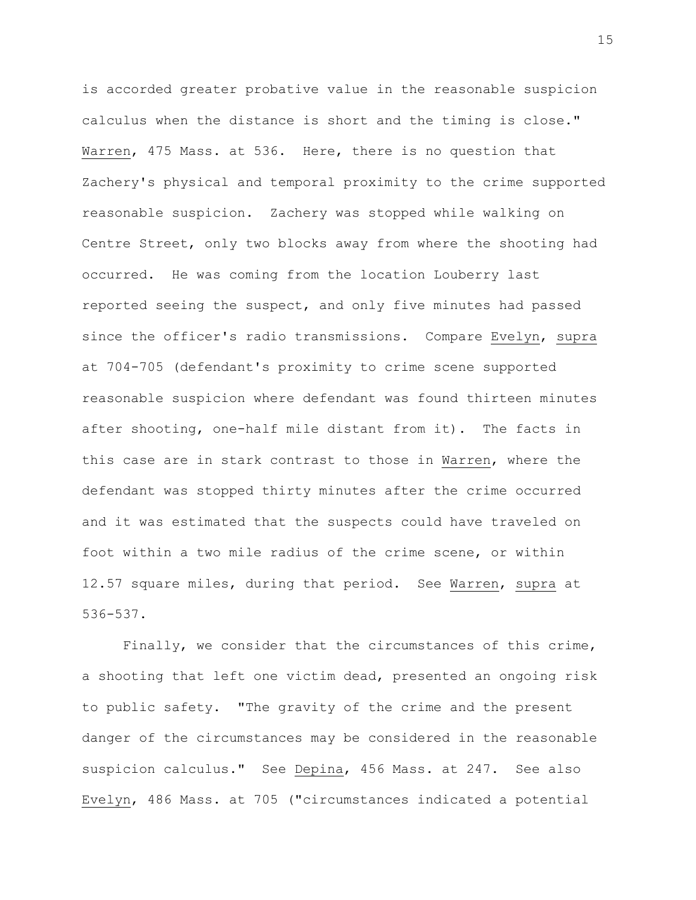is accorded greater probative value in the reasonable suspicion calculus when the distance is short and the timing is close." Warren, 475 Mass. at 536. Here, there is no question that Zachery's physical and temporal proximity to the crime supported reasonable suspicion. Zachery was stopped while walking on Centre Street, only two blocks away from where the shooting had occurred. He was coming from the location Louberry last reported seeing the suspect, and only five minutes had passed since the officer's radio transmissions. Compare Evelyn, supra at 704-705 (defendant's proximity to crime scene supported reasonable suspicion where defendant was found thirteen minutes after shooting, one-half mile distant from it). The facts in this case are in stark contrast to those in Warren, where the defendant was stopped thirty minutes after the crime occurred and it was estimated that the suspects could have traveled on foot within a two mile radius of the crime scene, or within 12.57 square miles, during that period. See Warren, supra at 536-537.

Finally, we consider that the circumstances of this crime, a shooting that left one victim dead, presented an ongoing risk to public safety. "The gravity of the crime and the present danger of the circumstances may be considered in the reasonable suspicion calculus." See Depina, 456 Mass. at 247. See also Evelyn, 486 Mass. at 705 ("circumstances indicated a potential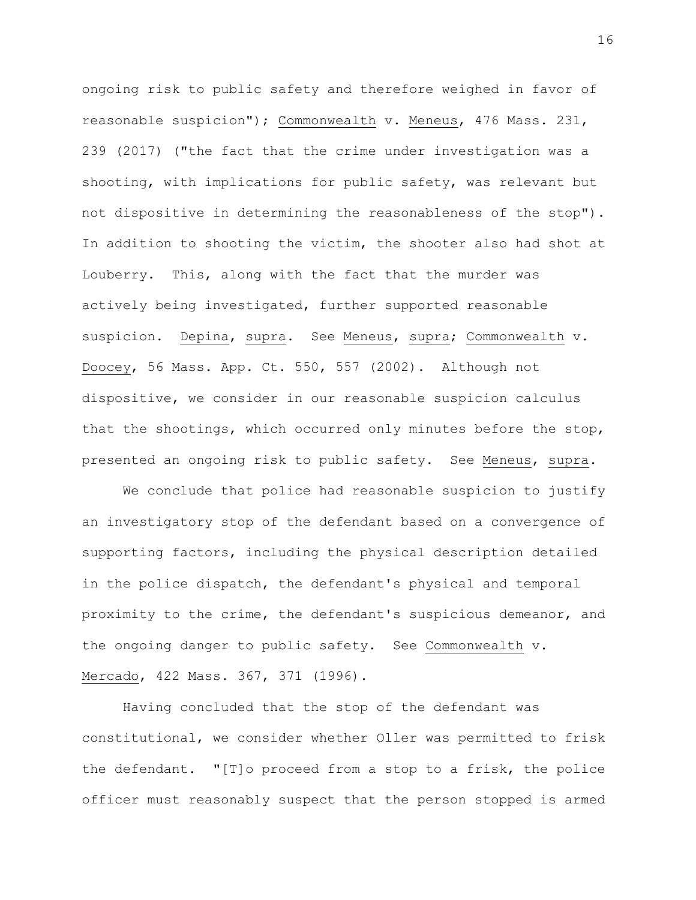ongoing risk to public safety and therefore weighed in favor of reasonable suspicion"); Commonwealth v. Meneus, 476 Mass. 231, 239 (2017) ("the fact that the crime under investigation was a shooting, with implications for public safety, was relevant but not dispositive in determining the reasonableness of the stop"). In addition to shooting the victim, the shooter also had shot at Louberry. This, along with the fact that the murder was actively being investigated, further supported reasonable suspicion. Depina, supra. See Meneus, supra; Commonwealth v. Doocey, 56 Mass. App. Ct. 550, 557 (2002). Although not dispositive, we consider in our reasonable suspicion calculus that the shootings, which occurred only minutes before the stop, presented an ongoing risk to public safety. See Meneus, supra.

We conclude that police had reasonable suspicion to justify an investigatory stop of the defendant based on a convergence of supporting factors, including the physical description detailed in the police dispatch, the defendant's physical and temporal proximity to the crime, the defendant's suspicious demeanor, and the ongoing danger to public safety. See Commonwealth v. Mercado, 422 Mass. 367, 371 (1996).

Having concluded that the stop of the defendant was constitutional, we consider whether Oller was permitted to frisk the defendant. "[T]o proceed from a stop to a frisk, the police officer must reasonably suspect that the person stopped is armed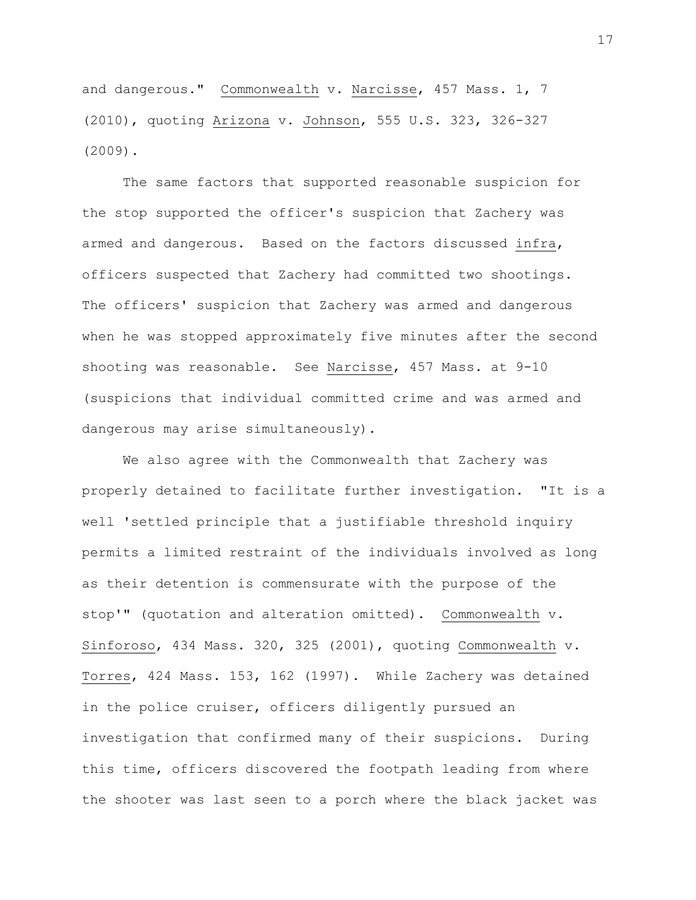and dangerous." Commonwealth v. Narcisse, 457 Mass. 1, 7 (2010), quoting Arizona v. Johnson, 555 U.S. 323, 326-327 (2009).

The same factors that supported reasonable suspicion for the stop supported the officer's suspicion that Zachery was armed and dangerous. Based on the factors discussed infra, officers suspected that Zachery had committed two shootings. The officers' suspicion that Zachery was armed and dangerous when he was stopped approximately five minutes after the second shooting was reasonable. See Narcisse, 457 Mass. at 9-10 (suspicions that individual committed crime and was armed and dangerous may arise simultaneously).

We also agree with the Commonwealth that Zachery was properly detained to facilitate further investigation. "It is a well 'settled principle that a justifiable threshold inquiry permits a limited restraint of the individuals involved as long as their detention is commensurate with the purpose of the stop'" (quotation and alteration omitted). Commonwealth v. Sinforoso, 434 Mass. 320, 325 (2001), quoting Commonwealth v. Torres, 424 Mass. 153, 162 (1997). While Zachery was detained in the police cruiser, officers diligently pursued an investigation that confirmed many of their suspicions. During this time, officers discovered the footpath leading from where the shooter was last seen to a porch where the black jacket was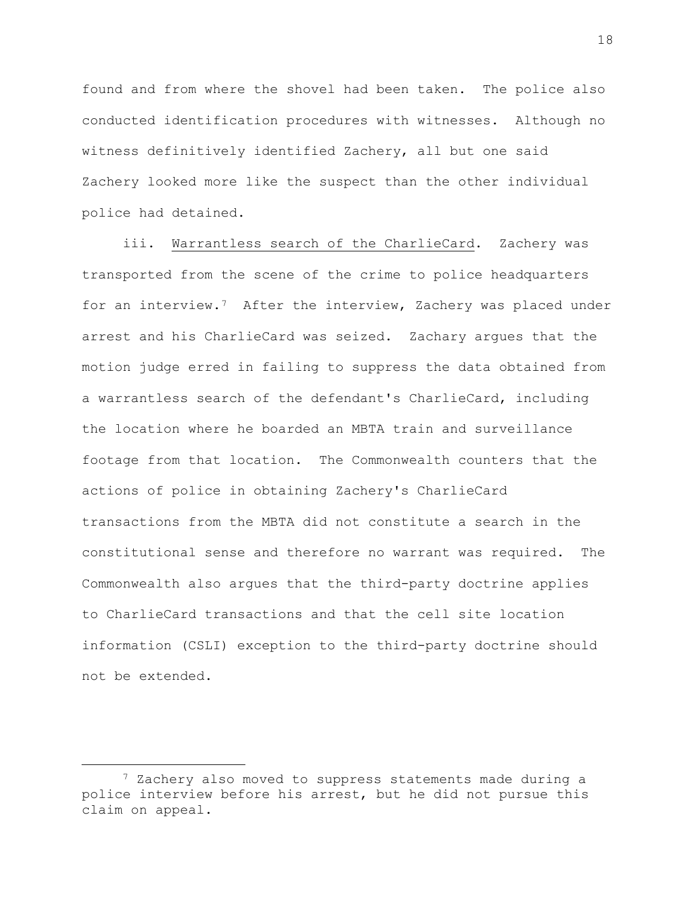found and from where the shovel had been taken. The police also conducted identification procedures with witnesses. Although no witness definitively identified Zachery, all but one said Zachery looked more like the suspect than the other individual police had detained.

iii. Warrantless search of the CharlieCard. Zachery was transported from the scene of the crime to police headquarters for an interview.[7](#page-17-0) After the interview, Zachery was placed under arrest and his CharlieCard was seized. Zachary argues that the motion judge erred in failing to suppress the data obtained from a warrantless search of the defendant's CharlieCard, including the location where he boarded an MBTA train and surveillance footage from that location. The Commonwealth counters that the actions of police in obtaining Zachery's CharlieCard transactions from the MBTA did not constitute a search in the constitutional sense and therefore no warrant was required. The Commonwealth also argues that the third-party doctrine applies to CharlieCard transactions and that the cell site location information (CSLI) exception to the third-party doctrine should not be extended.

<span id="page-17-0"></span><sup>&</sup>lt;sup>7</sup> Zachery also moved to suppress statements made during a police interview before his arrest, but he did not pursue this claim on appeal.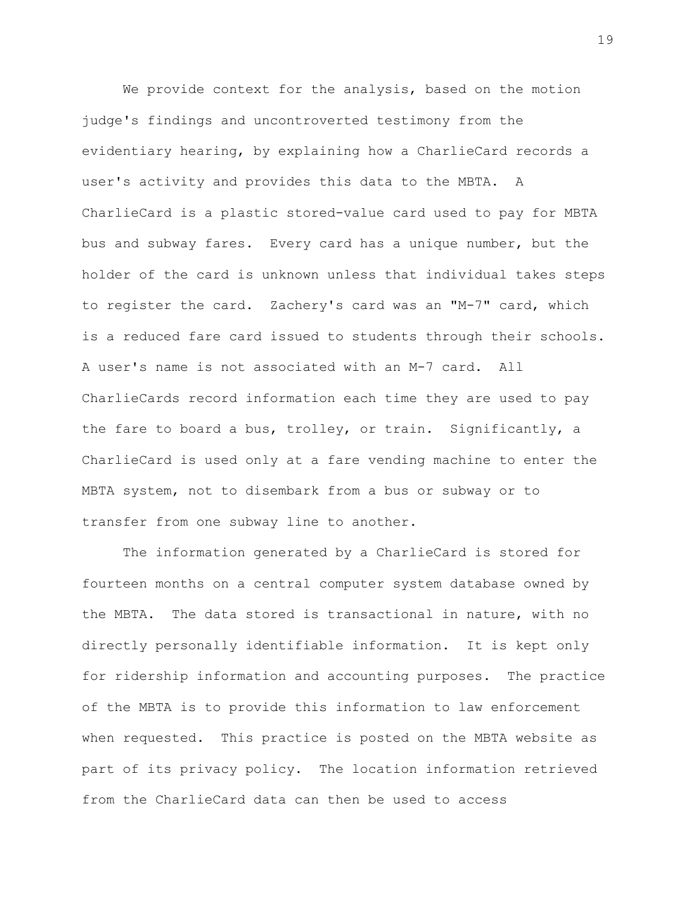We provide context for the analysis, based on the motion judge's findings and uncontroverted testimony from the evidentiary hearing, by explaining how a CharlieCard records a user's activity and provides this data to the MBTA. A CharlieCard is a plastic stored-value card used to pay for MBTA bus and subway fares. Every card has a unique number, but the holder of the card is unknown unless that individual takes steps to register the card. Zachery's card was an "M-7" card, which is a reduced fare card issued to students through their schools. A user's name is not associated with an M-7 card. All CharlieCards record information each time they are used to pay the fare to board a bus, trolley, or train. Significantly, a CharlieCard is used only at a fare vending machine to enter the MBTA system, not to disembark from a bus or subway or to transfer from one subway line to another.

The information generated by a CharlieCard is stored for fourteen months on a central computer system database owned by the MBTA. The data stored is transactional in nature, with no directly personally identifiable information. It is kept only for ridership information and accounting purposes. The practice of the MBTA is to provide this information to law enforcement when requested. This practice is posted on the MBTA website as part of its privacy policy. The location information retrieved from the CharlieCard data can then be used to access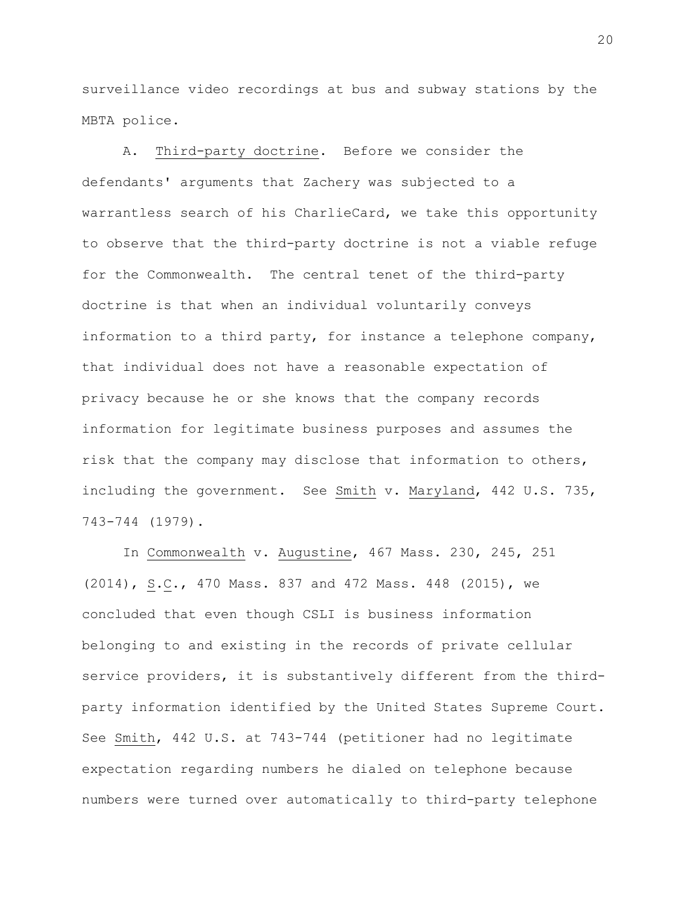surveillance video recordings at bus and subway stations by the MBTA police.

A. Third-party doctrine. Before we consider the defendants' arguments that Zachery was subjected to a warrantless search of his CharlieCard, we take this opportunity to observe that the third-party doctrine is not a viable refuge for the Commonwealth. The central tenet of the third-party doctrine is that when an individual voluntarily conveys information to a third party, for instance a telephone company, that individual does not have a reasonable expectation of privacy because he or she knows that the company records information for legitimate business purposes and assumes the risk that the company may disclose that information to others, including the government. See Smith v. Maryland, 442 U.S. 735, 743-744 (1979).

In Commonwealth v. Augustine, 467 Mass. 230, 245, 251 (2014), S.C., 470 Mass. 837 and 472 Mass. 448 (2015), we concluded that even though CSLI is business information belonging to and existing in the records of private cellular service providers, it is substantively different from the thirdparty information identified by the United States Supreme Court. See Smith, 442 U.S. at 743-744 (petitioner had no legitimate expectation regarding numbers he dialed on telephone because numbers were turned over automatically to third-party telephone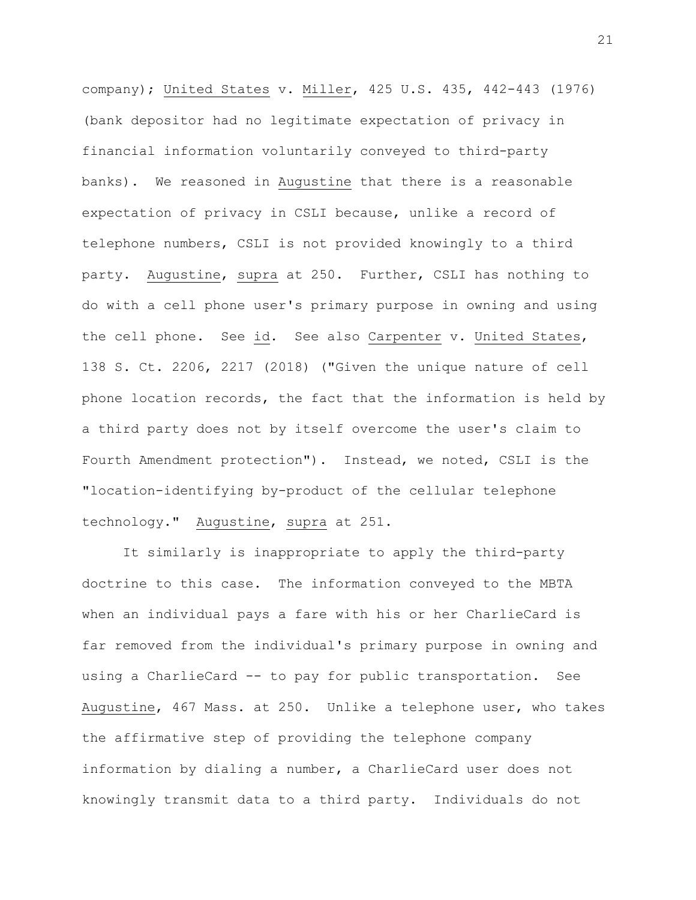company); United States v. Miller, 425 U.S. 435, 442-443 (1976) (bank depositor had no legitimate expectation of privacy in financial information voluntarily conveyed to third-party banks). We reasoned in Augustine that there is a reasonable expectation of privacy in CSLI because, unlike a record of telephone numbers, CSLI is not provided knowingly to a third party. Augustine, supra at 250. Further, CSLI has nothing to do with a cell phone user's primary purpose in owning and using the cell phone. See id. See also Carpenter v. United States, 138 S. Ct. 2206, 2217 (2018) ("Given the unique nature of cell phone location records, the fact that the information is held by a third party does not by itself overcome the user's claim to Fourth Amendment protection"). Instead, we noted, CSLI is the "location-identifying by-product of the cellular telephone technology." Augustine, supra at 251.

It similarly is inappropriate to apply the third-party doctrine to this case. The information conveyed to the MBTA when an individual pays a fare with his or her CharlieCard is far removed from the individual's primary purpose in owning and using a CharlieCard -- to pay for public transportation. See Augustine, 467 Mass. at 250. Unlike a telephone user, who takes the affirmative step of providing the telephone company information by dialing a number, a CharlieCard user does not knowingly transmit data to a third party. Individuals do not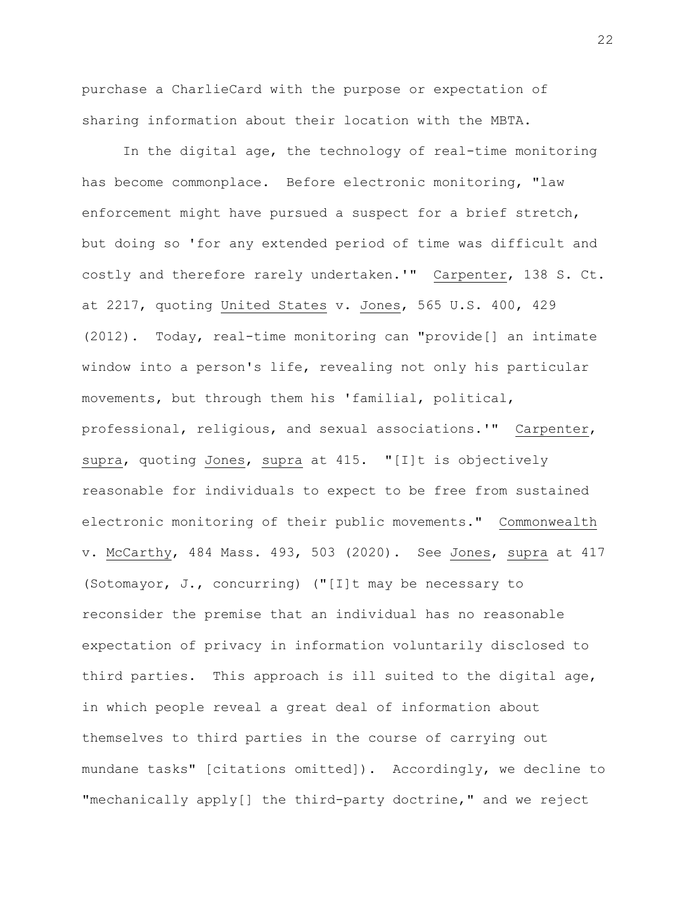purchase a CharlieCard with the purpose or expectation of sharing information about their location with the MBTA.

In the digital age, the technology of real-time monitoring has become commonplace. Before electronic monitoring, "law enforcement might have pursued a suspect for a brief stretch, but doing so 'for any extended period of time was difficult and costly and therefore rarely undertaken.'" Carpenter, 138 S. Ct. at 2217, quoting United States v. Jones, 565 U.S. 400, 429 (2012). Today, real-time monitoring can "provide[] an intimate window into a person's life, revealing not only his particular movements, but through them his 'familial, political, professional, religious, and sexual associations.'" Carpenter, supra, quoting Jones, supra at 415. "[I]t is objectively reasonable for individuals to expect to be free from sustained electronic monitoring of their public movements." Commonwealth v. McCarthy, 484 Mass. 493, 503 (2020). See Jones, supra at 417 (Sotomayor, J., concurring) ("[I]t may be necessary to reconsider the premise that an individual has no reasonable expectation of privacy in information voluntarily disclosed to third parties. This approach is ill suited to the digital age, in which people reveal a great deal of information about themselves to third parties in the course of carrying out mundane tasks" [citations omitted]). Accordingly, we decline to "mechanically apply[] the third-party doctrine," and we reject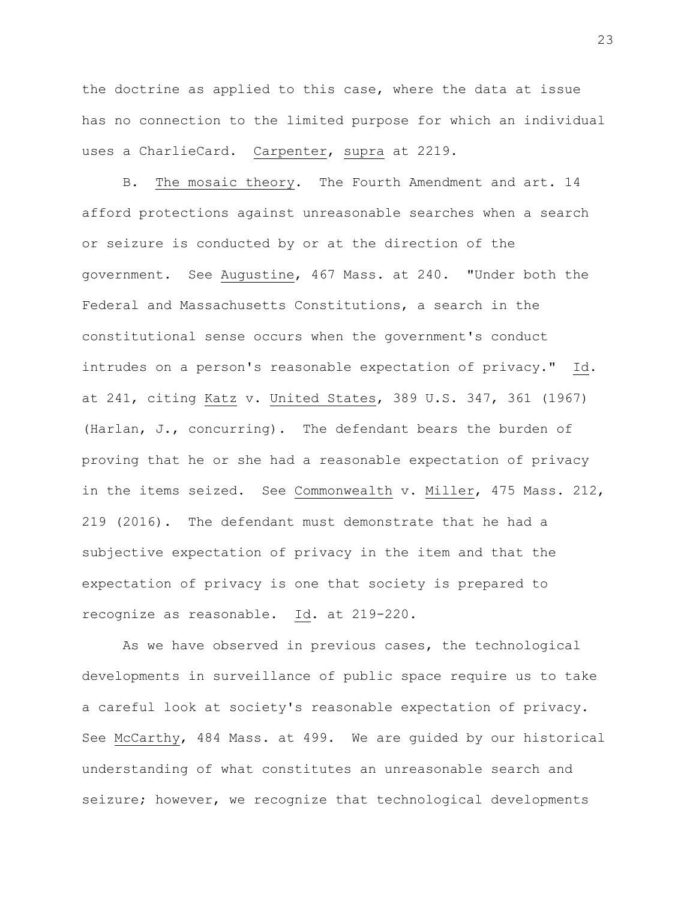the doctrine as applied to this case, where the data at issue has no connection to the limited purpose for which an individual uses a CharlieCard. Carpenter, supra at 2219.

B. The mosaic theory. The Fourth Amendment and art. 14 afford protections against unreasonable searches when a search or seizure is conducted by or at the direction of the government. See Augustine, 467 Mass. at 240. "Under both the Federal and Massachusetts Constitutions, a search in the constitutional sense occurs when the government's conduct intrudes on a person's reasonable expectation of privacy." Id. at 241, citing Katz v. United States, 389 U.S. 347, 361 (1967) (Harlan, J., concurring). The defendant bears the burden of proving that he or she had a reasonable expectation of privacy in the items seized. See Commonwealth v. Miller, 475 Mass. 212, 219 (2016). The defendant must demonstrate that he had a subjective expectation of privacy in the item and that the expectation of privacy is one that society is prepared to recognize as reasonable. Id. at 219-220.

As we have observed in previous cases, the technological developments in surveillance of public space require us to take a careful look at society's reasonable expectation of privacy. See McCarthy, 484 Mass. at 499. We are guided by our historical understanding of what constitutes an unreasonable search and seizure; however, we recognize that technological developments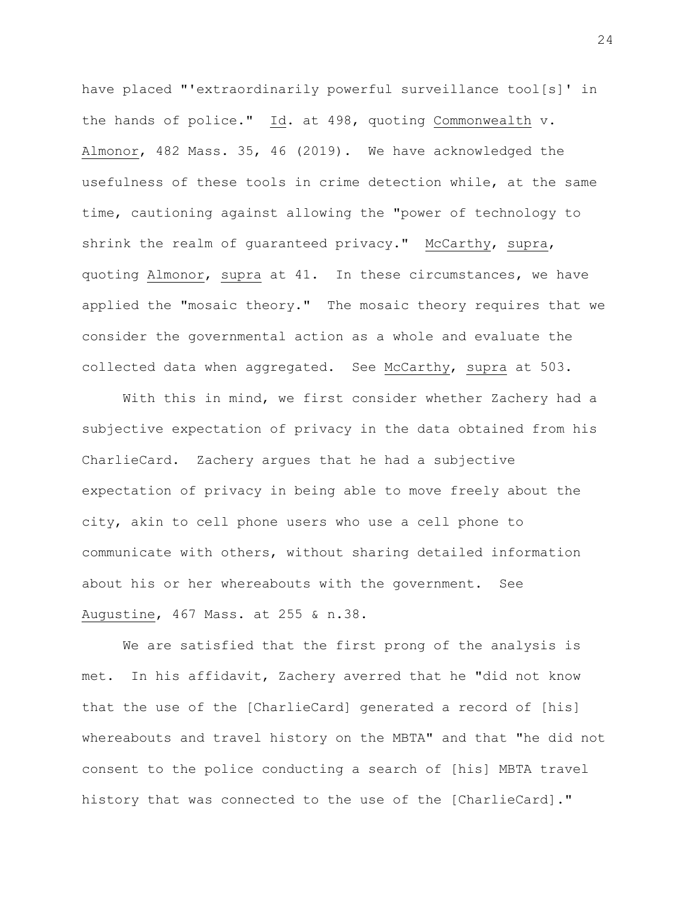have placed "'extraordinarily powerful surveillance tool[s]' in the hands of police." Id. at 498, quoting Commonwealth v. Almonor, 482 Mass. 35, 46 (2019). We have acknowledged the usefulness of these tools in crime detection while, at the same time, cautioning against allowing the "power of technology to shrink the realm of guaranteed privacy." McCarthy, supra, quoting Almonor, supra at 41. In these circumstances, we have applied the "mosaic theory." The mosaic theory requires that we consider the governmental action as a whole and evaluate the collected data when aggregated. See McCarthy, supra at 503.

With this in mind, we first consider whether Zachery had a subjective expectation of privacy in the data obtained from his CharlieCard. Zachery argues that he had a subjective expectation of privacy in being able to move freely about the city, akin to cell phone users who use a cell phone to communicate with others, without sharing detailed information about his or her whereabouts with the government. See Augustine, 467 Mass. at 255 & n.38.

We are satisfied that the first prong of the analysis is met. In his affidavit, Zachery averred that he "did not know that the use of the [CharlieCard] generated a record of [his] whereabouts and travel history on the MBTA" and that "he did not consent to the police conducting a search of [his] MBTA travel history that was connected to the use of the [CharlieCard]."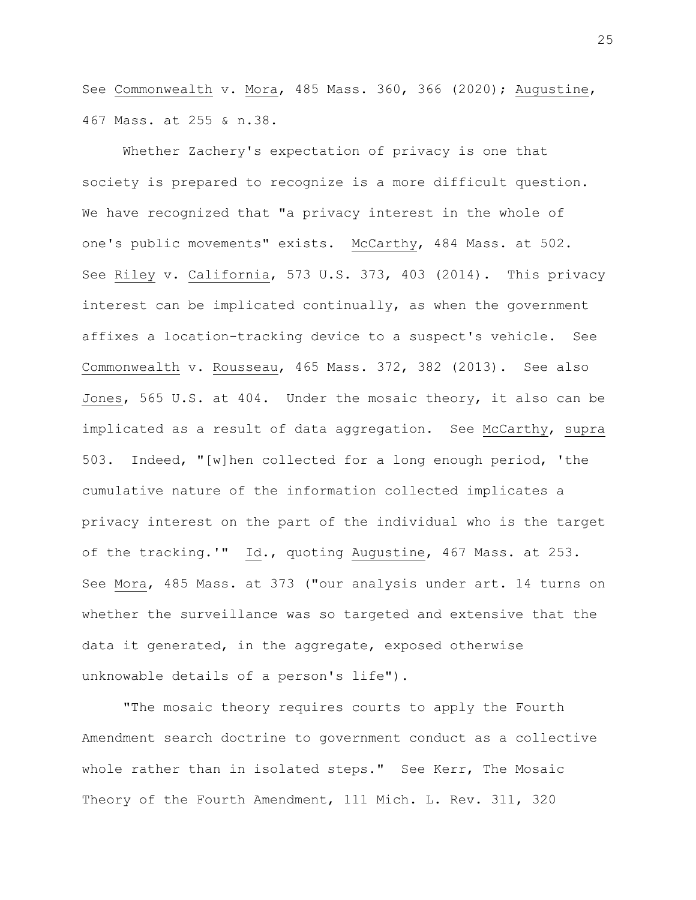See Commonwealth v. Mora, 485 Mass. 360, 366 (2020); Augustine, 467 Mass. at 255 & n.38.

Whether Zachery's expectation of privacy is one that society is prepared to recognize is a more difficult question. We have recognized that "a privacy interest in the whole of one's public movements" exists. McCarthy, 484 Mass. at 502. See Riley v. California, 573 U.S. 373, 403 (2014). This privacy interest can be implicated continually, as when the government affixes a location-tracking device to a suspect's vehicle. See Commonwealth v. Rousseau, 465 Mass. 372, 382 (2013). See also Jones, 565 U.S. at 404. Under the mosaic theory, it also can be implicated as a result of data aggregation. See McCarthy, supra 503. Indeed, "[w]hen collected for a long enough period, 'the cumulative nature of the information collected implicates a privacy interest on the part of the individual who is the target of the tracking.'" Id., quoting Augustine, 467 Mass. at 253. See Mora, 485 Mass. at 373 ("our analysis under art. 14 turns on whether the surveillance was so targeted and extensive that the data it generated, in the aggregate, exposed otherwise unknowable details of a person's life").

"The mosaic theory requires courts to apply the Fourth Amendment search doctrine to government conduct as a collective whole rather than in isolated steps." See Kerr, The Mosaic Theory of the Fourth Amendment, 111 Mich. L. Rev. 311, 320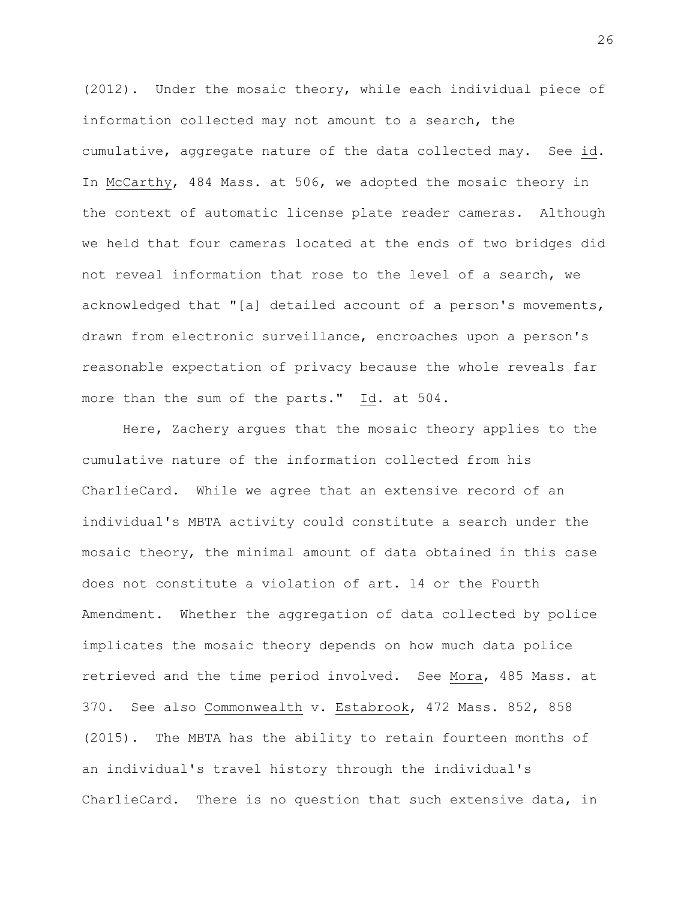(2012). Under the mosaic theory, while each individual piece of information collected may not amount to a search, the cumulative, aggregate nature of the data collected may. See id. In McCarthy, 484 Mass. at 506, we adopted the mosaic theory in the context of automatic license plate reader cameras. Although we held that four cameras located at the ends of two bridges did not reveal information that rose to the level of a search, we acknowledged that "[a] detailed account of a person's movements, drawn from electronic surveillance, encroaches upon a person's reasonable expectation of privacy because the whole reveals far more than the sum of the parts." Id. at 504.

Here, Zachery argues that the mosaic theory applies to the cumulative nature of the information collected from his CharlieCard. While we agree that an extensive record of an individual's MBTA activity could constitute a search under the mosaic theory, the minimal amount of data obtained in this case does not constitute a violation of art. 14 or the Fourth Amendment. Whether the aggregation of data collected by police implicates the mosaic theory depends on how much data police retrieved and the time period involved. See Mora, 485 Mass. at 370. See also Commonwealth v. Estabrook, 472 Mass. 852, 858 (2015). The MBTA has the ability to retain fourteen months of an individual's travel history through the individual's CharlieCard. There is no question that such extensive data, in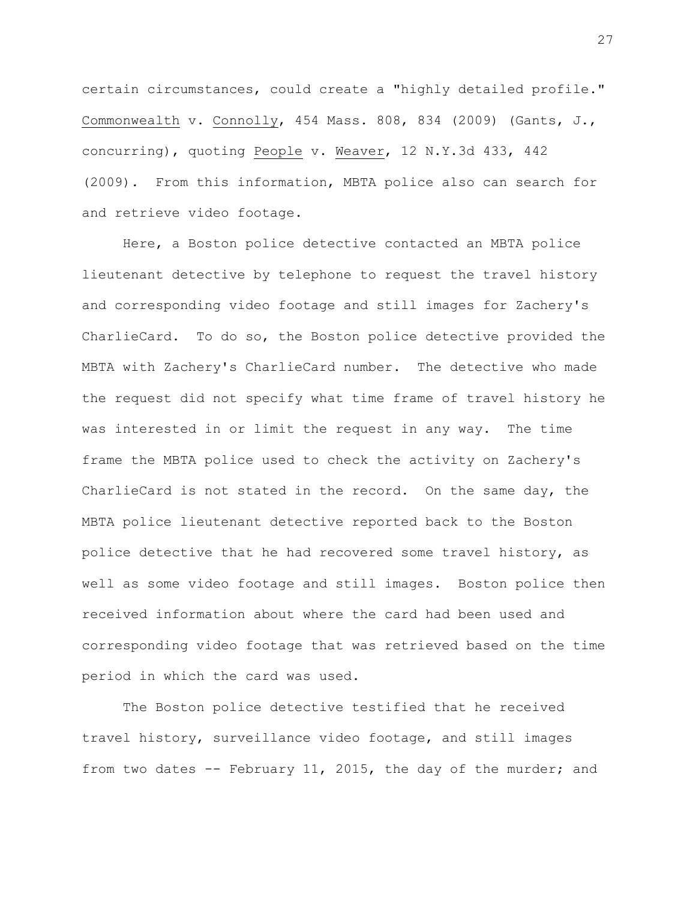certain circumstances, could create a "highly detailed profile." Commonwealth v. Connolly, 454 Mass. 808, 834 (2009) (Gants, J., concurring), quoting People v. Weaver, 12 N.Y.3d 433, 442 (2009). From this information, MBTA police also can search for and retrieve video footage.

Here, a Boston police detective contacted an MBTA police lieutenant detective by telephone to request the travel history and corresponding video footage and still images for Zachery's CharlieCard. To do so, the Boston police detective provided the MBTA with Zachery's CharlieCard number. The detective who made the request did not specify what time frame of travel history he was interested in or limit the request in any way. The time frame the MBTA police used to check the activity on Zachery's CharlieCard is not stated in the record. On the same day, the MBTA police lieutenant detective reported back to the Boston police detective that he had recovered some travel history, as well as some video footage and still images. Boston police then received information about where the card had been used and corresponding video footage that was retrieved based on the time period in which the card was used.

The Boston police detective testified that he received travel history, surveillance video footage, and still images from two dates -- February 11, 2015, the day of the murder; and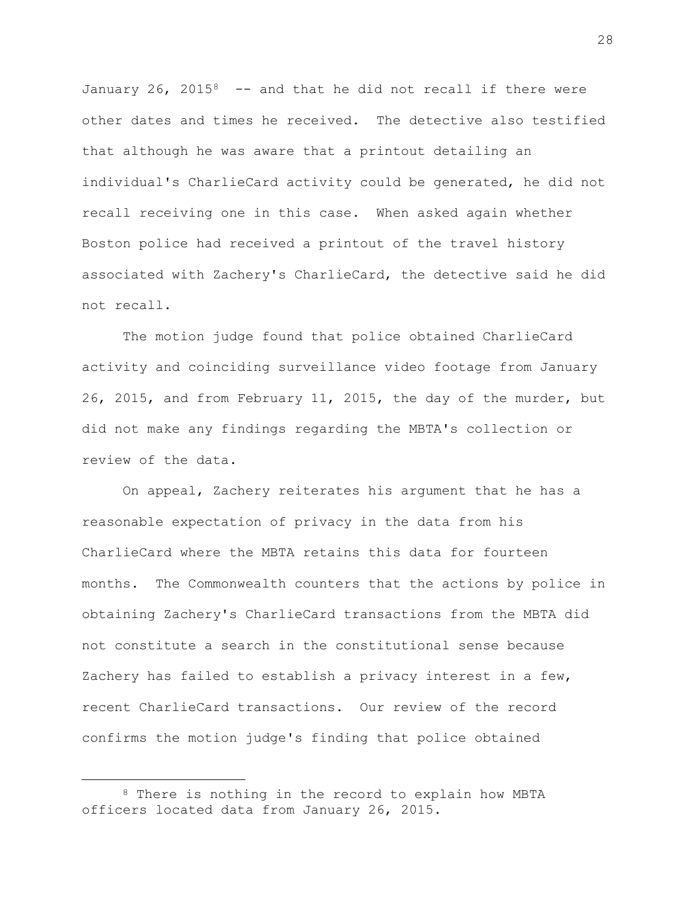January 26, 2015<sup>8</sup> -- and that he did not recall if there were other dates and times he received. The detective also testified that although he was aware that a printout detailing an individual's CharlieCard activity could be generated, he did not recall receiving one in this case. When asked again whether Boston police had received a printout of the travel history associated with Zachery's CharlieCard, the detective said he did not recall.

The motion judge found that police obtained CharlieCard activity and coinciding surveillance video footage from January 26, 2015, and from February 11, 2015, the day of the murder, but did not make any findings regarding the MBTA's collection or review of the data.

On appeal, Zachery reiterates his argument that he has a reasonable expectation of privacy in the data from his CharlieCard where the MBTA retains this data for fourteen months. The Commonwealth counters that the actions by police in obtaining Zachery's CharlieCard transactions from the MBTA did not constitute a search in the constitutional sense because Zachery has failed to establish a privacy interest in a few, recent CharlieCard transactions. Our review of the record confirms the motion judge's finding that police obtained

<span id="page-27-0"></span><sup>8</sup> There is nothing in the record to explain how MBTA officers located data from January 26, 2015.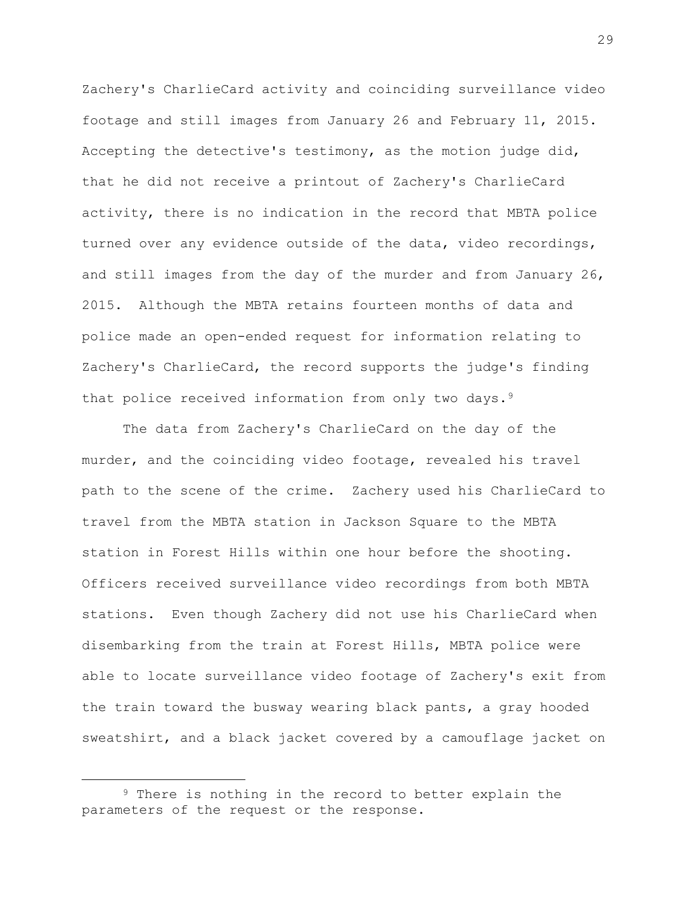Zachery's CharlieCard activity and coinciding surveillance video footage and still images from January 26 and February 11, 2015. Accepting the detective's testimony, as the motion judge did, that he did not receive a printout of Zachery's CharlieCard activity, there is no indication in the record that MBTA police turned over any evidence outside of the data, video recordings, and still images from the day of the murder and from January 26, 2015. Although the MBTA retains fourteen months of data and police made an open-ended request for information relating to Zachery's CharlieCard, the record supports the judge's finding that police received information from only two days.[9](#page-28-0)

The data from Zachery's CharlieCard on the day of the murder, and the coinciding video footage, revealed his travel path to the scene of the crime. Zachery used his CharlieCard to travel from the MBTA station in Jackson Square to the MBTA station in Forest Hills within one hour before the shooting. Officers received surveillance video recordings from both MBTA stations. Even though Zachery did not use his CharlieCard when disembarking from the train at Forest Hills, MBTA police were able to locate surveillance video footage of Zachery's exit from the train toward the busway wearing black pants, a gray hooded sweatshirt, and a black jacket covered by a camouflage jacket on

<span id="page-28-0"></span><sup>&</sup>lt;sup>9</sup> There is nothing in the record to better explain the parameters of the request or the response.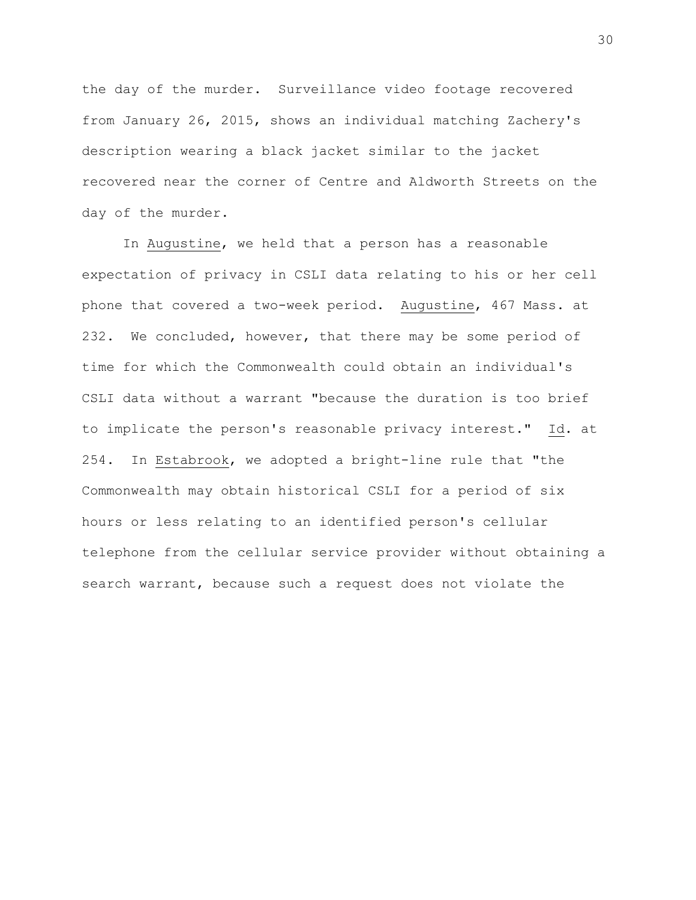the day of the murder. Surveillance video footage recovered from January 26, 2015, shows an individual matching Zachery's description wearing a black jacket similar to the jacket recovered near the corner of Centre and Aldworth Streets on the day of the murder.

In Augustine, we held that a person has a reasonable expectation of privacy in CSLI data relating to his or her cell phone that covered a two-week period. Augustine, 467 Mass. at 232. We concluded, however, that there may be some period of time for which the Commonwealth could obtain an individual's CSLI data without a warrant "because the duration is too brief to implicate the person's reasonable privacy interest." Id. at 254. In Estabrook, we adopted a bright-line rule that "the Commonwealth may obtain historical CSLI for a period of six hours or less relating to an identified person's cellular telephone from the cellular service provider without obtaining a search warrant, because such a request does not violate the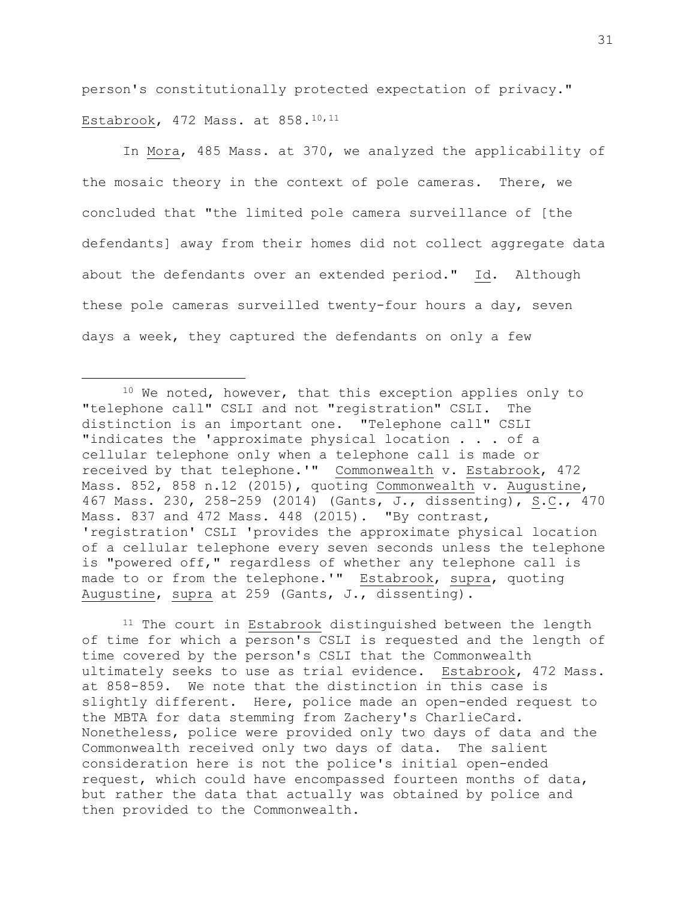person's constitutionally protected expectation of privacy." Estabrook, 472 Mass. at 858.[10,](#page-30-0)[11](#page-30-1)

In Mora, 485 Mass. at 370, we analyzed the applicability of the mosaic theory in the context of pole cameras. There, we concluded that "the limited pole camera surveillance of [the defendants] away from their homes did not collect aggregate data about the defendants over an extended period." Id. Although these pole cameras surveilled twenty-four hours a day, seven days a week, they captured the defendants on only a few

<span id="page-30-1"></span><sup>11</sup> The court in Estabrook distinguished between the length of time for which a person's CSLI is requested and the length of time covered by the person's CSLI that the Commonwealth ultimately seeks to use as trial evidence. Estabrook, 472 Mass. at 858-859. We note that the distinction in this case is slightly different. Here, police made an open-ended request to the MBTA for data stemming from Zachery's CharlieCard. Nonetheless, police were provided only two days of data and the Commonwealth received only two days of data. The salient consideration here is not the police's initial open-ended request, which could have encompassed fourteen months of data, but rather the data that actually was obtained by police and then provided to the Commonwealth.

<span id="page-30-0"></span><sup>&</sup>lt;sup>10</sup> We noted, however, that this exception applies only to "telephone call" CSLI and not "registration" CSLI. The distinction is an important one. "Telephone call" CSLI "indicates the 'approximate physical location . . . of a cellular telephone only when a telephone call is made or received by that telephone.'" Commonwealth v. Estabrook, 472 Mass. 852, 858 n.12 (2015), quoting Commonwealth v. Augustine, 467 Mass. 230, 258-259 (2014) (Gants, J., dissenting), S.C., 470 Mass. 837 and 472 Mass. 448 (2015). "By contrast, 'registration' CSLI 'provides the approximate physical location of a cellular telephone every seven seconds unless the telephone is "powered off," regardless of whether any telephone call is made to or from the telephone.'" Estabrook, supra, quoting Augustine, supra at 259 (Gants, J., dissenting).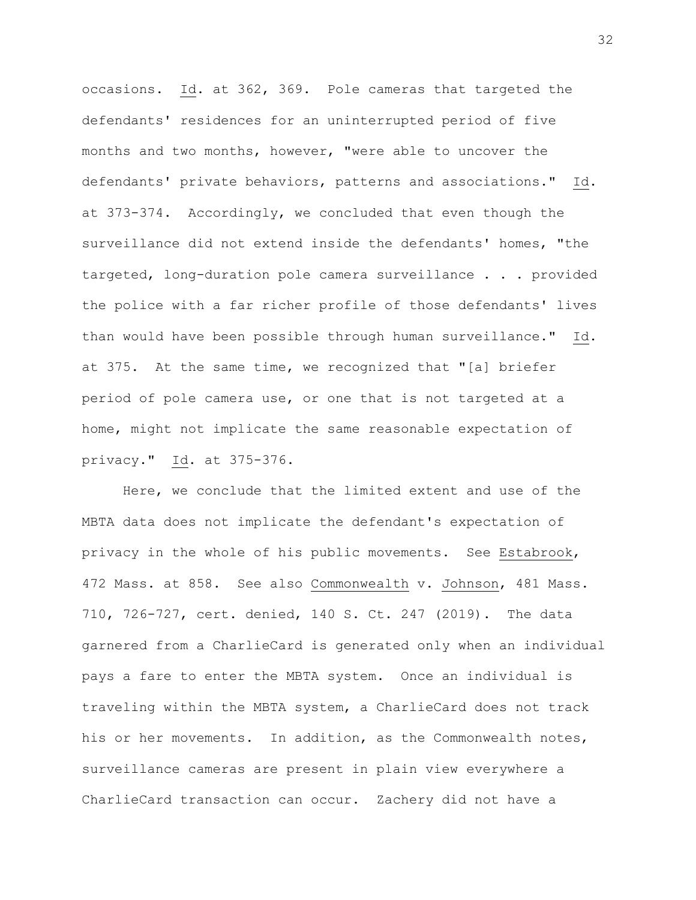occasions. Id. at 362, 369. Pole cameras that targeted the defendants' residences for an uninterrupted period of five months and two months, however, "were able to uncover the defendants' private behaviors, patterns and associations." Id. at 373-374. Accordingly, we concluded that even though the surveillance did not extend inside the defendants' homes, "the targeted, long-duration pole camera surveillance . . . provided the police with a far richer profile of those defendants' lives than would have been possible through human surveillance." Id. at 375. At the same time, we recognized that "[a] briefer period of pole camera use, or one that is not targeted at a home, might not implicate the same reasonable expectation of privacy." Id. at 375-376.

Here, we conclude that the limited extent and use of the MBTA data does not implicate the defendant's expectation of privacy in the whole of his public movements. See Estabrook, 472 Mass. at 858. See also Commonwealth v. Johnson, 481 Mass. 710, 726-727, cert. denied, 140 S. Ct. 247 (2019). The data garnered from a CharlieCard is generated only when an individual pays a fare to enter the MBTA system. Once an individual is traveling within the MBTA system, a CharlieCard does not track his or her movements. In addition, as the Commonwealth notes, surveillance cameras are present in plain view everywhere a CharlieCard transaction can occur. Zachery did not have a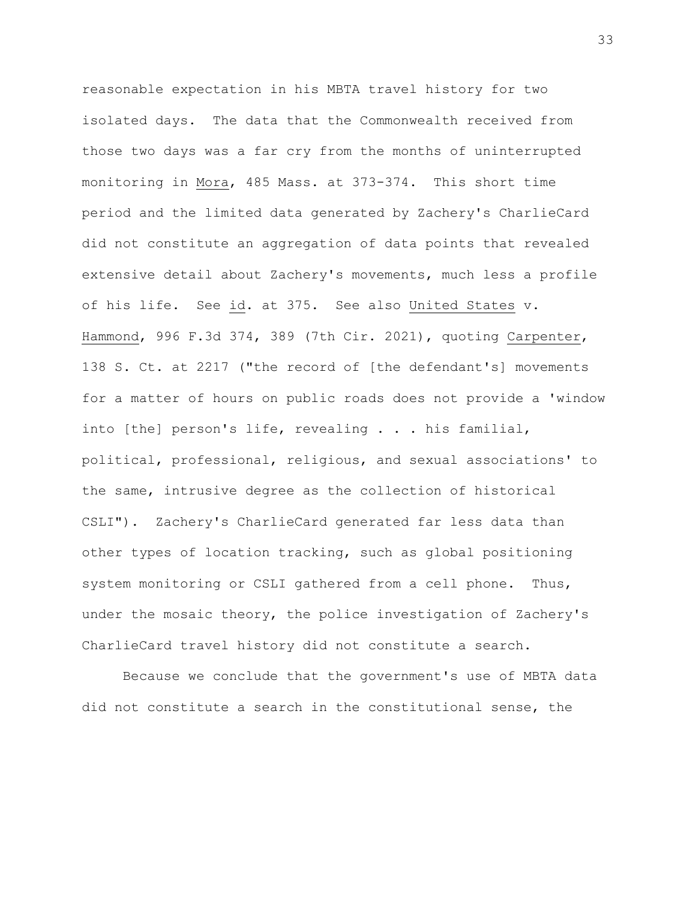reasonable expectation in his MBTA travel history for two isolated days. The data that the Commonwealth received from those two days was a far cry from the months of uninterrupted monitoring in Mora, 485 Mass. at 373-374. This short time period and the limited data generated by Zachery's CharlieCard did not constitute an aggregation of data points that revealed extensive detail about Zachery's movements, much less a profile of his life. See id. at 375. See also United States v. Hammond, 996 F.3d 374, 389 (7th Cir. 2021), quoting Carpenter, 138 S. Ct. at 2217 ("the record of [the defendant's] movements for a matter of hours on public roads does not provide a 'window into [the] person's life, revealing . . . his familial, political, professional, religious, and sexual associations' to the same, intrusive degree as the collection of historical CSLI"). Zachery's CharlieCard generated far less data than other types of location tracking, such as global positioning system monitoring or CSLI gathered from a cell phone. Thus, under the mosaic theory, the police investigation of Zachery's CharlieCard travel history did not constitute a search.

Because we conclude that the government's use of MBTA data did not constitute a search in the constitutional sense, the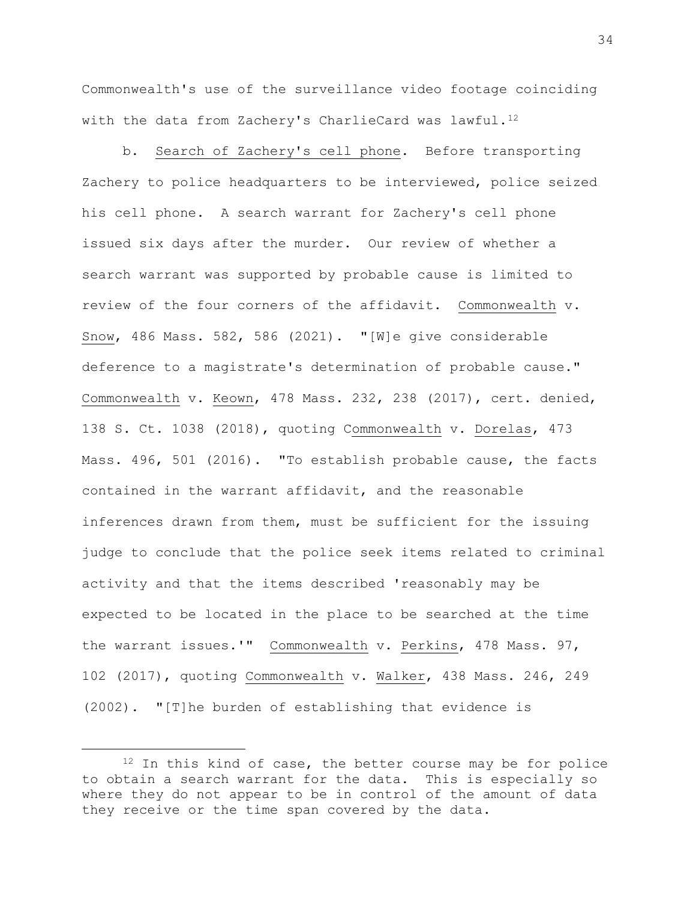Commonwealth's use of the surveillance video footage coinciding with the data from Zachery's CharlieCard was lawful.<sup>[12](#page-33-0)</sup>

b. Search of Zachery's cell phone. Before transporting Zachery to police headquarters to be interviewed, police seized his cell phone. A search warrant for Zachery's cell phone issued six days after the murder. Our review of whether a search warrant was supported by probable cause is limited to review of the four corners of the affidavit. Commonwealth v. Snow, 486 Mass. 582, 586 (2021). "[W]e give considerable deference to a magistrate's determination of probable cause." Commonwealth v. Keown, 478 Mass. 232, 238 (2017), cert. denied, 138 S. Ct. 1038 (2018), quoting Commonwealth v. Dorelas, 473 Mass. 496, 501 (2016). "To establish probable cause, the facts contained in the warrant affidavit, and the reasonable inferences drawn from them, must be sufficient for the issuing judge to conclude that the police seek items related to criminal activity and that the items described 'reasonably may be expected to be located in the place to be searched at the time the warrant issues.'" Commonwealth v. Perkins, 478 Mass. 97, 102 (2017), quoting Commonwealth v. Walker, 438 Mass. 246, 249 (2002). "[T]he burden of establishing that evidence is

<span id="page-33-0"></span><sup>&</sup>lt;sup>12</sup> In this kind of case, the better course may be for police to obtain a search warrant for the data. This is especially so where they do not appear to be in control of the amount of data they receive or the time span covered by the data.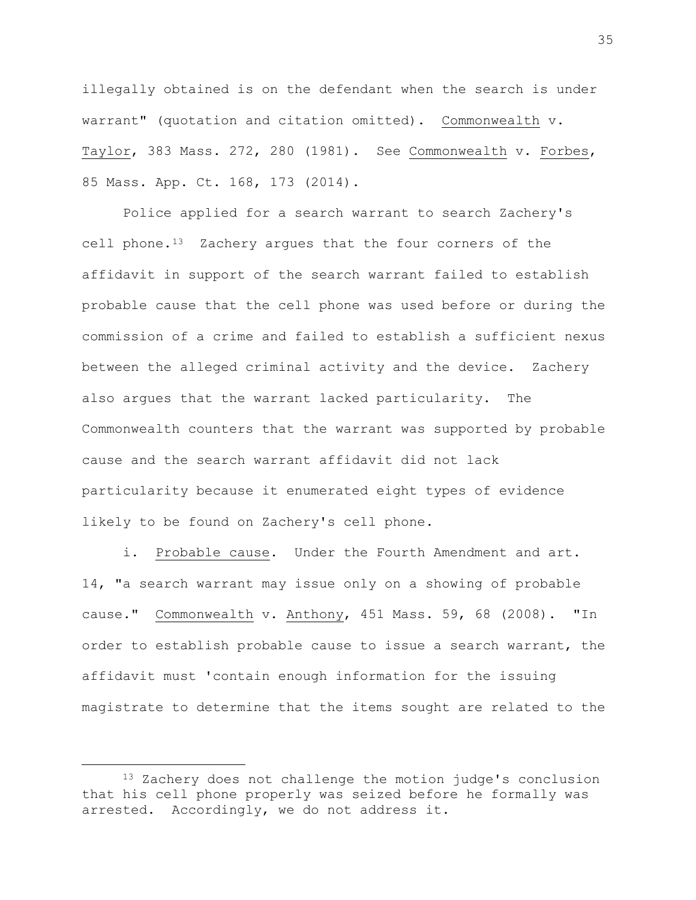illegally obtained is on the defendant when the search is under warrant" (quotation and citation omitted). Commonwealth v. Taylor, 383 Mass. 272, 280 (1981). See Commonwealth v. Forbes, 85 Mass. App. Ct. 168, 173 (2014).

Police applied for a search warrant to search Zachery's cell phone.[13](#page-34-0) Zachery argues that the four corners of the affidavit in support of the search warrant failed to establish probable cause that the cell phone was used before or during the commission of a crime and failed to establish a sufficient nexus between the alleged criminal activity and the device. Zachery also argues that the warrant lacked particularity. The Commonwealth counters that the warrant was supported by probable cause and the search warrant affidavit did not lack particularity because it enumerated eight types of evidence likely to be found on Zachery's cell phone.

i. Probable cause. Under the Fourth Amendment and art. 14, "a search warrant may issue only on a showing of probable cause." Commonwealth v. Anthony, 451 Mass. 59, 68 (2008). "In order to establish probable cause to issue a search warrant, the affidavit must 'contain enough information for the issuing magistrate to determine that the items sought are related to the

<span id="page-34-0"></span><sup>&</sup>lt;sup>13</sup> Zachery does not challenge the motion judge's conclusion that his cell phone properly was seized before he formally was arrested. Accordingly, we do not address it.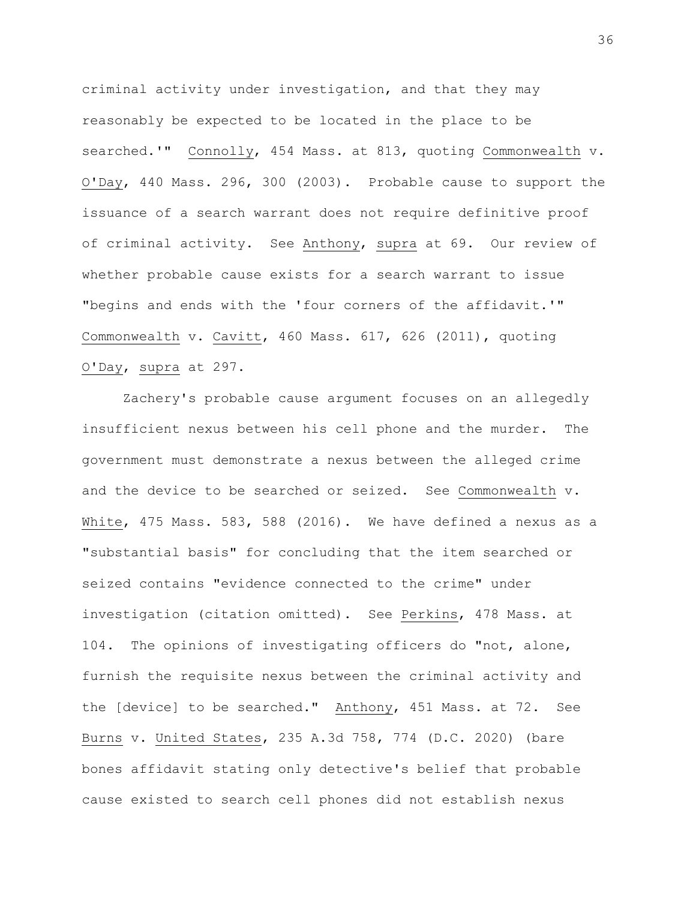criminal activity under investigation, and that they may reasonably be expected to be located in the place to be searched.'" Connolly, 454 Mass. at 813, quoting Commonwealth v. O'Day, 440 Mass. 296, 300 (2003). Probable cause to support the issuance of a search warrant does not require definitive proof of criminal activity. See Anthony, supra at 69. Our review of whether probable cause exists for a search warrant to issue "begins and ends with the 'four corners of the affidavit.'" Commonwealth v. Cavitt, 460 Mass. 617, 626 (2011), quoting O'Day, supra at 297.

Zachery's probable cause argument focuses on an allegedly insufficient nexus between his cell phone and the murder. The government must demonstrate a nexus between the alleged crime and the device to be searched or seized. See Commonwealth v. White, 475 Mass. 583, 588 (2016). We have defined a nexus as a "substantial basis" for concluding that the item searched or seized contains "evidence connected to the crime" under investigation (citation omitted). See Perkins, 478 Mass. at 104. The opinions of investigating officers do "not, alone, furnish the requisite nexus between the criminal activity and the [device] to be searched." Anthony, 451 Mass. at 72. See Burns v. United States, 235 A.3d 758, 774 (D.C. 2020) (bare bones affidavit stating only detective's belief that probable cause existed to search cell phones did not establish nexus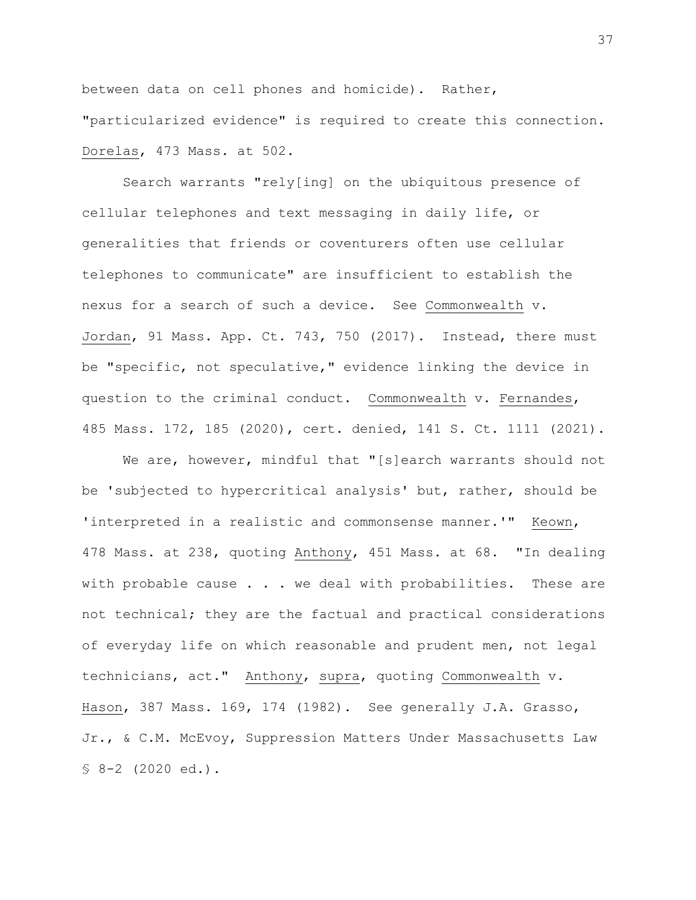between data on cell phones and homicide). Rather, "particularized evidence" is required to create this connection. Dorelas, 473 Mass. at 502.

Search warrants "rely[ing] on the ubiquitous presence of cellular telephones and text messaging in daily life, or generalities that friends or coventurers often use cellular telephones to communicate" are insufficient to establish the nexus for a search of such a device. See Commonwealth v. Jordan, 91 Mass. App. Ct. 743, 750 (2017). Instead, there must be "specific, not speculative," evidence linking the device in question to the criminal conduct. Commonwealth v. Fernandes, 485 Mass. 172, 185 (2020), cert. denied, 141 S. Ct. 1111 (2021).

We are, however, mindful that "[s]earch warrants should not be 'subjected to hypercritical analysis' but, rather, should be 'interpreted in a realistic and commonsense manner.'" Keown, 478 Mass. at 238, quoting Anthony, 451 Mass. at 68. "In dealing with probable cause . . . we deal with probabilities. These are not technical; they are the factual and practical considerations of everyday life on which reasonable and prudent men, not legal technicians, act." Anthony, supra, quoting Commonwealth v. Hason, 387 Mass. 169, 174 (1982). See generally J.A. Grasso, Jr., & C.M. McEvoy, Suppression Matters Under Massachusetts Law § 8-2 (2020 ed.).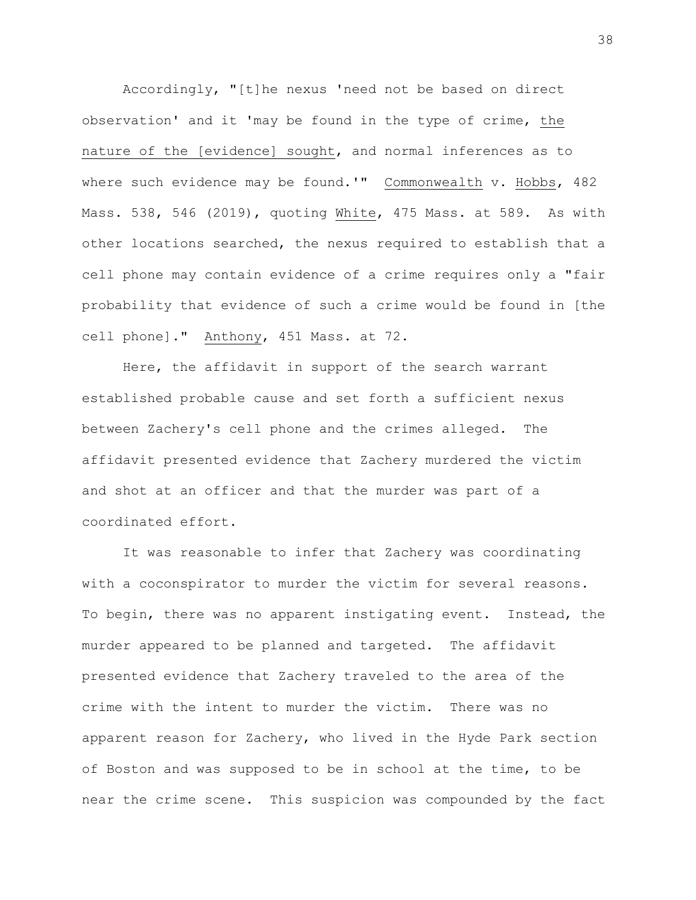Accordingly, "[t]he nexus 'need not be based on direct observation' and it 'may be found in the type of crime, the nature of the [evidence] sought, and normal inferences as to where such evidence may be found.'" Commonwealth v. Hobbs, 482 Mass. 538, 546 (2019), quoting White, 475 Mass. at 589. As with other locations searched, the nexus required to establish that a cell phone may contain evidence of a crime requires only a "fair probability that evidence of such a crime would be found in [the cell phone]." Anthony, 451 Mass. at 72.

Here, the affidavit in support of the search warrant established probable cause and set forth a sufficient nexus between Zachery's cell phone and the crimes alleged. The affidavit presented evidence that Zachery murdered the victim and shot at an officer and that the murder was part of a coordinated effort.

It was reasonable to infer that Zachery was coordinating with a coconspirator to murder the victim for several reasons. To begin, there was no apparent instigating event. Instead, the murder appeared to be planned and targeted. The affidavit presented evidence that Zachery traveled to the area of the crime with the intent to murder the victim. There was no apparent reason for Zachery, who lived in the Hyde Park section of Boston and was supposed to be in school at the time, to be near the crime scene. This suspicion was compounded by the fact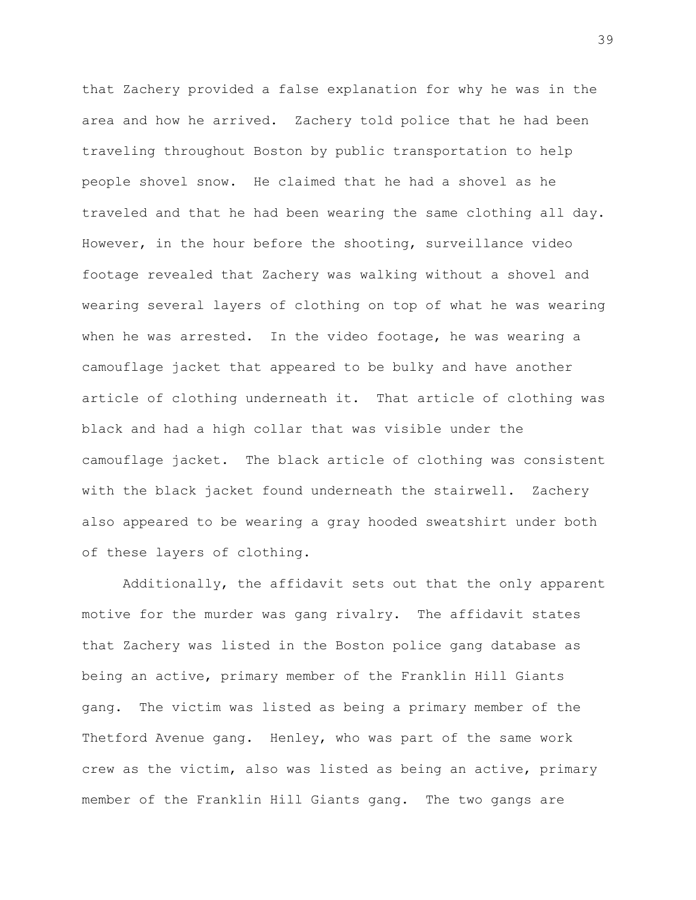that Zachery provided a false explanation for why he was in the area and how he arrived. Zachery told police that he had been traveling throughout Boston by public transportation to help people shovel snow. He claimed that he had a shovel as he traveled and that he had been wearing the same clothing all day. However, in the hour before the shooting, surveillance video footage revealed that Zachery was walking without a shovel and wearing several layers of clothing on top of what he was wearing when he was arrested. In the video footage, he was wearing a camouflage jacket that appeared to be bulky and have another article of clothing underneath it. That article of clothing was black and had a high collar that was visible under the camouflage jacket. The black article of clothing was consistent with the black jacket found underneath the stairwell. Zachery also appeared to be wearing a gray hooded sweatshirt under both of these layers of clothing.

Additionally, the affidavit sets out that the only apparent motive for the murder was gang rivalry. The affidavit states that Zachery was listed in the Boston police gang database as being an active, primary member of the Franklin Hill Giants gang. The victim was listed as being a primary member of the Thetford Avenue gang. Henley, who was part of the same work crew as the victim, also was listed as being an active, primary member of the Franklin Hill Giants gang. The two gangs are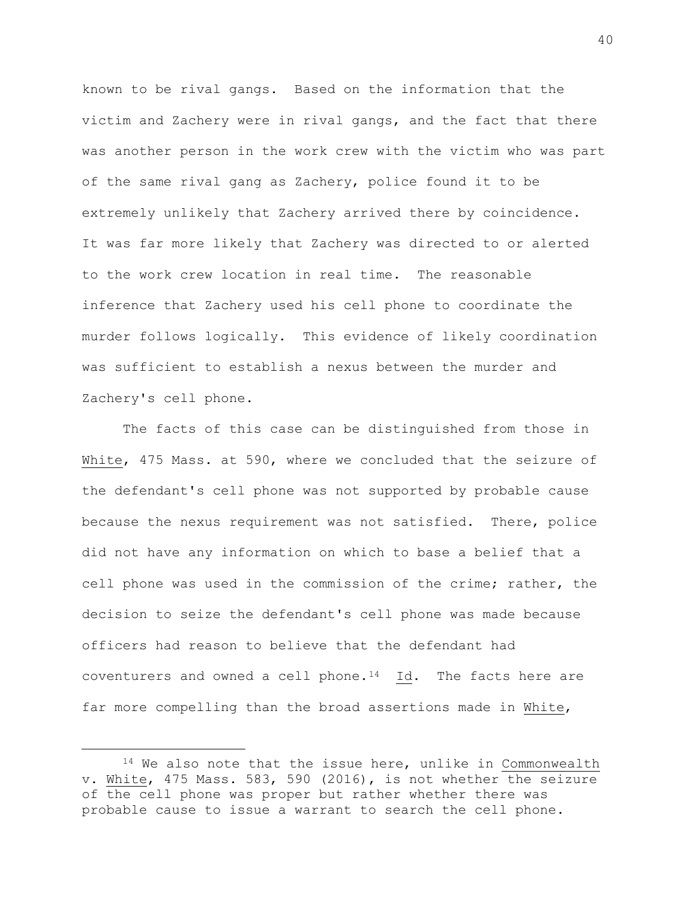known to be rival gangs. Based on the information that the victim and Zachery were in rival gangs, and the fact that there was another person in the work crew with the victim who was part of the same rival gang as Zachery, police found it to be extremely unlikely that Zachery arrived there by coincidence. It was far more likely that Zachery was directed to or alerted to the work crew location in real time. The reasonable inference that Zachery used his cell phone to coordinate the murder follows logically. This evidence of likely coordination was sufficient to establish a nexus between the murder and Zachery's cell phone.

The facts of this case can be distinguished from those in White, 475 Mass. at 590, where we concluded that the seizure of the defendant's cell phone was not supported by probable cause because the nexus requirement was not satisfied. There, police did not have any information on which to base a belief that a cell phone was used in the commission of the crime; rather, the decision to seize the defendant's cell phone was made because officers had reason to believe that the defendant had coventurers and owned a cell phone. $14$  Id. The facts here are far more compelling than the broad assertions made in White,

<span id="page-39-0"></span><sup>14</sup> We also note that the issue here, unlike in Commonwealth v. White, 475 Mass. 583, 590 (2016), is not whether the seizure of the cell phone was proper but rather whether there was probable cause to issue a warrant to search the cell phone.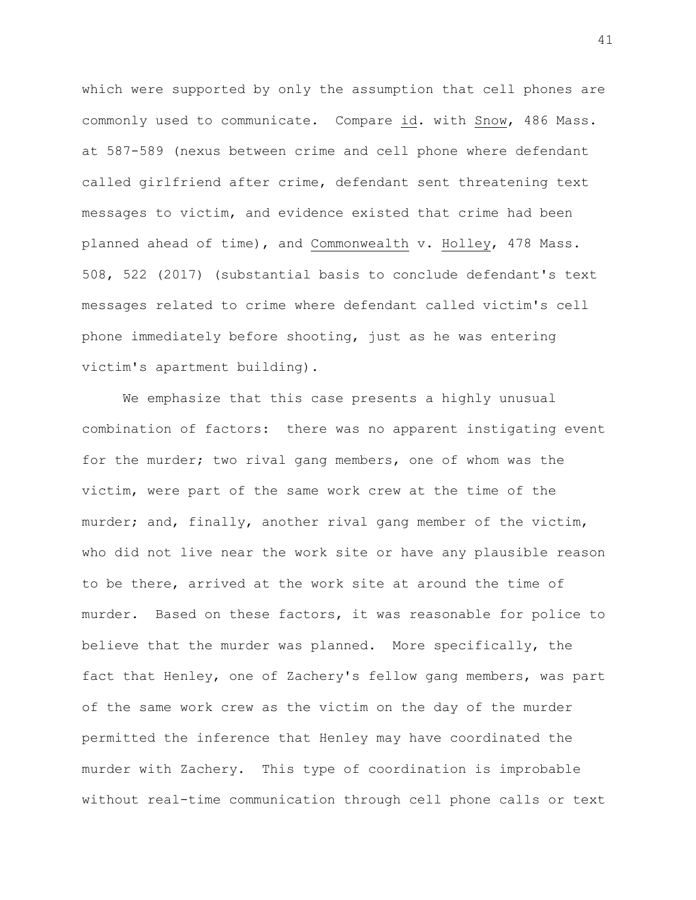which were supported by only the assumption that cell phones are commonly used to communicate. Compare id. with Snow, 486 Mass. at 587-589 (nexus between crime and cell phone where defendant called girlfriend after crime, defendant sent threatening text messages to victim, and evidence existed that crime had been planned ahead of time), and Commonwealth v. Holley, 478 Mass. 508, 522 (2017) (substantial basis to conclude defendant's text messages related to crime where defendant called victim's cell phone immediately before shooting, just as he was entering victim's apartment building).

We emphasize that this case presents a highly unusual combination of factors: there was no apparent instigating event for the murder; two rival gang members, one of whom was the victim, were part of the same work crew at the time of the murder; and, finally, another rival gang member of the victim, who did not live near the work site or have any plausible reason to be there, arrived at the work site at around the time of murder. Based on these factors, it was reasonable for police to believe that the murder was planned. More specifically, the fact that Henley, one of Zachery's fellow gang members, was part of the same work crew as the victim on the day of the murder permitted the inference that Henley may have coordinated the murder with Zachery. This type of coordination is improbable without real-time communication through cell phone calls or text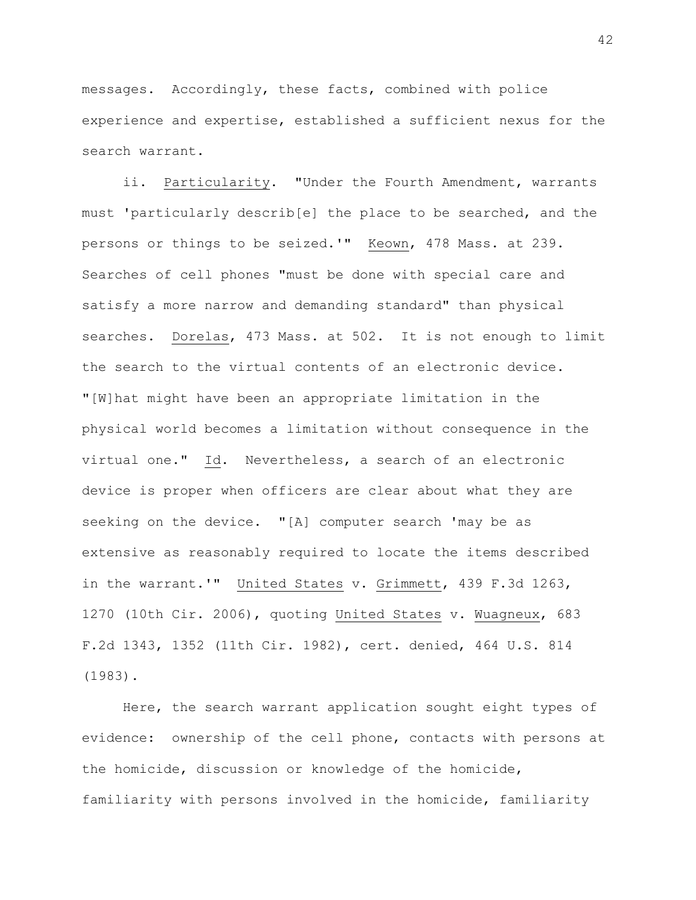messages. Accordingly, these facts, combined with police experience and expertise, established a sufficient nexus for the search warrant.

ii. Particularity. "Under the Fourth Amendment, warrants must 'particularly describ[e] the place to be searched, and the persons or things to be seized.'" Keown, 478 Mass. at 239. Searches of cell phones "must be done with special care and satisfy a more narrow and demanding standard" than physical searches. Dorelas, 473 Mass. at 502. It is not enough to limit the search to the virtual contents of an electronic device. "[W]hat might have been an appropriate limitation in the physical world becomes a limitation without consequence in the virtual one." Id. Nevertheless, a search of an electronic device is proper when officers are clear about what they are seeking on the device. "[A] computer search 'may be as extensive as reasonably required to locate the items described in the warrant.'" United States v. Grimmett, 439 F.3d 1263, 1270 (10th Cir. 2006), quoting United States v. Wuagneux, 683 F.2d 1343, 1352 (11th Cir. 1982), cert. denied, 464 U.S. 814 (1983).

Here, the search warrant application sought eight types of evidence: ownership of the cell phone, contacts with persons at the homicide, discussion or knowledge of the homicide, familiarity with persons involved in the homicide, familiarity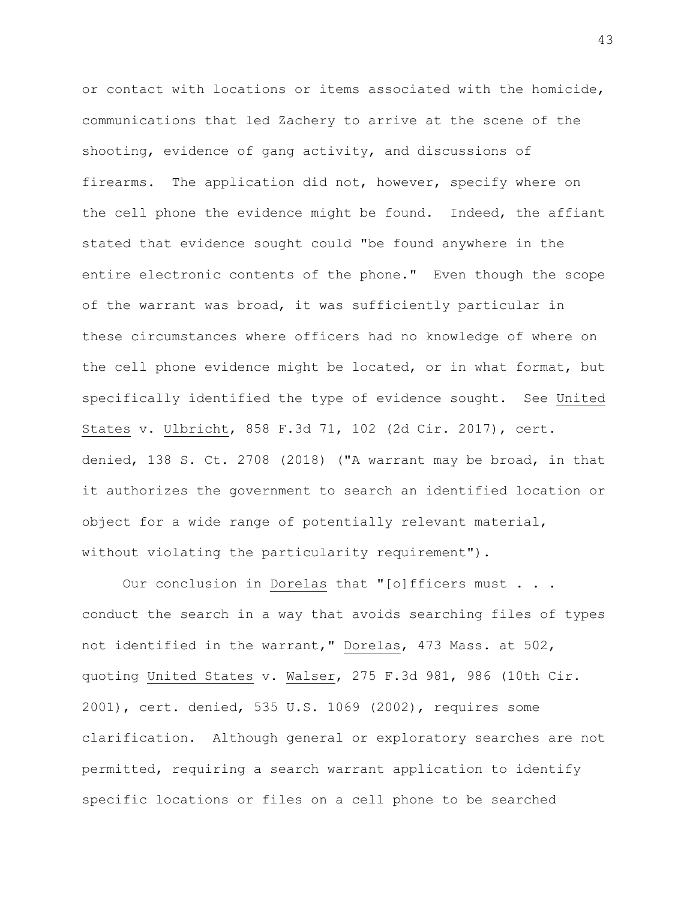or contact with locations or items associated with the homicide, communications that led Zachery to arrive at the scene of the shooting, evidence of gang activity, and discussions of firearms. The application did not, however, specify where on the cell phone the evidence might be found. Indeed, the affiant stated that evidence sought could "be found anywhere in the entire electronic contents of the phone." Even though the scope of the warrant was broad, it was sufficiently particular in these circumstances where officers had no knowledge of where on the cell phone evidence might be located, or in what format, but specifically identified the type of evidence sought. See United States v. Ulbricht, 858 F.3d 71, 102 (2d Cir. 2017), cert. denied, 138 S. Ct. 2708 (2018) ("A warrant may be broad, in that it authorizes the government to search an identified location or object for a wide range of potentially relevant material, without violating the particularity requirement").

Our conclusion in Dorelas that "[o] fficers must . . . conduct the search in a way that avoids searching files of types not identified in the warrant," Dorelas, 473 Mass. at 502, quoting United States v. Walser, 275 F.3d 981, 986 (10th Cir. 2001), cert. denied, 535 U.S. 1069 (2002), requires some clarification. Although general or exploratory searches are not permitted, requiring a search warrant application to identify specific locations or files on a cell phone to be searched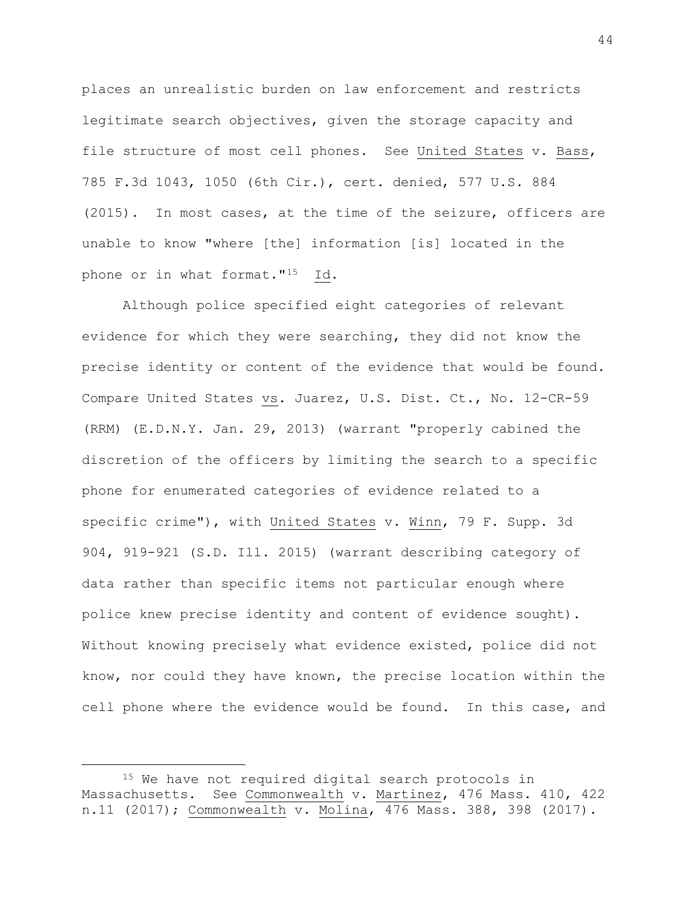places an unrealistic burden on law enforcement and restricts legitimate search objectives, given the storage capacity and file structure of most cell phones. See United States v. Bass, 785 F.3d 1043, 1050 (6th Cir.), cert. denied, 577 U.S. 884 (2015). In most cases, at the time of the seizure, officers are unable to know "where [the] information [is] located in the phone or in what format.["15](#page-43-0) Id.

Although police specified eight categories of relevant evidence for which they were searching, they did not know the precise identity or content of the evidence that would be found. Compare United States vs. Juarez, U.S. Dist. Ct., No. 12-CR-59 (RRM) (E.D.N.Y. Jan. 29, 2013) (warrant "properly cabined the discretion of the officers by limiting the search to a specific phone for enumerated categories of evidence related to a specific crime"), with United States v. Winn, 79 F. Supp. 3d 904, 919-921 (S.D. Ill. 2015) (warrant describing category of data rather than specific items not particular enough where police knew precise identity and content of evidence sought). Without knowing precisely what evidence existed, police did not know, nor could they have known, the precise location within the cell phone where the evidence would be found. In this case, and

<span id="page-43-0"></span><sup>&</sup>lt;sup>15</sup> We have not required digital search protocols in Massachusetts. See Commonwealth v. Martinez, 476 Mass. 410, 422 n.11 (2017); Commonwealth v. Molina, 476 Mass. 388, 398 (2017).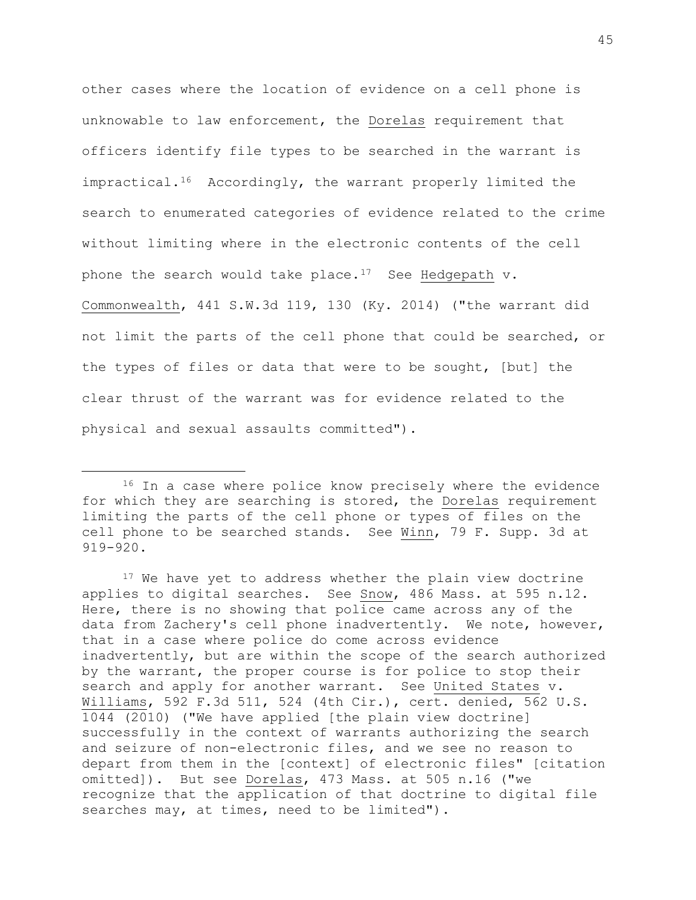other cases where the location of evidence on a cell phone is unknowable to law enforcement, the Dorelas requirement that officers identify file types to be searched in the warrant is impractical.<sup>[16](#page-44-0)</sup> Accordingly, the warrant properly limited the search to enumerated categories of evidence related to the crime without limiting where in the electronic contents of the cell phone the search would take place.<sup>[17](#page-44-1)</sup> See Hedgepath  $v$ . Commonwealth, 441 S.W.3d 119, 130 (Ky. 2014) ("the warrant did not limit the parts of the cell phone that could be searched, or the types of files or data that were to be sought, [but] the clear thrust of the warrant was for evidence related to the physical and sexual assaults committed").

<span id="page-44-1"></span><sup>17</sup> We have yet to address whether the plain view doctrine applies to digital searches. See Snow, 486 Mass. at 595 n.12. Here, there is no showing that police came across any of the data from Zachery's cell phone inadvertently. We note, however, that in a case where police do come across evidence inadvertently, but are within the scope of the search authorized by the warrant, the proper course is for police to stop their search and apply for another warrant. See United States v. Williams, 592 F.3d 511, 524 (4th Cir.), cert. denied, 562 U.S. 1044 (2010) ("We have applied [the plain view doctrine] successfully in the context of warrants authorizing the search and seizure of non-electronic files, and we see no reason to depart from them in the [context] of electronic files" [citation omitted]). But see Dorelas, 473 Mass. at 505 n.16 ("we recognize that the application of that doctrine to digital file searches may, at times, need to be limited").

<span id="page-44-0"></span><sup>&</sup>lt;sup>16</sup> In a case where police know precisely where the evidence for which they are searching is stored, the Dorelas requirement limiting the parts of the cell phone or types of files on the cell phone to be searched stands. See Winn, 79 F. Supp. 3d at 919-920.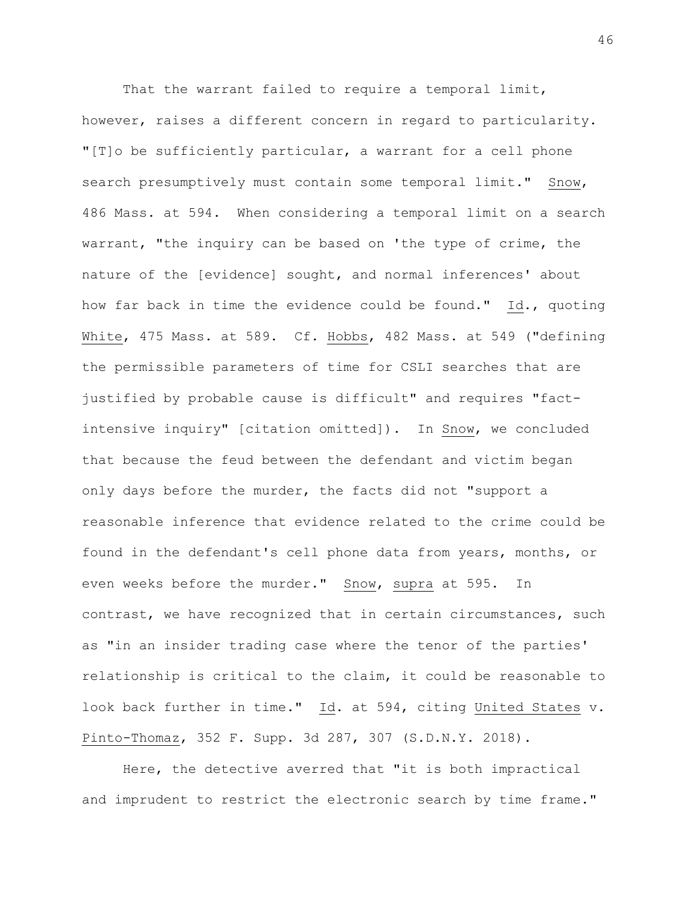That the warrant failed to require a temporal limit, however, raises a different concern in regard to particularity. "[T]o be sufficiently particular, a warrant for a cell phone search presumptively must contain some temporal limit." Snow, 486 Mass. at 594. When considering a temporal limit on a search warrant, "the inquiry can be based on 'the type of crime, the nature of the [evidence] sought, and normal inferences' about how far back in time the evidence could be found." Id., quoting White, 475 Mass. at 589. Cf. Hobbs, 482 Mass. at 549 ("defining the permissible parameters of time for CSLI searches that are justified by probable cause is difficult" and requires "factintensive inquiry" [citation omitted]). In Snow, we concluded that because the feud between the defendant and victim began only days before the murder, the facts did not "support a reasonable inference that evidence related to the crime could be found in the defendant's cell phone data from years, months, or even weeks before the murder." Snow, supra at 595. In contrast, we have recognized that in certain circumstances, such as "in an insider trading case where the tenor of the parties' relationship is critical to the claim, it could be reasonable to look back further in time." Id. at 594, citing United States v. Pinto-Thomaz, 352 F. Supp. 3d 287, 307 (S.D.N.Y. 2018).

Here, the detective averred that "it is both impractical and imprudent to restrict the electronic search by time frame."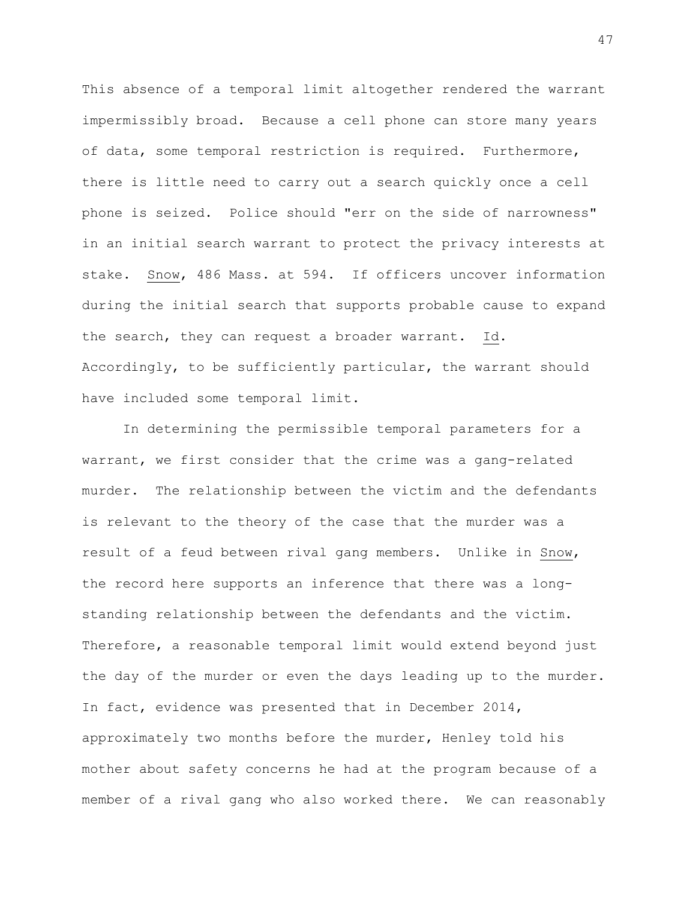This absence of a temporal limit altogether rendered the warrant impermissibly broad. Because a cell phone can store many years of data, some temporal restriction is required. Furthermore, there is little need to carry out a search quickly once a cell phone is seized. Police should "err on the side of narrowness" in an initial search warrant to protect the privacy interests at stake. Snow, 486 Mass. at 594. If officers uncover information during the initial search that supports probable cause to expand the search, they can request a broader warrant. Id. Accordingly, to be sufficiently particular, the warrant should have included some temporal limit.

In determining the permissible temporal parameters for a warrant, we first consider that the crime was a gang-related murder. The relationship between the victim and the defendants is relevant to the theory of the case that the murder was a result of a feud between rival gang members. Unlike in Snow, the record here supports an inference that there was a longstanding relationship between the defendants and the victim. Therefore, a reasonable temporal limit would extend beyond just the day of the murder or even the days leading up to the murder. In fact, evidence was presented that in December 2014, approximately two months before the murder, Henley told his mother about safety concerns he had at the program because of a member of a rival gang who also worked there. We can reasonably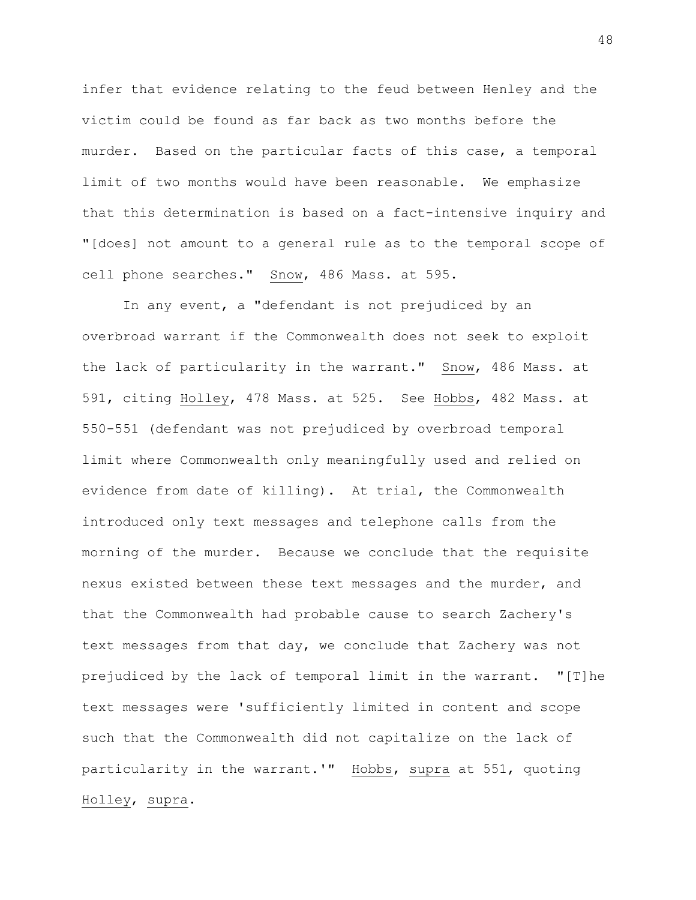infer that evidence relating to the feud between Henley and the victim could be found as far back as two months before the murder. Based on the particular facts of this case, a temporal limit of two months would have been reasonable. We emphasize that this determination is based on a fact-intensive inquiry and "[does] not amount to a general rule as to the temporal scope of cell phone searches." Snow, 486 Mass. at 595.

In any event, a "defendant is not prejudiced by an overbroad warrant if the Commonwealth does not seek to exploit the lack of particularity in the warrant." Snow, 486 Mass. at 591, citing Holley, 478 Mass. at 525. See Hobbs, 482 Mass. at 550-551 (defendant was not prejudiced by overbroad temporal limit where Commonwealth only meaningfully used and relied on evidence from date of killing). At trial, the Commonwealth introduced only text messages and telephone calls from the morning of the murder. Because we conclude that the requisite nexus existed between these text messages and the murder, and that the Commonwealth had probable cause to search Zachery's text messages from that day, we conclude that Zachery was not prejudiced by the lack of temporal limit in the warrant. "[T]he text messages were 'sufficiently limited in content and scope such that the Commonwealth did not capitalize on the lack of particularity in the warrant.'" Hobbs, supra at 551, quoting Holley, supra.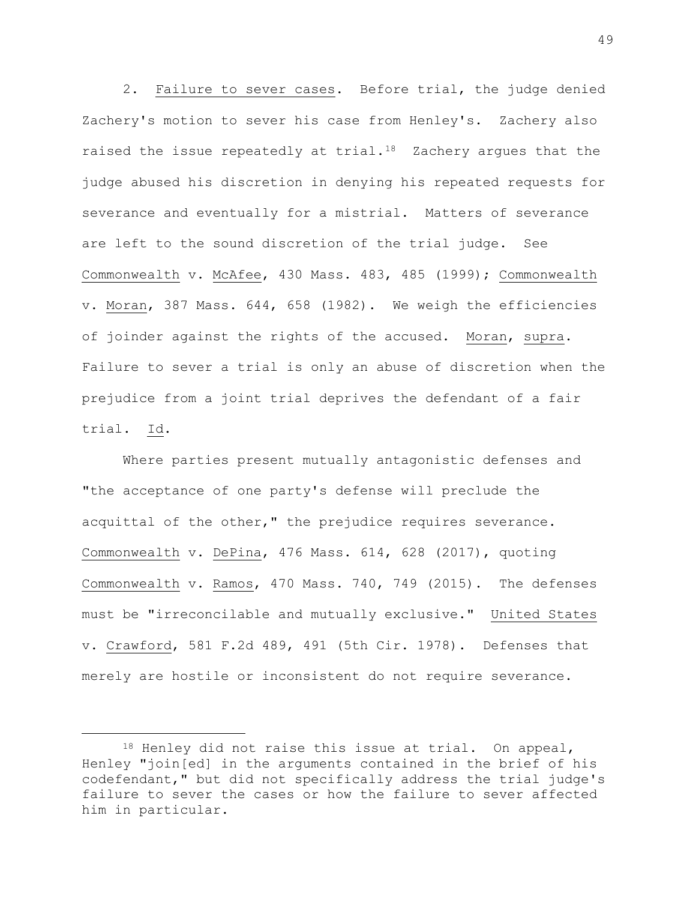2. Failure to sever cases. Before trial, the judge denied Zachery's motion to sever his case from Henley's. Zachery also raised the issue repeatedly at trial.<sup>[18](#page-48-0)</sup> Zachery argues that the judge abused his discretion in denying his repeated requests for severance and eventually for a mistrial. Matters of severance are left to the sound discretion of the trial judge. See Commonwealth v. McAfee, 430 Mass. 483, 485 (1999); Commonwealth v. Moran, 387 Mass. 644, 658 (1982). We weigh the efficiencies of joinder against the rights of the accused. Moran, supra. Failure to sever a trial is only an abuse of discretion when the prejudice from a joint trial deprives the defendant of a fair trial. Id.

Where parties present mutually antagonistic defenses and "the acceptance of one party's defense will preclude the acquittal of the other," the prejudice requires severance. Commonwealth v. DePina, 476 Mass. 614, 628 (2017), quoting Commonwealth v. Ramos, 470 Mass. 740, 749 (2015). The defenses must be "irreconcilable and mutually exclusive." United States v. Crawford, 581 F.2d 489, 491 (5th Cir. 1978). Defenses that merely are hostile or inconsistent do not require severance.

<span id="page-48-0"></span><sup>18</sup> Henley did not raise this issue at trial. On appeal, Henley "join[ed] in the arguments contained in the brief of his codefendant," but did not specifically address the trial judge's failure to sever the cases or how the failure to sever affected him in particular.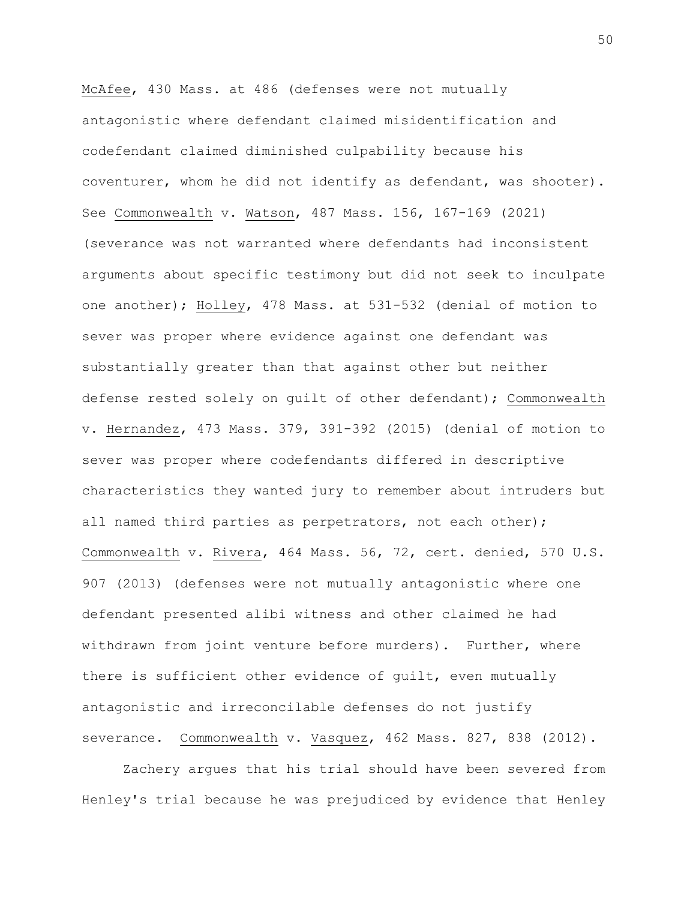McAfee, 430 Mass. at 486 (defenses were not mutually antagonistic where defendant claimed misidentification and codefendant claimed diminished culpability because his coventurer, whom he did not identify as defendant, was shooter). See Commonwealth v. Watson, 487 Mass. 156, 167-169 (2021) (severance was not warranted where defendants had inconsistent arguments about specific testimony but did not seek to inculpate one another); Holley, 478 Mass. at 531-532 (denial of motion to sever was proper where evidence against one defendant was substantially greater than that against other but neither defense rested solely on guilt of other defendant); Commonwealth v. Hernandez, 473 Mass. 379, 391-392 (2015) (denial of motion to sever was proper where codefendants differed in descriptive characteristics they wanted jury to remember about intruders but all named third parties as perpetrators, not each other); Commonwealth v. Rivera, 464 Mass. 56, 72, cert. denied, 570 U.S. 907 (2013) (defenses were not mutually antagonistic where one defendant presented alibi witness and other claimed he had withdrawn from joint venture before murders). Further, where there is sufficient other evidence of guilt, even mutually antagonistic and irreconcilable defenses do not justify severance. Commonwealth v. Vasquez, 462 Mass. 827, 838 (2012).

Zachery argues that his trial should have been severed from Henley's trial because he was prejudiced by evidence that Henley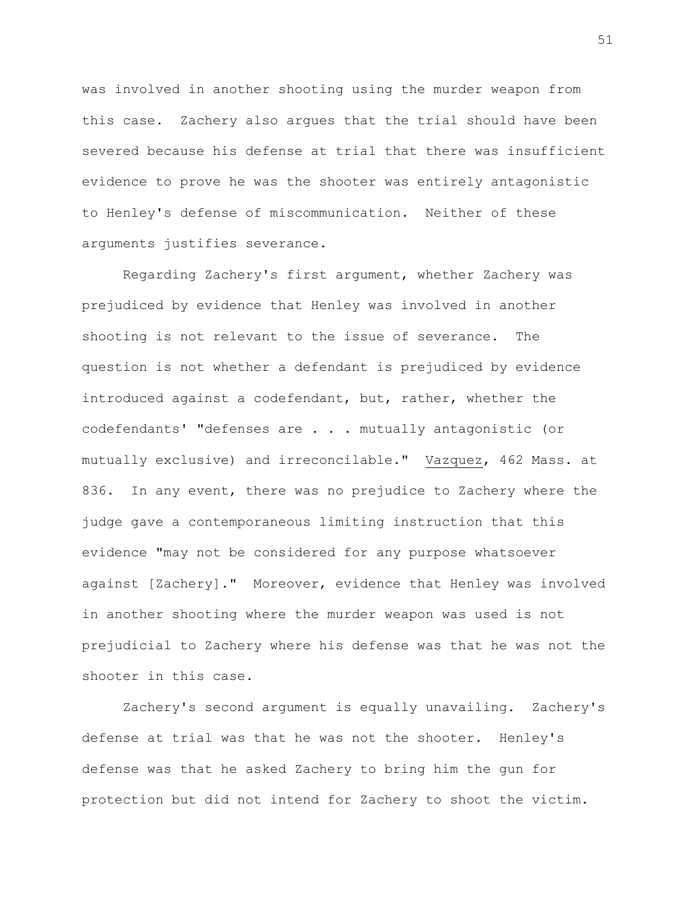was involved in another shooting using the murder weapon from this case. Zachery also argues that the trial should have been severed because his defense at trial that there was insufficient evidence to prove he was the shooter was entirely antagonistic to Henley's defense of miscommunication. Neither of these arguments justifies severance.

Regarding Zachery's first argument, whether Zachery was prejudiced by evidence that Henley was involved in another shooting is not relevant to the issue of severance. The question is not whether a defendant is prejudiced by evidence introduced against a codefendant, but, rather, whether the codefendants' "defenses are . . . mutually antagonistic (or mutually exclusive) and irreconcilable." Vazquez, 462 Mass. at 836. In any event, there was no prejudice to Zachery where the judge gave a contemporaneous limiting instruction that this evidence "may not be considered for any purpose whatsoever against [Zachery]." Moreover, evidence that Henley was involved in another shooting where the murder weapon was used is not prejudicial to Zachery where his defense was that he was not the shooter in this case.

Zachery's second argument is equally unavailing. Zachery's defense at trial was that he was not the shooter. Henley's defense was that he asked Zachery to bring him the gun for protection but did not intend for Zachery to shoot the victim.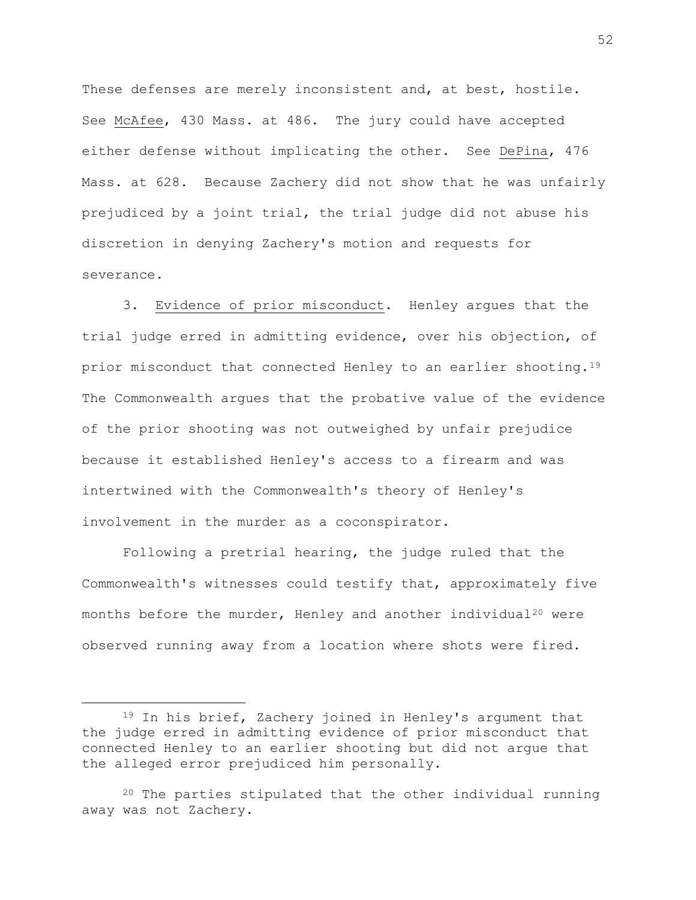These defenses are merely inconsistent and, at best, hostile. See McAfee, 430 Mass. at 486. The jury could have accepted either defense without implicating the other. See DePina, 476 Mass. at 628. Because Zachery did not show that he was unfairly prejudiced by a joint trial, the trial judge did not abuse his discretion in denying Zachery's motion and requests for severance.

3. Evidence of prior misconduct. Henley argues that the trial judge erred in admitting evidence, over his objection, of prior misconduct that connected Henley to an earlier shooting.[19](#page-51-0) The Commonwealth argues that the probative value of the evidence of the prior shooting was not outweighed by unfair prejudice because it established Henley's access to a firearm and was intertwined with the Commonwealth's theory of Henley's involvement in the murder as a coconspirator.

Following a pretrial hearing, the judge ruled that the Commonwealth's witnesses could testify that, approximately five months before the murder, Henley and another individual<sup>20</sup> were observed running away from a location where shots were fired.

<span id="page-51-0"></span><sup>19</sup> In his brief, Zachery joined in Henley's argument that the judge erred in admitting evidence of prior misconduct that connected Henley to an earlier shooting but did not argue that the alleged error prejudiced him personally.

<span id="page-51-1"></span><sup>20</sup> The parties stipulated that the other individual running away was not Zachery.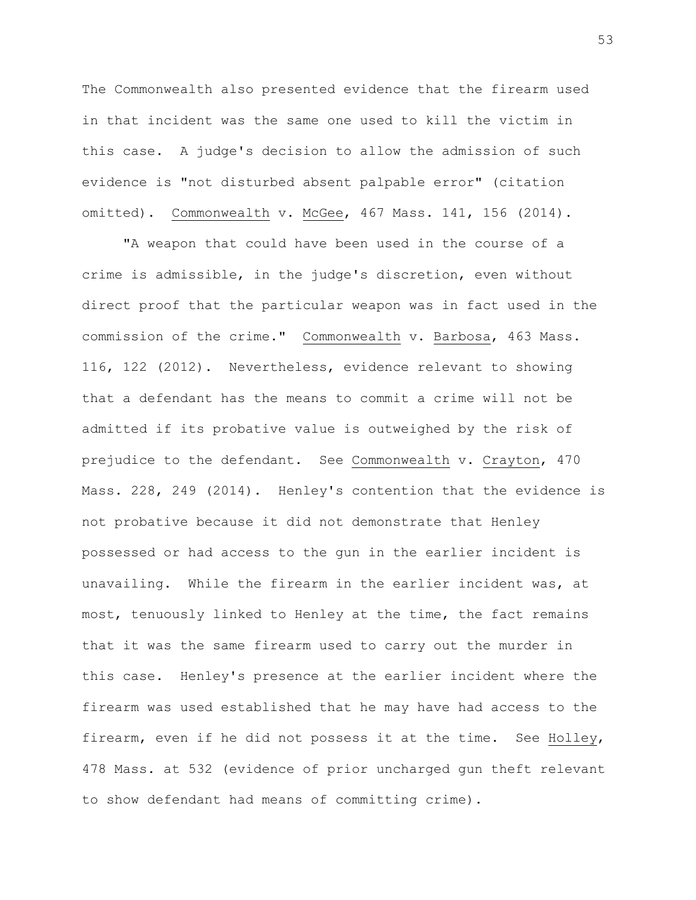The Commonwealth also presented evidence that the firearm used in that incident was the same one used to kill the victim in this case. A judge's decision to allow the admission of such evidence is "not disturbed absent palpable error" (citation omitted). Commonwealth v. McGee, 467 Mass. 141, 156 (2014).

"A weapon that could have been used in the course of a crime is admissible, in the judge's discretion, even without direct proof that the particular weapon was in fact used in the commission of the crime." Commonwealth v. Barbosa, 463 Mass. 116, 122 (2012). Nevertheless, evidence relevant to showing that a defendant has the means to commit a crime will not be admitted if its probative value is outweighed by the risk of prejudice to the defendant. See Commonwealth v. Crayton, 470 Mass. 228, 249 (2014). Henley's contention that the evidence is not probative because it did not demonstrate that Henley possessed or had access to the gun in the earlier incident is unavailing. While the firearm in the earlier incident was, at most, tenuously linked to Henley at the time, the fact remains that it was the same firearm used to carry out the murder in this case. Henley's presence at the earlier incident where the firearm was used established that he may have had access to the firearm, even if he did not possess it at the time. See Holley, 478 Mass. at 532 (evidence of prior uncharged gun theft relevant to show defendant had means of committing crime).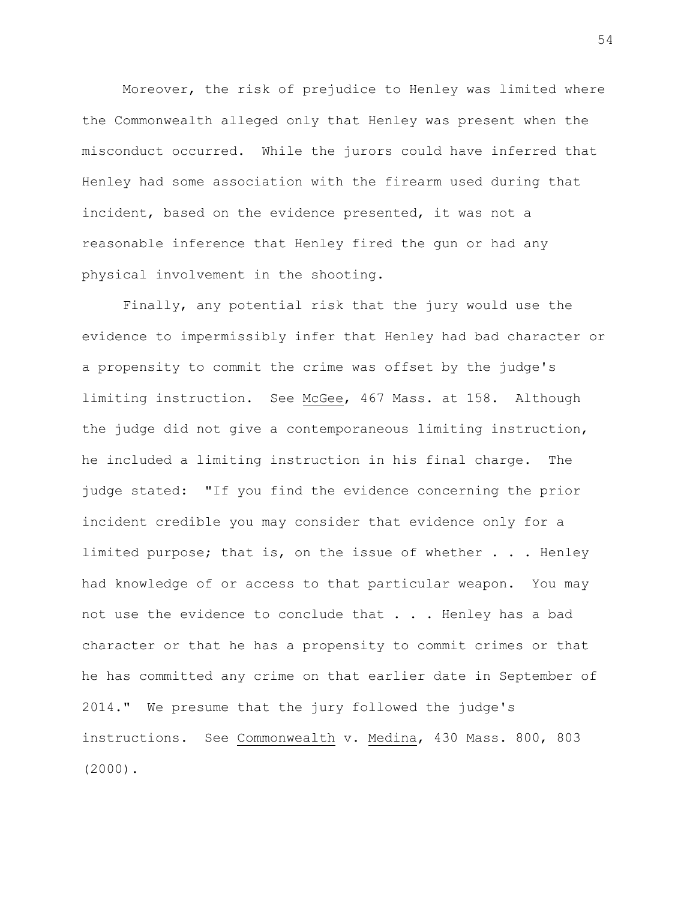Moreover, the risk of prejudice to Henley was limited where the Commonwealth alleged only that Henley was present when the misconduct occurred. While the jurors could have inferred that Henley had some association with the firearm used during that incident, based on the evidence presented, it was not a reasonable inference that Henley fired the gun or had any physical involvement in the shooting.

Finally, any potential risk that the jury would use the evidence to impermissibly infer that Henley had bad character or a propensity to commit the crime was offset by the judge's limiting instruction. See McGee, 467 Mass. at 158. Although the judge did not give a contemporaneous limiting instruction, he included a limiting instruction in his final charge. The judge stated: "If you find the evidence concerning the prior incident credible you may consider that evidence only for a limited purpose; that is, on the issue of whether . . . Henley had knowledge of or access to that particular weapon. You may not use the evidence to conclude that . . . Henley has a bad character or that he has a propensity to commit crimes or that he has committed any crime on that earlier date in September of 2014." We presume that the jury followed the judge's instructions. See Commonwealth v. Medina, 430 Mass. 800, 803 (2000).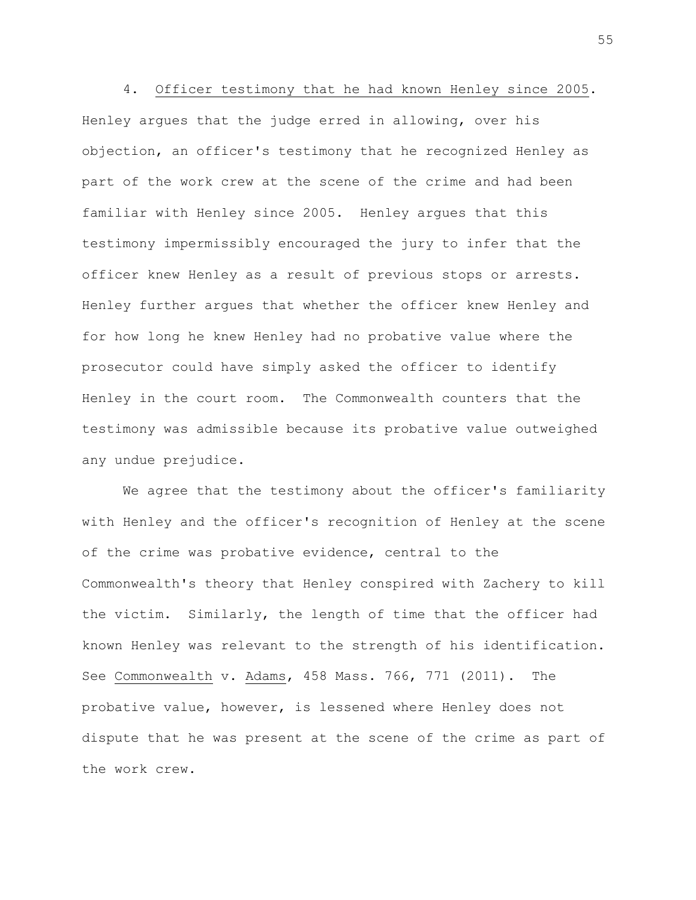4. Officer testimony that he had known Henley since 2005. Henley argues that the judge erred in allowing, over his objection, an officer's testimony that he recognized Henley as part of the work crew at the scene of the crime and had been familiar with Henley since 2005. Henley argues that this testimony impermissibly encouraged the jury to infer that the officer knew Henley as a result of previous stops or arrests. Henley further argues that whether the officer knew Henley and for how long he knew Henley had no probative value where the prosecutor could have simply asked the officer to identify Henley in the court room. The Commonwealth counters that the testimony was admissible because its probative value outweighed any undue prejudice.

We agree that the testimony about the officer's familiarity with Henley and the officer's recognition of Henley at the scene of the crime was probative evidence, central to the Commonwealth's theory that Henley conspired with Zachery to kill the victim. Similarly, the length of time that the officer had known Henley was relevant to the strength of his identification. See Commonwealth v. Adams, 458 Mass. 766, 771 (2011). The probative value, however, is lessened where Henley does not dispute that he was present at the scene of the crime as part of the work crew.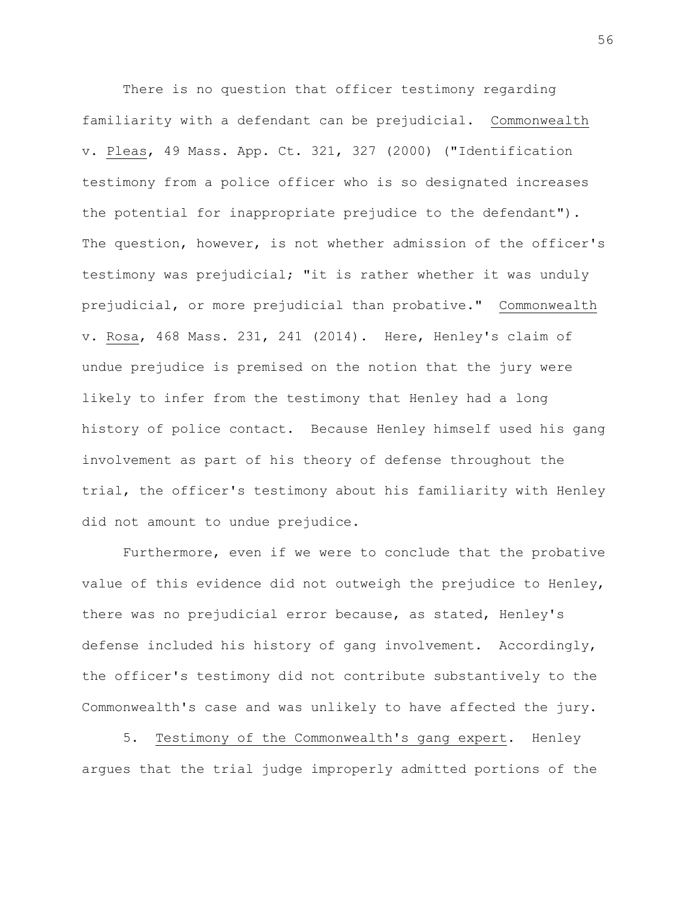There is no question that officer testimony regarding familiarity with a defendant can be prejudicial. Commonwealth v. Pleas, 49 Mass. App. Ct. 321, 327 (2000) ("Identification testimony from a police officer who is so designated increases the potential for inappropriate prejudice to the defendant"). The question, however, is not whether admission of the officer's testimony was prejudicial; "it is rather whether it was unduly prejudicial, or more prejudicial than probative." Commonwealth v. Rosa, 468 Mass. 231, 241 (2014). Here, Henley's claim of undue prejudice is premised on the notion that the jury were likely to infer from the testimony that Henley had a long history of police contact. Because Henley himself used his gang involvement as part of his theory of defense throughout the trial, the officer's testimony about his familiarity with Henley did not amount to undue prejudice.

Furthermore, even if we were to conclude that the probative value of this evidence did not outweigh the prejudice to Henley, there was no prejudicial error because, as stated, Henley's defense included his history of gang involvement. Accordingly, the officer's testimony did not contribute substantively to the Commonwealth's case and was unlikely to have affected the jury.

5. Testimony of the Commonwealth's gang expert. Henley argues that the trial judge improperly admitted portions of the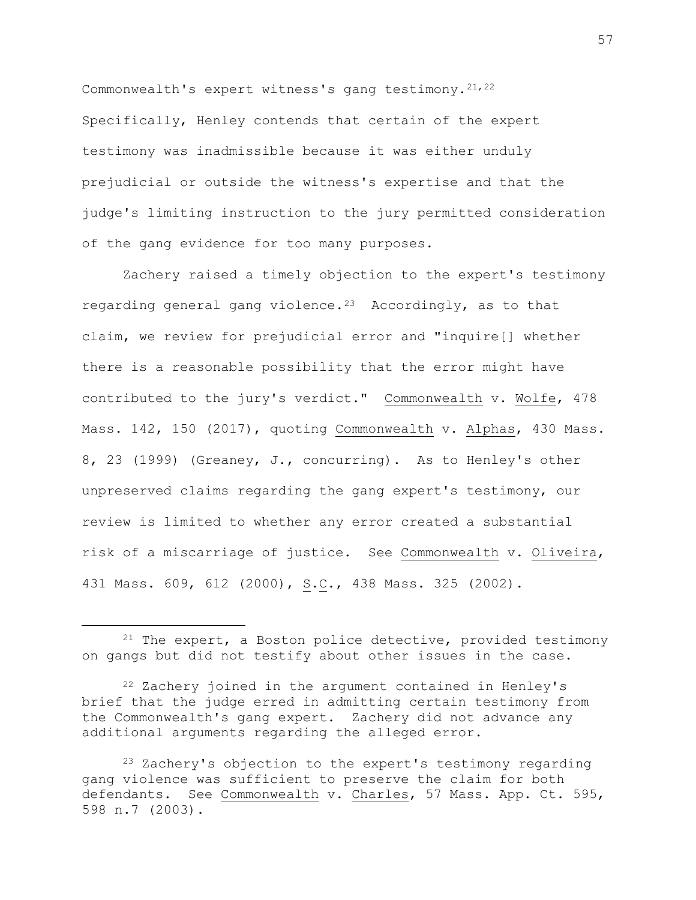Commonwealth's expert witness's gang testimony.  $21,22$  $21,22$  $21,22$ Specifically, Henley contends that certain of the expert testimony was inadmissible because it was either unduly prejudicial or outside the witness's expertise and that the judge's limiting instruction to the jury permitted consideration of the gang evidence for too many purposes.

Zachery raised a timely objection to the expert's testimony regarding general gang violence.<sup>[23](#page-56-2)</sup> Accordingly, as to that claim, we review for prejudicial error and "inquire[] whether there is a reasonable possibility that the error might have contributed to the jury's verdict." Commonwealth v. Wolfe, 478 Mass. 142, 150 (2017), quoting Commonwealth v. Alphas, 430 Mass. 8, 23 (1999) (Greaney, J., concurring). As to Henley's other unpreserved claims regarding the gang expert's testimony, our review is limited to whether any error created a substantial risk of a miscarriage of justice. See Commonwealth v. Oliveira, 431 Mass. 609, 612 (2000), S.C., 438 Mass. 325 (2002).

<span id="page-56-0"></span><sup>21</sup> The expert, a Boston police detective, provided testimony on gangs but did not testify about other issues in the case.

<span id="page-56-1"></span><sup>22</sup> Zachery joined in the argument contained in Henley's brief that the judge erred in admitting certain testimony from the Commonwealth's gang expert. Zachery did not advance any additional arguments regarding the alleged error.

<span id="page-56-2"></span><sup>23</sup> Zachery's objection to the expert's testimony regarding gang violence was sufficient to preserve the claim for both defendants. See Commonwealth v. Charles, 57 Mass. App. Ct. 595, 598 n.7 (2003).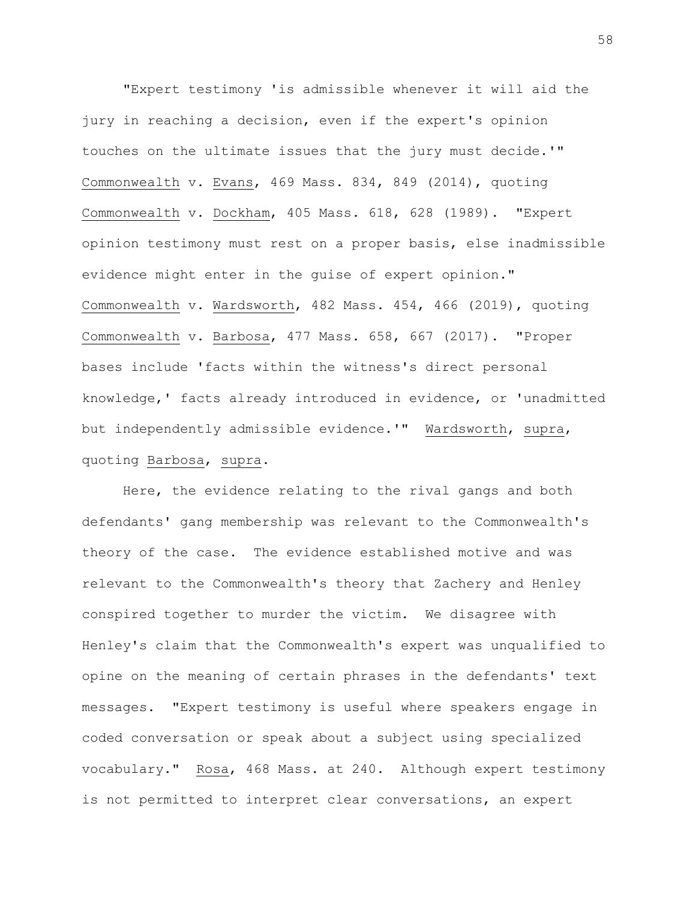"Expert testimony 'is admissible whenever it will aid the jury in reaching a decision, even if the expert's opinion touches on the ultimate issues that the jury must decide.'" Commonwealth v. Evans, 469 Mass. 834, 849 (2014), quoting Commonwealth v. Dockham, 405 Mass. 618, 628 (1989). "Expert opinion testimony must rest on a proper basis, else inadmissible evidence might enter in the guise of expert opinion." Commonwealth v. Wardsworth, 482 Mass. 454, 466 (2019), quoting Commonwealth v. Barbosa, 477 Mass. 658, 667 (2017). "Proper bases include 'facts within the witness's direct personal knowledge,' facts already introduced in evidence, or 'unadmitted but independently admissible evidence.'" Wardsworth, supra, quoting Barbosa, supra.

Here, the evidence relating to the rival gangs and both defendants' gang membership was relevant to the Commonwealth's theory of the case. The evidence established motive and was relevant to the Commonwealth's theory that Zachery and Henley conspired together to murder the victim. We disagree with Henley's claim that the Commonwealth's expert was unqualified to opine on the meaning of certain phrases in the defendants' text messages. "Expert testimony is useful where speakers engage in coded conversation or speak about a subject using specialized vocabulary." Rosa, 468 Mass. at 240. Although expert testimony is not permitted to interpret clear conversations, an expert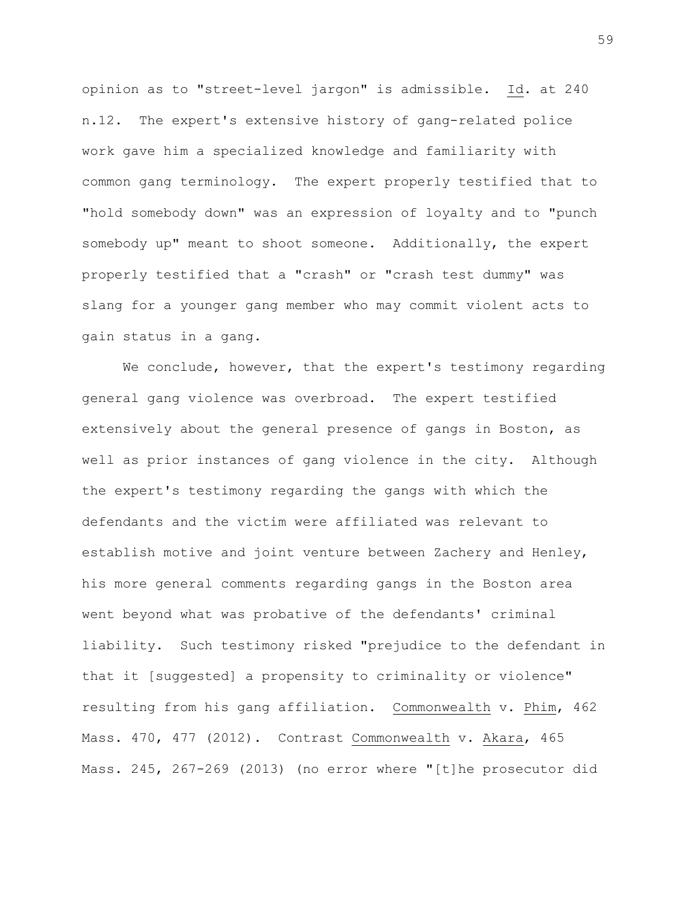opinion as to "street-level jargon" is admissible. Id. at 240 n.12. The expert's extensive history of gang-related police work gave him a specialized knowledge and familiarity with common gang terminology. The expert properly testified that to "hold somebody down" was an expression of loyalty and to "punch somebody up" meant to shoot someone. Additionally, the expert properly testified that a "crash" or "crash test dummy" was slang for a younger gang member who may commit violent acts to gain status in a gang.

We conclude, however, that the expert's testimony regarding general gang violence was overbroad. The expert testified extensively about the general presence of gangs in Boston, as well as prior instances of gang violence in the city. Although the expert's testimony regarding the gangs with which the defendants and the victim were affiliated was relevant to establish motive and joint venture between Zachery and Henley, his more general comments regarding gangs in the Boston area went beyond what was probative of the defendants' criminal liability. Such testimony risked "prejudice to the defendant in that it [suggested] a propensity to criminality or violence" resulting from his gang affiliation. Commonwealth v. Phim, 462 Mass. 470, 477 (2012). Contrast Commonwealth v. Akara, 465 Mass. 245, 267-269 (2013) (no error where "[t]he prosecutor did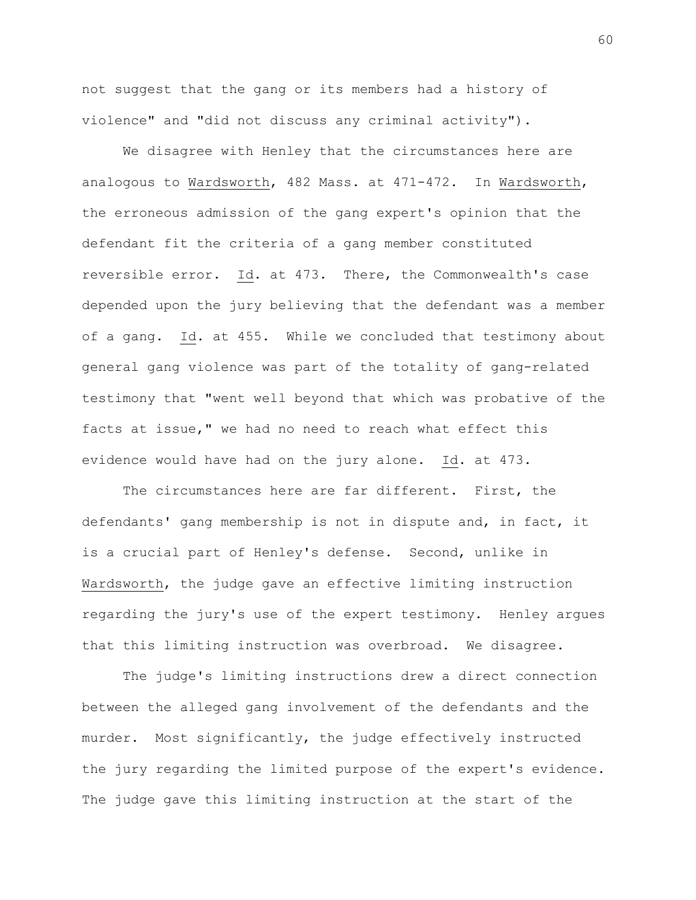not suggest that the gang or its members had a history of violence" and "did not discuss any criminal activity").

We disagree with Henley that the circumstances here are analogous to Wardsworth, 482 Mass. at 471-472. In Wardsworth, the erroneous admission of the gang expert's opinion that the defendant fit the criteria of a gang member constituted reversible error. Id. at 473. There, the Commonwealth's case depended upon the jury believing that the defendant was a member of a gang. Id. at 455. While we concluded that testimony about general gang violence was part of the totality of gang-related testimony that "went well beyond that which was probative of the facts at issue," we had no need to reach what effect this evidence would have had on the jury alone. Id. at 473.

The circumstances here are far different. First, the defendants' gang membership is not in dispute and, in fact, it is a crucial part of Henley's defense. Second, unlike in Wardsworth, the judge gave an effective limiting instruction regarding the jury's use of the expert testimony. Henley argues that this limiting instruction was overbroad. We disagree.

The judge's limiting instructions drew a direct connection between the alleged gang involvement of the defendants and the murder. Most significantly, the judge effectively instructed the jury regarding the limited purpose of the expert's evidence. The judge gave this limiting instruction at the start of the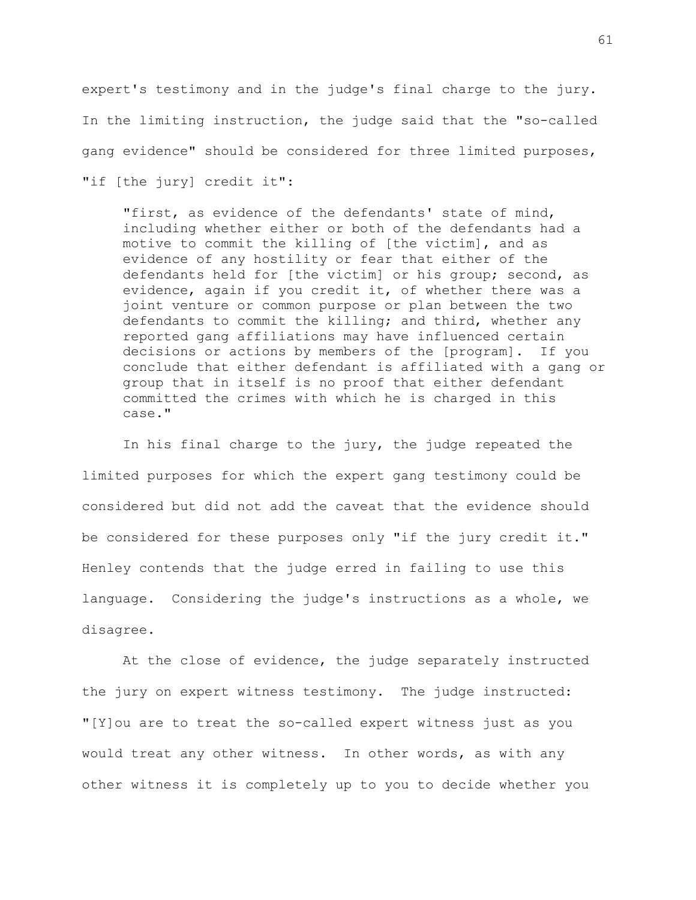expert's testimony and in the judge's final charge to the jury. In the limiting instruction, the judge said that the "so-called gang evidence" should be considered for three limited purposes, "if [the jury] credit it":

"first, as evidence of the defendants' state of mind, including whether either or both of the defendants had a motive to commit the killing of [the victim], and as evidence of any hostility or fear that either of the defendants held for [the victim] or his group; second, as evidence, again if you credit it, of whether there was a joint venture or common purpose or plan between the two defendants to commit the killing; and third, whether any reported gang affiliations may have influenced certain decisions or actions by members of the [program]. If you conclude that either defendant is affiliated with a gang or group that in itself is no proof that either defendant committed the crimes with which he is charged in this case."

In his final charge to the jury, the judge repeated the limited purposes for which the expert gang testimony could be considered but did not add the caveat that the evidence should be considered for these purposes only "if the jury credit it." Henley contends that the judge erred in failing to use this language. Considering the judge's instructions as a whole, we disagree.

At the close of evidence, the judge separately instructed the jury on expert witness testimony. The judge instructed: "[Y]ou are to treat the so-called expert witness just as you would treat any other witness. In other words, as with any other witness it is completely up to you to decide whether you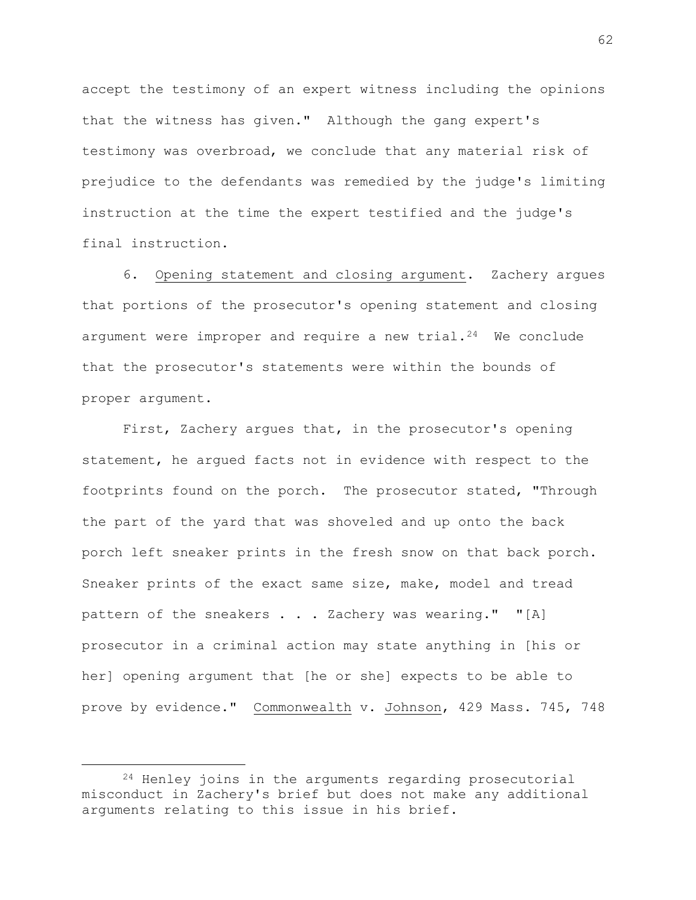accept the testimony of an expert witness including the opinions that the witness has given." Although the gang expert's testimony was overbroad, we conclude that any material risk of prejudice to the defendants was remedied by the judge's limiting instruction at the time the expert testified and the judge's final instruction.

6. Opening statement and closing argument. Zachery argues that portions of the prosecutor's opening statement and closing argument were improper and require a new trial.<sup>[24](#page-61-0)</sup> We conclude that the prosecutor's statements were within the bounds of proper argument.

First, Zachery argues that, in the prosecutor's opening statement, he argued facts not in evidence with respect to the footprints found on the porch. The prosecutor stated, "Through the part of the yard that was shoveled and up onto the back porch left sneaker prints in the fresh snow on that back porch. Sneaker prints of the exact same size, make, model and tread pattern of the sneakers . . . Zachery was wearing." "[A] prosecutor in a criminal action may state anything in [his or her] opening argument that [he or she] expects to be able to prove by evidence." Commonwealth v. Johnson, 429 Mass. 745, 748

<span id="page-61-0"></span><sup>&</sup>lt;sup>24</sup> Henley joins in the arguments regarding prosecutorial misconduct in Zachery's brief but does not make any additional arguments relating to this issue in his brief.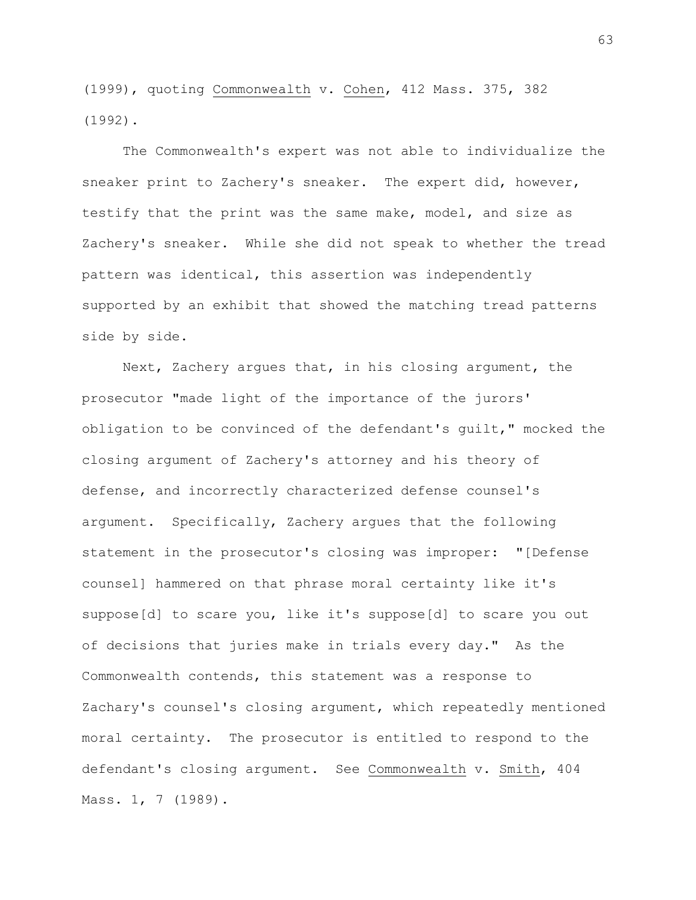(1999), quoting Commonwealth v. Cohen, 412 Mass. 375, 382 (1992).

The Commonwealth's expert was not able to individualize the sneaker print to Zachery's sneaker. The expert did, however, testify that the print was the same make, model, and size as Zachery's sneaker. While she did not speak to whether the tread pattern was identical, this assertion was independently supported by an exhibit that showed the matching tread patterns side by side.

Next, Zachery argues that, in his closing argument, the prosecutor "made light of the importance of the jurors' obligation to be convinced of the defendant's guilt," mocked the closing argument of Zachery's attorney and his theory of defense, and incorrectly characterized defense counsel's argument. Specifically, Zachery argues that the following statement in the prosecutor's closing was improper: "[Defense counsel] hammered on that phrase moral certainty like it's suppose[d] to scare you, like it's suppose[d] to scare you out of decisions that juries make in trials every day." As the Commonwealth contends, this statement was a response to Zachary's counsel's closing argument, which repeatedly mentioned moral certainty. The prosecutor is entitled to respond to the defendant's closing argument. See Commonwealth v. Smith, 404 Mass. 1, 7 (1989).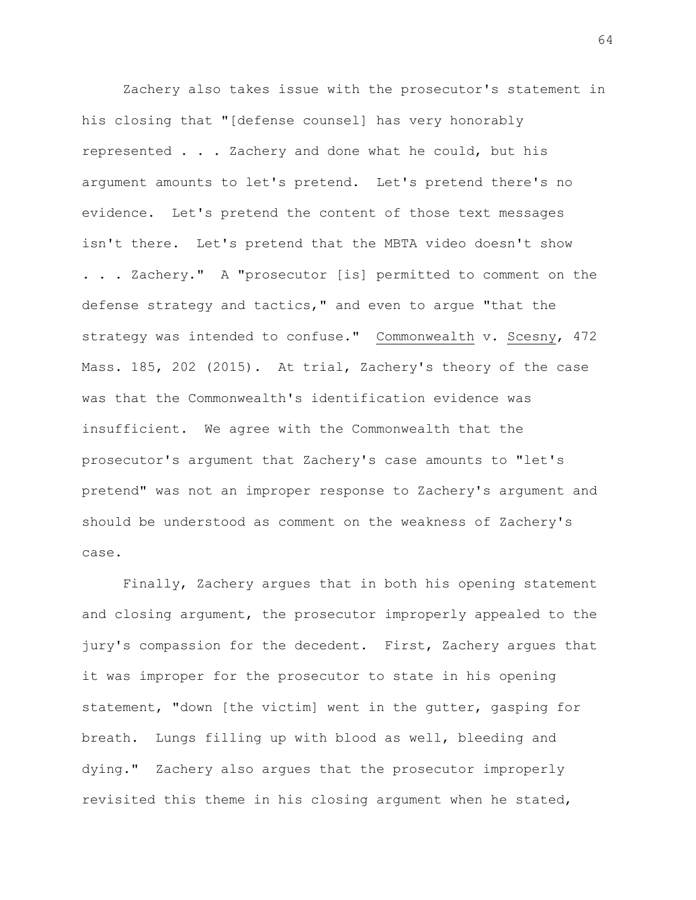Zachery also takes issue with the prosecutor's statement in his closing that "[defense counsel] has very honorably represented . . . Zachery and done what he could, but his argument amounts to let's pretend. Let's pretend there's no evidence. Let's pretend the content of those text messages isn't there. Let's pretend that the MBTA video doesn't show . . . Zachery." A "prosecutor [is] permitted to comment on the defense strategy and tactics," and even to argue "that the strategy was intended to confuse." Commonwealth v. Scesny, 472 Mass. 185, 202 (2015). At trial, Zachery's theory of the case was that the Commonwealth's identification evidence was insufficient. We agree with the Commonwealth that the prosecutor's argument that Zachery's case amounts to "let's pretend" was not an improper response to Zachery's argument and should be understood as comment on the weakness of Zachery's case.

Finally, Zachery argues that in both his opening statement and closing argument, the prosecutor improperly appealed to the jury's compassion for the decedent. First, Zachery argues that it was improper for the prosecutor to state in his opening statement, "down [the victim] went in the gutter, gasping for breath. Lungs filling up with blood as well, bleeding and dying." Zachery also argues that the prosecutor improperly revisited this theme in his closing argument when he stated,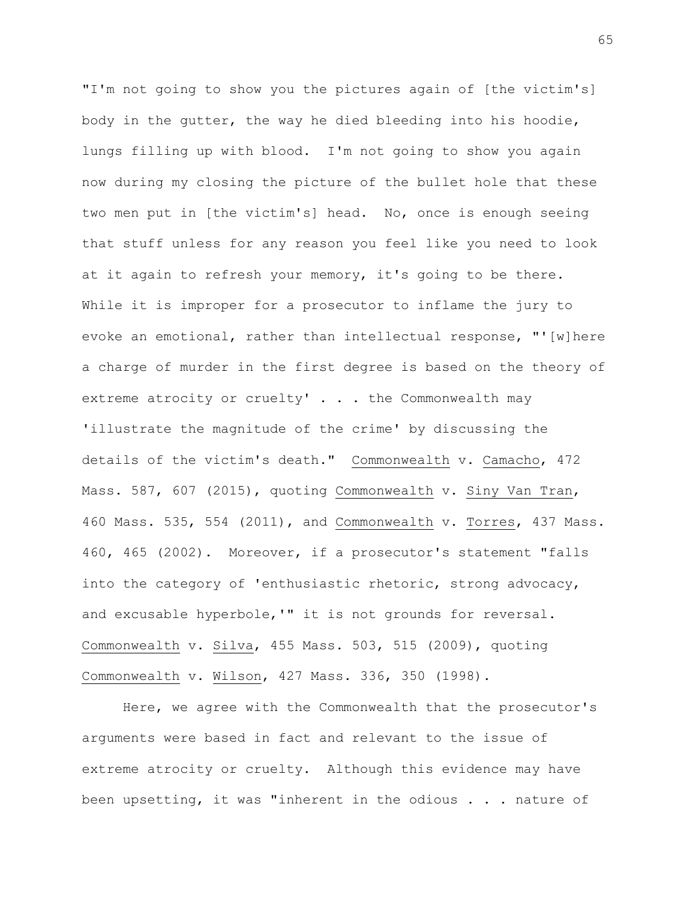"I'm not going to show you the pictures again of [the victim's] body in the gutter, the way he died bleeding into his hoodie, lungs filling up with blood. I'm not going to show you again now during my closing the picture of the bullet hole that these two men put in [the victim's] head. No, once is enough seeing that stuff unless for any reason you feel like you need to look at it again to refresh your memory, it's going to be there. While it is improper for a prosecutor to inflame the jury to evoke an emotional, rather than intellectual response, "'[w]here a charge of murder in the first degree is based on the theory of extreme atrocity or cruelty' . . . the Commonwealth may 'illustrate the magnitude of the crime' by discussing the details of the victim's death." Commonwealth v. Camacho, 472 Mass. 587, 607 (2015), quoting Commonwealth v. Siny Van Tran, 460 Mass. 535, 554 (2011), and Commonwealth v. Torres, 437 Mass. 460, 465 (2002). Moreover, if a prosecutor's statement "falls into the category of 'enthusiastic rhetoric, strong advocacy, and excusable hyperbole,'" it is not grounds for reversal. Commonwealth v. Silva, 455 Mass. 503, 515 (2009), quoting Commonwealth v. Wilson, 427 Mass. 336, 350 (1998).

Here, we agree with the Commonwealth that the prosecutor's arguments were based in fact and relevant to the issue of extreme atrocity or cruelty. Although this evidence may have been upsetting, it was "inherent in the odious . . . nature of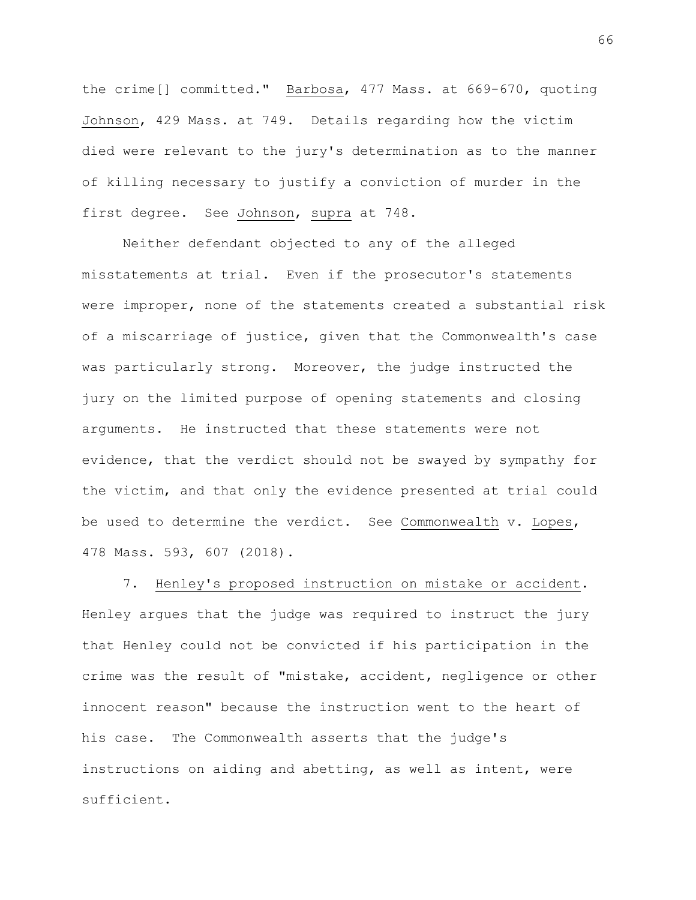the crime[] committed." Barbosa, 477 Mass. at 669-670, quoting Johnson, 429 Mass. at 749. Details regarding how the victim died were relevant to the jury's determination as to the manner of killing necessary to justify a conviction of murder in the first degree. See Johnson, supra at 748.

Neither defendant objected to any of the alleged misstatements at trial. Even if the prosecutor's statements were improper, none of the statements created a substantial risk of a miscarriage of justice, given that the Commonwealth's case was particularly strong. Moreover, the judge instructed the jury on the limited purpose of opening statements and closing arguments. He instructed that these statements were not evidence, that the verdict should not be swayed by sympathy for the victim, and that only the evidence presented at trial could be used to determine the verdict. See Commonwealth v. Lopes, 478 Mass. 593, 607 (2018).

7. Henley's proposed instruction on mistake or accident. Henley argues that the judge was required to instruct the jury that Henley could not be convicted if his participation in the crime was the result of "mistake, accident, negligence or other innocent reason" because the instruction went to the heart of his case. The Commonwealth asserts that the judge's instructions on aiding and abetting, as well as intent, were sufficient.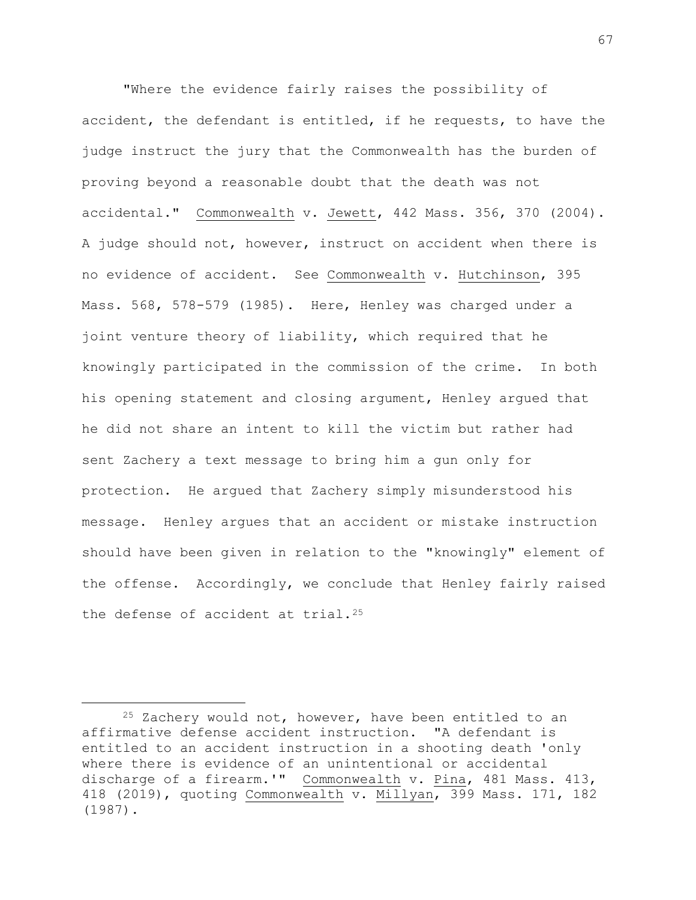"Where the evidence fairly raises the possibility of accident, the defendant is entitled, if he requests, to have the judge instruct the jury that the Commonwealth has the burden of proving beyond a reasonable doubt that the death was not accidental." Commonwealth v. Jewett, 442 Mass. 356, 370 (2004). A judge should not, however, instruct on accident when there is no evidence of accident. See Commonwealth v. Hutchinson, 395 Mass. 568, 578-579 (1985). Here, Henley was charged under a joint venture theory of liability, which required that he knowingly participated in the commission of the crime. In both his opening statement and closing argument, Henley argued that he did not share an intent to kill the victim but rather had sent Zachery a text message to bring him a gun only for protection. He argued that Zachery simply misunderstood his message. Henley argues that an accident or mistake instruction should have been given in relation to the "knowingly" element of the offense. Accordingly, we conclude that Henley fairly raised the defense of accident at trial.<sup>[25](#page-66-0)</sup>

<span id="page-66-0"></span><sup>25</sup> Zachery would not, however, have been entitled to an affirmative defense accident instruction. "A defendant is entitled to an accident instruction in a shooting death 'only where there is evidence of an unintentional or accidental discharge of a firearm.'" Commonwealth v. Pina, 481 Mass. 413, 418 (2019), quoting Commonwealth v. Millyan, 399 Mass. 171, 182 (1987).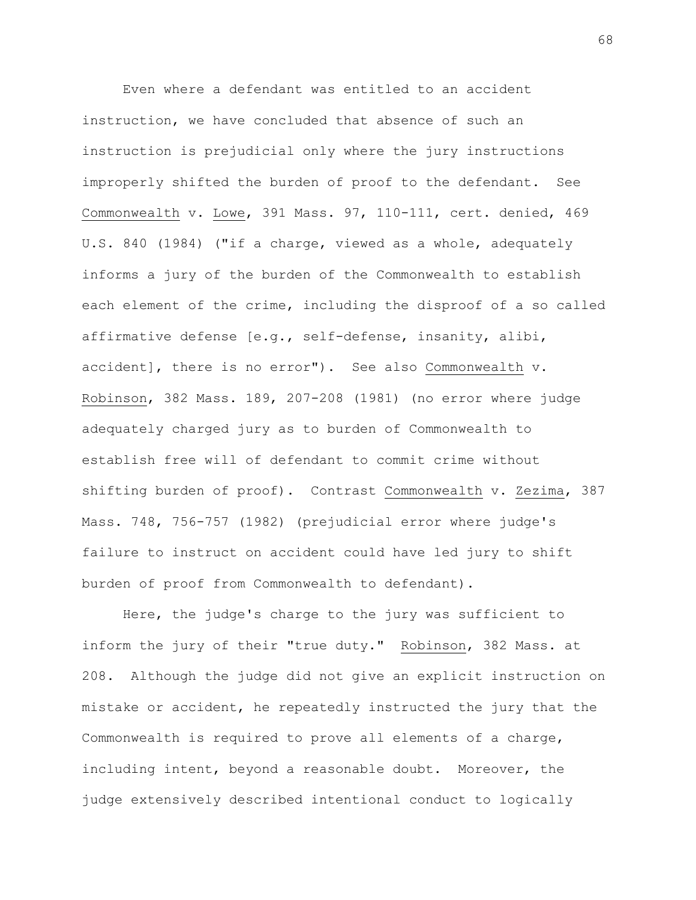Even where a defendant was entitled to an accident instruction, we have concluded that absence of such an instruction is prejudicial only where the jury instructions improperly shifted the burden of proof to the defendant. See Commonwealth v. Lowe, 391 Mass. 97, 110-111, cert. denied, 469 U.S. 840 (1984) ("if a charge, viewed as a whole, adequately informs a jury of the burden of the Commonwealth to establish each element of the crime, including the disproof of a so called affirmative defense [e.g., self-defense, insanity, alibi, accident], there is no error"). See also Commonwealth v. Robinson, 382 Mass. 189, 207-208 (1981) (no error where judge adequately charged jury as to burden of Commonwealth to establish free will of defendant to commit crime without shifting burden of proof). Contrast Commonwealth v. Zezima, 387 Mass. 748, 756-757 (1982) (prejudicial error where judge's failure to instruct on accident could have led jury to shift burden of proof from Commonwealth to defendant).

Here, the judge's charge to the jury was sufficient to inform the jury of their "true duty." Robinson, 382 Mass. at 208. Although the judge did not give an explicit instruction on mistake or accident, he repeatedly instructed the jury that the Commonwealth is required to prove all elements of a charge, including intent, beyond a reasonable doubt. Moreover, the judge extensively described intentional conduct to logically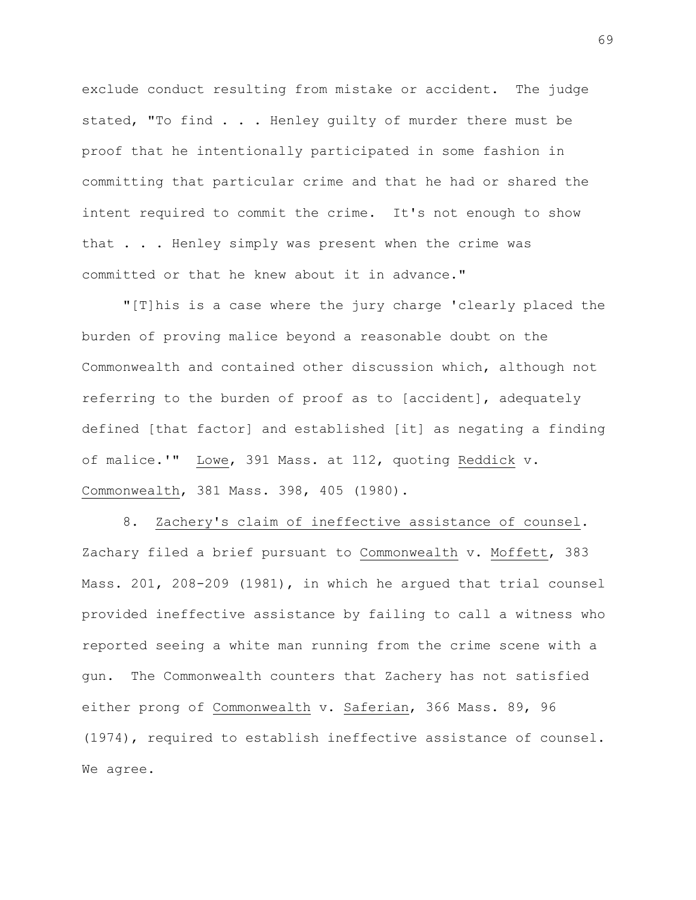exclude conduct resulting from mistake or accident. The judge stated, "To find . . . Henley quilty of murder there must be proof that he intentionally participated in some fashion in committing that particular crime and that he had or shared the intent required to commit the crime. It's not enough to show that . . . Henley simply was present when the crime was committed or that he knew about it in advance."

"[T]his is a case where the jury charge 'clearly placed the burden of proving malice beyond a reasonable doubt on the Commonwealth and contained other discussion which, although not referring to the burden of proof as to [accident], adequately defined [that factor] and established [it] as negating a finding of malice.'" Lowe, 391 Mass. at 112, quoting Reddick v. Commonwealth, 381 Mass. 398, 405 (1980).

8. Zachery's claim of ineffective assistance of counsel. Zachary filed a brief pursuant to Commonwealth v. Moffett, 383 Mass. 201, 208-209 (1981), in which he argued that trial counsel provided ineffective assistance by failing to call a witness who reported seeing a white man running from the crime scene with a gun. The Commonwealth counters that Zachery has not satisfied either prong of Commonwealth v. Saferian, 366 Mass. 89, 96 (1974), required to establish ineffective assistance of counsel. We agree.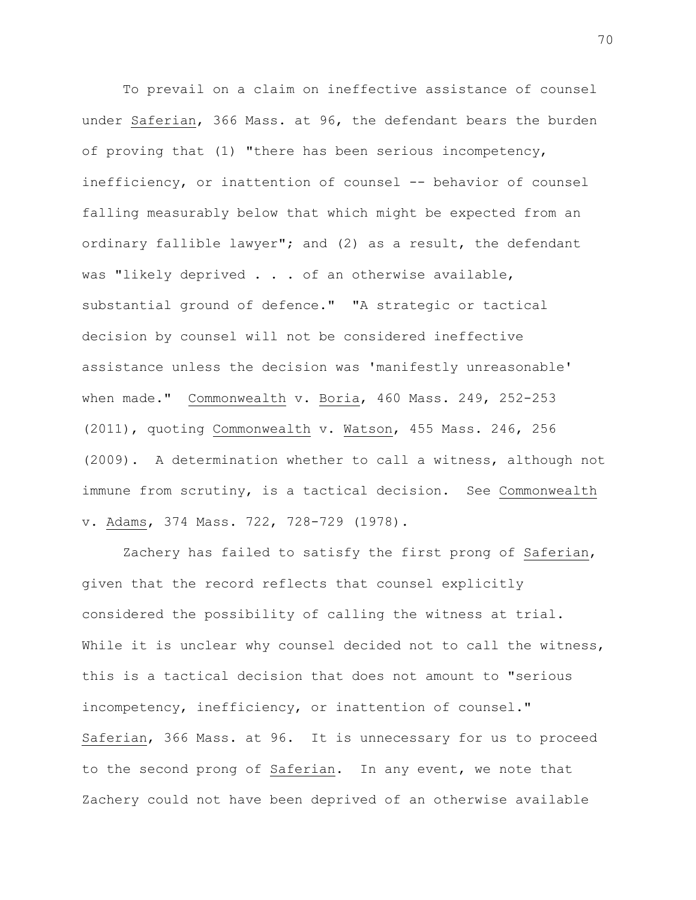To prevail on a claim on ineffective assistance of counsel under Saferian, 366 Mass. at 96, the defendant bears the burden of proving that (1) "there has been serious incompetency, inefficiency, or inattention of counsel -- behavior of counsel falling measurably below that which might be expected from an ordinary fallible lawyer"; and (2) as a result, the defendant was "likely deprived . . . of an otherwise available, substantial ground of defence." "A strategic or tactical decision by counsel will not be considered ineffective assistance unless the decision was 'manifestly unreasonable' when made." Commonwealth v. Boria, 460 Mass. 249, 252-253 (2011), quoting Commonwealth v. Watson, 455 Mass. 246, 256 (2009). A determination whether to call a witness, although not immune from scrutiny, is a tactical decision. See Commonwealth v. Adams, 374 Mass. 722, 728-729 (1978).

Zachery has failed to satisfy the first prong of Saferian, given that the record reflects that counsel explicitly considered the possibility of calling the witness at trial. While it is unclear why counsel decided not to call the witness, this is a tactical decision that does not amount to "serious incompetency, inefficiency, or inattention of counsel." Saferian, 366 Mass. at 96. It is unnecessary for us to proceed to the second prong of Saferian. In any event, we note that Zachery could not have been deprived of an otherwise available